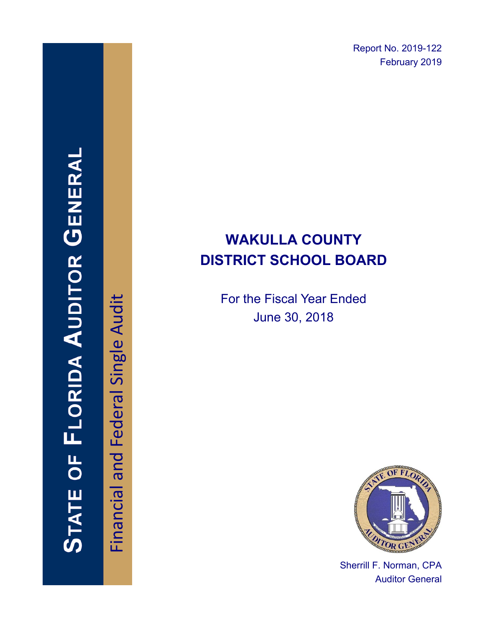Report No. 2019-122 February 2019

# **WAKULLA COUNTY DISTRICT SCHOOL BOARD**

For the Fiscal Year Ended June 30, 2018



Sherrill F. Norman, CPA Auditor General

Financial and Federal Single Audit Financial and Federal Single Audit

STATE OF FLORIDA AUDITOR GENERAI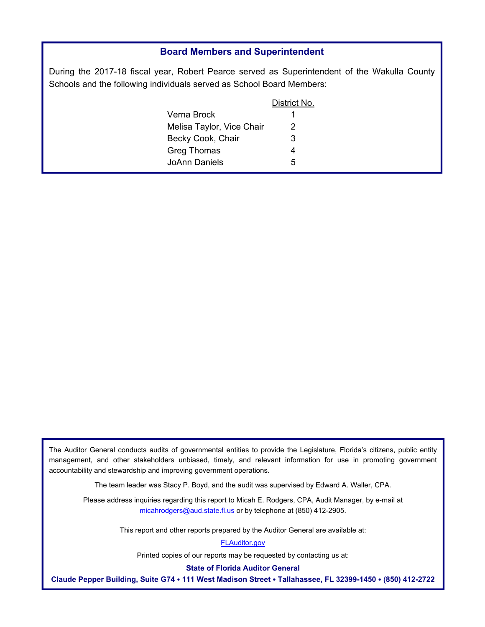#### **Board Members and Superintendent**

During the 2017-18 fiscal year, Robert Pearce served as Superintendent of the Wakulla County Schools and the following individuals served as School Board Members:

|                           | District No. |
|---------------------------|--------------|
| Verna Brock               |              |
| Melisa Taylor, Vice Chair | 2            |
| Becky Cook, Chair         | 3            |
| <b>Greg Thomas</b>        | 4            |
| <b>JoAnn Daniels</b>      | 5            |

The Auditor General conducts audits of governmental entities to provide the Legislature, Florida's citizens, public entity management, and other stakeholders unbiased, timely, and relevant information for use in promoting government accountability and stewardship and improving government operations.

The team leader was Stacy P. Boyd, and the audit was supervised by Edward A. Waller, CPA.

Please address inquiries regarding this report to Micah E. Rodgers, CPA, Audit Manager, by e-mail at micahrodgers@aud.state.fl.us or by telephone at (850) 412-2905.

This report and other reports prepared by the Auditor General are available at:

[FLAuditor.gov](https://flauditor.gov)

Printed copies of our reports may be requested by contacting us at:

**State of Florida Auditor General** 

**Claude Pepper Building, Suite G74** ∙ **111 West Madison Street** ∙ **Tallahassee, FL 32399-1450** ∙ (**850) 412-2722**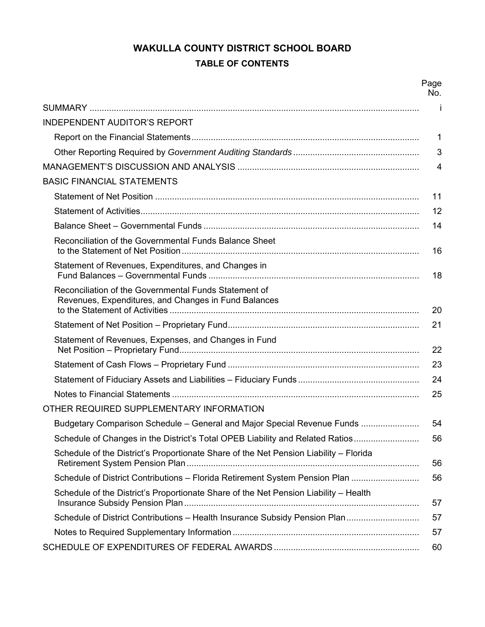## **WAKULLA COUNTY DISTRICT SCHOOL BOARD TABLE OF CONTENTS**

|                                                                                                               | Page<br>No.    |
|---------------------------------------------------------------------------------------------------------------|----------------|
|                                                                                                               | Ť              |
| <b>INDEPENDENT AUDITOR'S REPORT</b>                                                                           |                |
|                                                                                                               | $\mathbf{1}$   |
|                                                                                                               | 3              |
|                                                                                                               | $\overline{4}$ |
| <b>BASIC FINANCIAL STATEMENTS</b>                                                                             |                |
|                                                                                                               | 11             |
|                                                                                                               | 12             |
|                                                                                                               | 14             |
| Reconciliation of the Governmental Funds Balance Sheet                                                        | 16             |
| Statement of Revenues, Expenditures, and Changes in                                                           | 18             |
| Reconciliation of the Governmental Funds Statement of<br>Revenues, Expenditures, and Changes in Fund Balances | 20             |
|                                                                                                               | 21             |
| Statement of Revenues, Expenses, and Changes in Fund                                                          | 22             |
|                                                                                                               | 23             |
|                                                                                                               | 24             |
|                                                                                                               | 25             |
| OTHER REQUIRED SUPPLEMENTARY INFORMATION                                                                      |                |
| Budgetary Comparison Schedule – General and Major Special Revenue Funds                                       | 54             |
| Schedule of Changes in the District's Total OPEB Liability and Related Ratios                                 | 56             |
| Schedule of the District's Proportionate Share of the Net Pension Liability - Florida                         | 56             |
| Schedule of District Contributions - Florida Retirement System Pension Plan                                   | 56             |
| Schedule of the District's Proportionate Share of the Net Pension Liability - Health                          | 57             |
| Schedule of District Contributions - Health Insurance Subsidy Pension Plan                                    | 57             |
|                                                                                                               | 57             |
|                                                                                                               | 60             |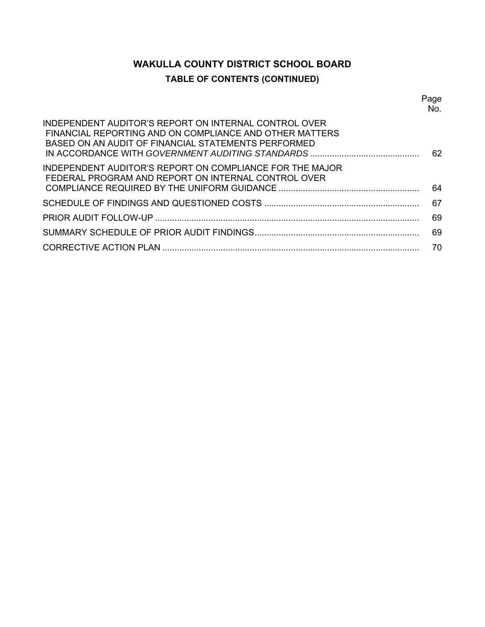## **WAKULLA COUNTY DISTRICT SCHOOL BOARD**

## **TABLE OF CONTENTS (CONTINUED)**

| INDEPENDENT AUDITOR'S REPORT ON INTERNAL CONTROL OVER<br>FINANCIAL REPORTING AND ON COMPLIANCE AND OTHER MATTERS<br>BASED ON AN AUDIT OF FINANCIAL STATEMENTS PERFORMED | 62 |
|-------------------------------------------------------------------------------------------------------------------------------------------------------------------------|----|
| INDEPENDENT AUDITOR'S REPORT ON COMPLIANCE FOR THE MAJOR<br>FEDERAL PROGRAM AND REPORT ON INTERNAL CONTROL OVER                                                         | 64 |
|                                                                                                                                                                         | 67 |
|                                                                                                                                                                         | 69 |
|                                                                                                                                                                         | 69 |
|                                                                                                                                                                         | 70 |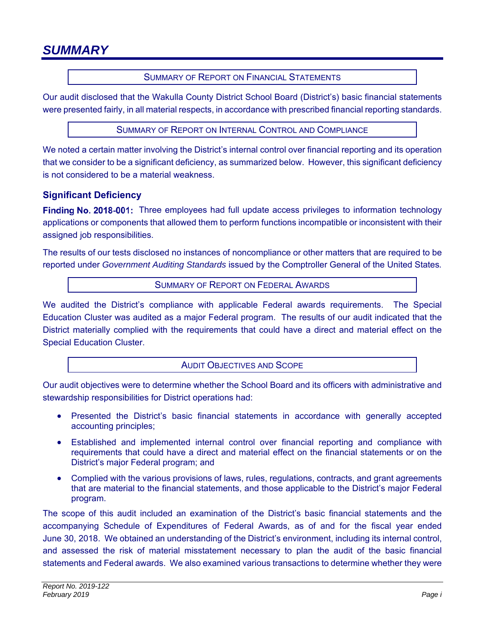#### SUMMARY OF REPORT ON FINANCIAL STATEMENTS

<span id="page-4-0"></span>Our audit disclosed that the Wakulla County District School Board (District's) basic financial statements were presented fairly, in all material respects, in accordance with prescribed financial reporting standards.

SUMMARY OF REPORT ON INTERNAL CONTROL AND COMPLIANCE

We noted a certain matter involving the District's internal control over financial reporting and its operation that we consider to be a significant deficiency, as summarized below. However, this significant deficiency is not considered to be a material weakness.

## **Significant Deficiency**

**Finding No. 2018-001:** Three employees had full update access privileges to information technology applications or components that allowed them to perform functions incompatible or inconsistent with their assigned job responsibilities.

The results of our tests disclosed no instances of noncompliance or other matters that are required to be reported under *Government Auditing Standards* issued by the Comptroller General of the United States*.* 

SUMMARY OF REPORT ON FEDERAL AWARDS

We audited the District's compliance with applicable Federal awards requirements. The Special Education Cluster was audited as a major Federal program. The results of our audit indicated that the District materially complied with the requirements that could have a direct and material effect on the Special Education Cluster.

AUDIT OBJECTIVES AND SCOPE

Our audit objectives were to determine whether the School Board and its officers with administrative and stewardship responsibilities for District operations had:

- Presented the District's basic financial statements in accordance with generally accepted accounting principles;
- Established and implemented internal control over financial reporting and compliance with requirements that could have a direct and material effect on the financial statements or on the District's major Federal program; and
- Complied with the various provisions of laws, rules, regulations, contracts, and grant agreements that are material to the financial statements, and those applicable to the District's major Federal program.

The scope of this audit included an examination of the District's basic financial statements and the accompanying Schedule of Expenditures of Federal Awards, as of and for the fiscal year ended June 30, 2018. We obtained an understanding of the District's environment, including its internal control, and assessed the risk of material misstatement necessary to plan the audit of the basic financial statements and Federal awards. We also examined various transactions to determine whether they were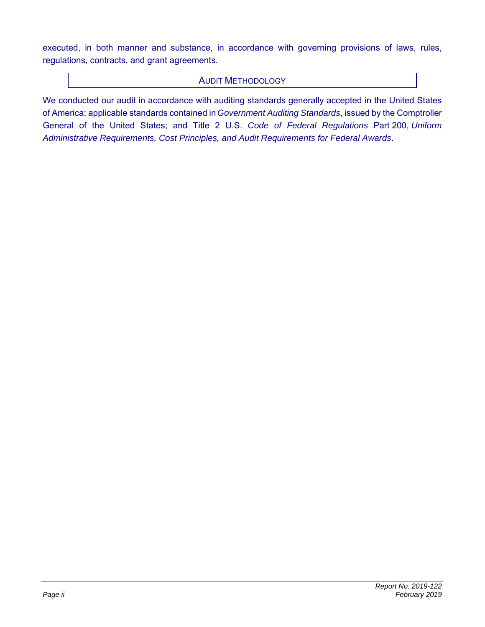executed, in both manner and substance, in accordance with governing provisions of laws, rules, regulations, contracts, and grant agreements.

#### AUDIT METHODOLOGY

We conducted our audit in accordance with auditing standards generally accepted in the United States of America; applicable standards contained in *Government Auditing Standards*, issued by the Comptroller General of the United States; and Title 2 U.S. *Code of Federal Regulations* Part 200, *Uniform Administrative Requirements, Cost Principles, and Audit Requirements for Federal Awards*.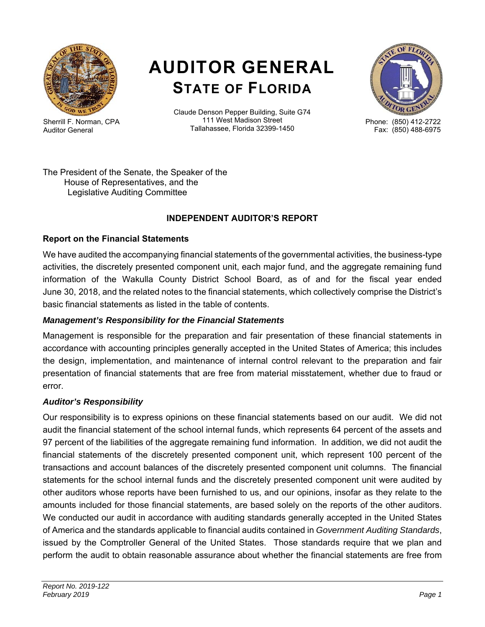<span id="page-6-0"></span>

Sherrill F. Norman, CPA Auditor General

# **AUDITOR GENERAL STATE OF FLORIDA**

Claude Denson Pepper Building, Suite G74 111 West Madison Street Tallahassee, Florida 32399-1450



Phone: (850) 412-2722 Fax: (850) 488-6975

The President of the Senate, the Speaker of the House of Representatives, and the Legislative Auditing Committee

## **INDEPENDENT AUDITOR'S REPORT**

#### **Report on the Financial Statements**

We have audited the accompanying financial statements of the governmental activities, the business-type activities, the discretely presented component unit, each major fund, and the aggregate remaining fund information of the Wakulla County District School Board, as of and for the fiscal year ended June 30, 2018, and the related notes to the financial statements, which collectively comprise the District's basic financial statements as listed in the table of contents.

## *Management's Responsibility for the Financial Statements*

Management is responsible for the preparation and fair presentation of these financial statements in accordance with accounting principles generally accepted in the United States of America; this includes the design, implementation, and maintenance of internal control relevant to the preparation and fair presentation of financial statements that are free from material misstatement, whether due to fraud or error.

#### *Auditor's Responsibility*

Our responsibility is to express opinions on these financial statements based on our audit. We did not audit the financial statement of the school internal funds, which represents 64 percent of the assets and 97 percent of the liabilities of the aggregate remaining fund information. In addition, we did not audit the financial statements of the discretely presented component unit, which represent 100 percent of the transactions and account balances of the discretely presented component unit columns. The financial statements for the school internal funds and the discretely presented component unit were audited by other auditors whose reports have been furnished to us, and our opinions, insofar as they relate to the amounts included for those financial statements, are based solely on the reports of the other auditors. We conducted our audit in accordance with auditing standards generally accepted in the United States of America and the standards applicable to financial audits contained in *Government Auditing Standards*, issued by the Comptroller General of the United States. Those standards require that we plan and perform the audit to obtain reasonable assurance about whether the financial statements are free from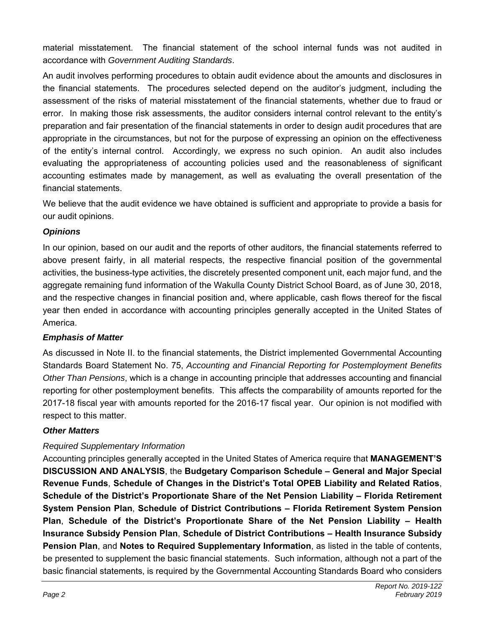material misstatement. The financial statement of the school internal funds was not audited in accordance with *Government Auditing Standards*.

An audit involves performing procedures to obtain audit evidence about the amounts and disclosures in the financial statements. The procedures selected depend on the auditor's judgment, including the assessment of the risks of material misstatement of the financial statements, whether due to fraud or error. In making those risk assessments, the auditor considers internal control relevant to the entity's preparation and fair presentation of the financial statements in order to design audit procedures that are appropriate in the circumstances, but not for the purpose of expressing an opinion on the effectiveness of the entity's internal control. Accordingly, we express no such opinion. An audit also includes evaluating the appropriateness of accounting policies used and the reasonableness of significant accounting estimates made by management, as well as evaluating the overall presentation of the financial statements.

We believe that the audit evidence we have obtained is sufficient and appropriate to provide a basis for our audit opinions.

#### *Opinions*

In our opinion, based on our audit and the reports of other auditors, the financial statements referred to above present fairly, in all material respects, the respective financial position of the governmental activities, the business-type activities, the discretely presented component unit, each major fund, and the aggregate remaining fund information of the Wakulla County District School Board, as of June 30, 2018, and the respective changes in financial position and, where applicable, cash flows thereof for the fiscal year then ended in accordance with accounting principles generally accepted in the United States of America.

#### *Emphasis of Matter*

As discussed in Note II. to the financial statements, the District implemented Governmental Accounting Standards Board Statement No. 75, *Accounting and Financial Reporting for Postemployment Benefits Other Than Pensions*, which is a change in accounting principle that addresses accounting and financial reporting for other postemployment benefits. This affects the comparability of amounts reported for the 2017-18 fiscal year with amounts reported for the 2016-17 fiscal year. Our opinion is not modified with respect to this matter.

#### *Other Matters*

## *Required Supplementary Information*

Accounting principles generally accepted in the United States of America require that **MANAGEMENT'S DISCUSSION AND ANALYSIS**, the **Budgetary Comparison Schedule – General and Major Special Revenue Funds**, **Schedule of Changes in the District's Total OPEB Liability and Related Ratios**, **Schedule of the District's Proportionate Share of the Net Pension Liability – Florida Retirement System Pension Plan**, **Schedule of District Contributions – Florida Retirement System Pension Plan**, **Schedule of the District's Proportionate Share of the Net Pension Liability – Health Insurance Subsidy Pension Plan**, **Schedule of District Contributions – Health Insurance Subsidy Pension Plan**, and **Notes to Required Supplementary Information**, as listed in the table of contents, be presented to supplement the basic financial statements. Such information, although not a part of the basic financial statements, is required by the Governmental Accounting Standards Board who considers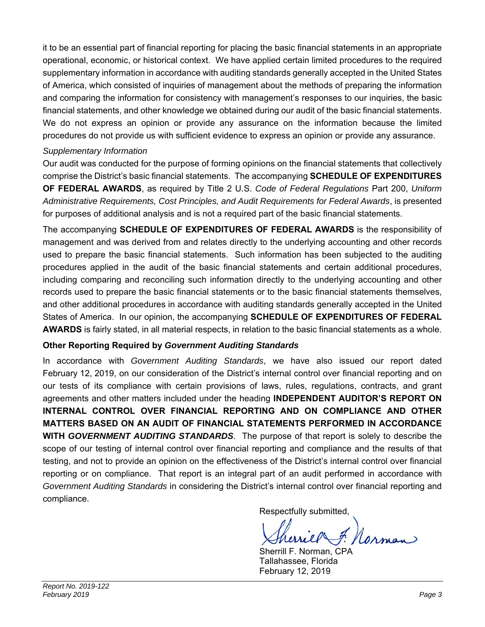<span id="page-8-0"></span>it to be an essential part of financial reporting for placing the basic financial statements in an appropriate operational, economic, or historical context. We have applied certain limited procedures to the required supplementary information in accordance with auditing standards generally accepted in the United States of America, which consisted of inquiries of management about the methods of preparing the information and comparing the information for consistency with management's responses to our inquiries, the basic financial statements, and other knowledge we obtained during our audit of the basic financial statements. We do not express an opinion or provide any assurance on the information because the limited procedures do not provide us with sufficient evidence to express an opinion or provide any assurance.

#### *Supplementary Information*

Our audit was conducted for the purpose of forming opinions on the financial statements that collectively comprise the District's basic financial statements. The accompanying **SCHEDULE OF EXPENDITURES OF FEDERAL AWARDS**, as required by Title 2 U.S. *Code of Federal Regulations* Part 200, *Uniform Administrative Requirements, Cost Principles, and Audit Requirements for Federal Awards*, is presented for purposes of additional analysis and is not a required part of the basic financial statements.

The accompanying **SCHEDULE OF EXPENDITURES OF FEDERAL AWARDS** is the responsibility of management and was derived from and relates directly to the underlying accounting and other records used to prepare the basic financial statements. Such information has been subjected to the auditing procedures applied in the audit of the basic financial statements and certain additional procedures, including comparing and reconciling such information directly to the underlying accounting and other records used to prepare the basic financial statements or to the basic financial statements themselves, and other additional procedures in accordance with auditing standards generally accepted in the United States of America. In our opinion, the accompanying **SCHEDULE OF EXPENDITURES OF FEDERAL AWARDS** is fairly stated, in all material respects, in relation to the basic financial statements as a whole.

#### **Other Reporting Required by** *Government Auditing Standards*

In accordance with *Government Auditing Standards*, we have also issued our report dated February 12, 2019, on our consideration of the District's internal control over financial reporting and on our tests of its compliance with certain provisions of laws, rules, regulations, contracts, and grant agreements and other matters included under the heading **INDEPENDENT AUDITOR'S REPORT ON INTERNAL CONTROL OVER FINANCIAL REPORTING AND ON COMPLIANCE AND OTHER MATTERS BASED ON AN AUDIT OF FINANCIAL STATEMENTS PERFORMED IN ACCORDANCE WITH** *GOVERNMENT AUDITING STANDARDS*. The purpose of that report is solely to describe the scope of our testing of internal control over financial reporting and compliance and the results of that testing, and not to provide an opinion on the effectiveness of the District's internal control over financial reporting or on compliance. That report is an integral part of an audit performed in accordance with *Government Auditing Standards* in considering the District's internal control over financial reporting and compliance.

Respectfully submitted,

Orman

Sherrill F. Norman, CPA Tallahassee, Florida February 12, 2019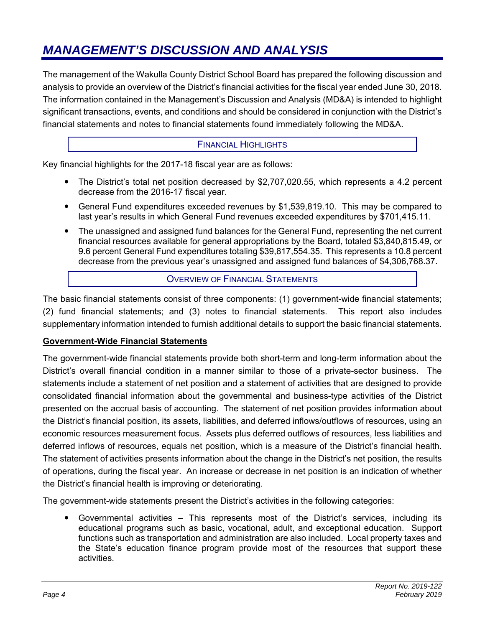## <span id="page-9-0"></span>*MANAGEMENT'S DISCUSSION AND ANALYSIS*

The management of the Wakulla County District School Board has prepared the following discussion and analysis to provide an overview of the District's financial activities for the fiscal year ended June 30, 2018. The information contained in the Management's Discussion and Analysis (MD&A) is intended to highlight significant transactions, events, and conditions and should be considered in conjunction with the District's financial statements and notes to financial statements found immediately following the MD&A.

#### FINANCIAL HIGHLIGHTS

Key financial highlights for the 2017-18 fiscal year are as follows:

- The District's total net position decreased by \$2,707,020.55, which represents a 4.2 percent decrease from the 2016-17 fiscal year.
- General Fund expenditures exceeded revenues by \$1,539,819.10. This may be compared to last year's results in which General Fund revenues exceeded expenditures by \$701,415.11.
- The unassigned and assigned fund balances for the General Fund, representing the net current financial resources available for general appropriations by the Board, totaled \$3,840,815.49, or 9.6 percent General Fund expenditures totaling \$39,817,554.35. This represents a 10.8 percent decrease from the previous year's unassigned and assigned fund balances of \$4,306,768.37.

#### OVERVIEW OF FINANCIAL STATEMENTS

The basic financial statements consist of three components: (1) government-wide financial statements; (2) fund financial statements; and (3) notes to financial statements. This report also includes supplementary information intended to furnish additional details to support the basic financial statements.

#### **Government-Wide Financial Statements**

The government-wide financial statements provide both short-term and long-term information about the District's overall financial condition in a manner similar to those of a private-sector business. The statements include a statement of net position and a statement of activities that are designed to provide consolidated financial information about the governmental and business-type activities of the District presented on the accrual basis of accounting. The statement of net position provides information about the District's financial position, its assets, liabilities, and deferred inflows/outflows of resources, using an economic resources measurement focus. Assets plus deferred outflows of resources, less liabilities and deferred inflows of resources, equals net position, which is a measure of the District's financial health. The statement of activities presents information about the change in the District's net position, the results of operations, during the fiscal year. An increase or decrease in net position is an indication of whether the District's financial health is improving or deteriorating.

The government-wide statements present the District's activities in the following categories:

 Governmental activities – This represents most of the District's services, including its educational programs such as basic, vocational, adult, and exceptional education. Support functions such as transportation and administration are also included. Local property taxes and the State's education finance program provide most of the resources that support these activities.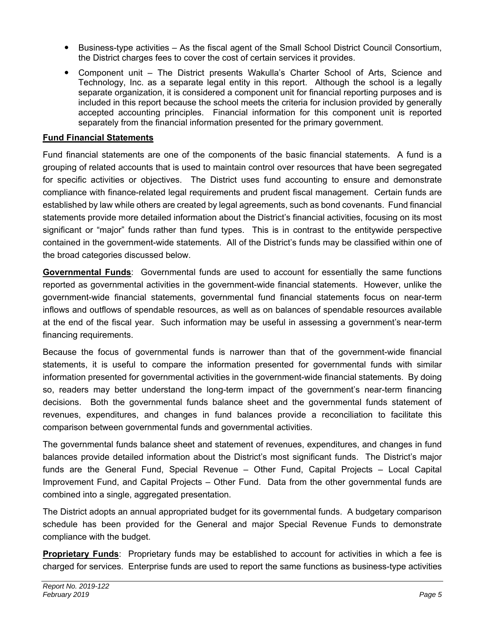- Business-type activities As the fiscal agent of the Small School District Council Consortium, the District charges fees to cover the cost of certain services it provides.
- Component unit The District presents Wakulla's Charter School of Arts, Science and Technology, Inc. as a separate legal entity in this report. Although the school is a legally separate organization, it is considered a component unit for financial reporting purposes and is included in this report because the school meets the criteria for inclusion provided by generally accepted accounting principles. Financial information for this component unit is reported separately from the financial information presented for the primary government.

### **Fund Financial Statements**

Fund financial statements are one of the components of the basic financial statements. A fund is a grouping of related accounts that is used to maintain control over resources that have been segregated for specific activities or objectives. The District uses fund accounting to ensure and demonstrate compliance with finance-related legal requirements and prudent fiscal management. Certain funds are established by law while others are created by legal agreements, such as bond covenants. Fund financial statements provide more detailed information about the District's financial activities, focusing on its most significant or "major" funds rather than fund types. This is in contrast to the entitywide perspective contained in the government-wide statements. All of the District's funds may be classified within one of the broad categories discussed below.

**Governmental Funds**: Governmental funds are used to account for essentially the same functions reported as governmental activities in the government-wide financial statements. However, unlike the government-wide financial statements, governmental fund financial statements focus on near-term inflows and outflows of spendable resources, as well as on balances of spendable resources available at the end of the fiscal year. Such information may be useful in assessing a government's near-term financing requirements.

Because the focus of governmental funds is narrower than that of the government-wide financial statements, it is useful to compare the information presented for governmental funds with similar information presented for governmental activities in the government-wide financial statements. By doing so, readers may better understand the long-term impact of the government's near-term financing decisions. Both the governmental funds balance sheet and the governmental funds statement of revenues, expenditures, and changes in fund balances provide a reconciliation to facilitate this comparison between governmental funds and governmental activities.

The governmental funds balance sheet and statement of revenues, expenditures, and changes in fund balances provide detailed information about the District's most significant funds. The District's major funds are the General Fund, Special Revenue – Other Fund, Capital Projects – Local Capital Improvement Fund, and Capital Projects – Other Fund. Data from the other governmental funds are combined into a single, aggregated presentation.

The District adopts an annual appropriated budget for its governmental funds. A budgetary comparison schedule has been provided for the General and major Special Revenue Funds to demonstrate compliance with the budget.

**Proprietary Funds**: Proprietary funds may be established to account for activities in which a fee is charged for services. Enterprise funds are used to report the same functions as business-type activities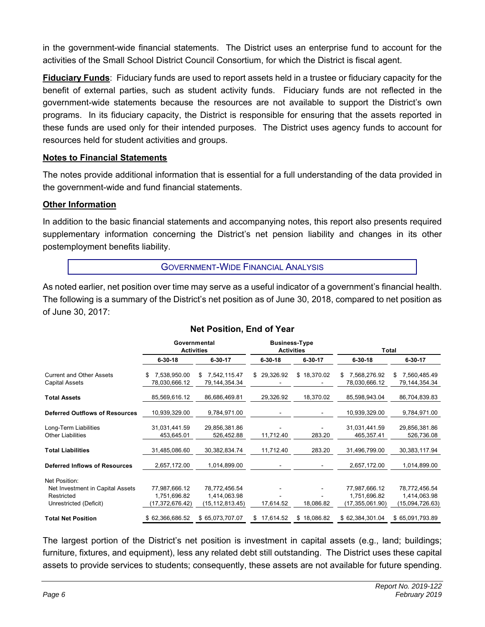in the government-wide financial statements. The District uses an enterprise fund to account for the activities of the Small School District Council Consortium, for which the District is fiscal agent.

**Fiduciary Funds**: Fiduciary funds are used to report assets held in a trustee or fiduciary capacity for the benefit of external parties, such as student activity funds. Fiduciary funds are not reflected in the government-wide statements because the resources are not available to support the District's own programs. In its fiduciary capacity, the District is responsible for ensuring that the assets reported in these funds are used only for their intended purposes. The District uses agency funds to account for resources held for student activities and groups.

#### **Notes to Financial Statements**

The notes provide additional information that is essential for a full understanding of the data provided in the government-wide and fund financial statements.

#### **Other Information**

In addition to the basic financial statements and accompanying notes, this report also presents required supplementary information concerning the District's net pension liability and changes in its other postemployment benefits liability.

GOVERNMENT-WIDE FINANCIAL ANALYSIS

As noted earlier, net position over time may serve as a useful indicator of a government's financial health. The following is a summary of the District's net position as of June 30, 2018, compared to net position as of June 30, 2017:

|                                                                 | Governmental<br><b>Activities</b>   |                                        | <b>Business-Type</b><br><b>Activities</b> |             | Total                               |                                        |  |
|-----------------------------------------------------------------|-------------------------------------|----------------------------------------|-------------------------------------------|-------------|-------------------------------------|----------------------------------------|--|
|                                                                 | $6 - 30 - 18$                       | 6-30-17                                | $6 - 30 - 18$                             | 6-30-17     | $6 - 30 - 18$                       | $6 - 30 - 17$                          |  |
| <b>Current and Other Assets</b><br><b>Capital Assets</b>        | 7,538,950.00<br>\$<br>78,030,666.12 | 7,542,115.47<br>\$<br>79, 144, 354. 34 | \$29,326.92                               | \$18,370.02 | 7,568,276.92<br>\$<br>78,030,666.12 | \$<br>7,560,485.49<br>79, 144, 354. 34 |  |
| <b>Total Assets</b>                                             | 85,569,616.12                       | 86,686,469.81                          | 29,326.92                                 | 18,370.02   | 85,598,943.04                       | 86,704,839.83                          |  |
| <b>Deferred Outflows of Resources</b>                           | 10,939,329.00                       | 9,784,971.00                           | ٠                                         | $\sim$      | 10,939,329.00                       | 9,784,971.00                           |  |
| Long-Term Liabilities<br><b>Other Liabilities</b>               | 31,031,441.59<br>453,645.01         | 29,856,381.86<br>526,452.88            | 11,712.40                                 | 283.20      | 31,031,441.59<br>465,357.41         | 29,856,381.86<br>526,736.08            |  |
| <b>Total Liabilities</b>                                        | 31,485,086.60                       | 30,382,834.74                          | 11,712.40                                 | 283.20      | 31,496,799.00                       | 30,383,117.94                          |  |
| <b>Deferred Inflows of Resources</b>                            | 2,657,172.00                        | 1,014,899.00                           |                                           |             | 2,657,172.00                        | 1,014,899.00                           |  |
| Net Position:<br>Net Investment in Capital Assets<br>Restricted | 77,987,666.12<br>1,751,696.82       | 78,772,456.54<br>1,414,063.98          |                                           |             | 77,987,666.12<br>1,751,696.82       | 78,772,456.54<br>1,414,063.98          |  |
| Unrestricted (Deficit)                                          | (17,372,676.42)                     | (15, 112, 813.45)                      | 17,614.52                                 | 18,086.82   | (17,355,061.90)                     | (15,094,726.63)                        |  |
| <b>Total Net Position</b>                                       | \$62,366,686.52                     | \$65,073,707.07                        | 17,614.52<br>\$                           | \$18,086.82 | \$62,384,301.04                     | \$65,091,793.89                        |  |

#### **Net Position, End of Year**

The largest portion of the District's net position is investment in capital assets (e.g., land; buildings; furniture, fixtures, and equipment), less any related debt still outstanding. The District uses these capital assets to provide services to students; consequently, these assets are not available for future spending.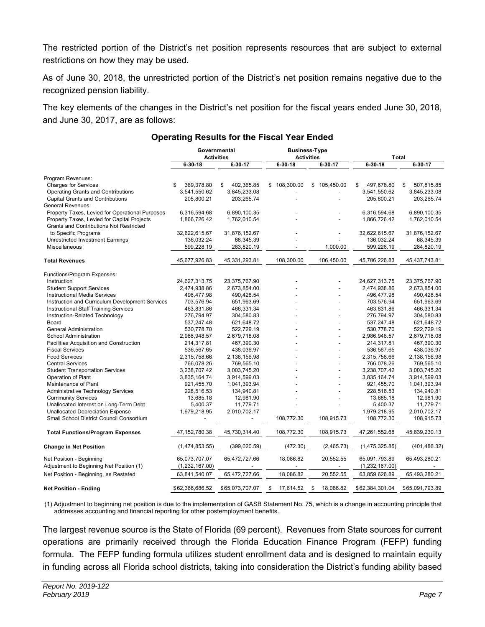The restricted portion of the District's net position represents resources that are subject to external restrictions on how they may be used.

As of June 30, 2018, the unrestricted portion of the District's net position remains negative due to the recognized pension liability.

The key elements of the changes in the District's net position for the fiscal years ended June 30, 2018, and June 30, 2017, are as follows:

|                                                                     |                  | Governmental<br><b>Activities</b> |                 | <b>Business-Type</b><br><b>Activities</b> | Total           |                  |  |
|---------------------------------------------------------------------|------------------|-----------------------------------|-----------------|-------------------------------------------|-----------------|------------------|--|
|                                                                     | $6 - 30 - 18$    | 6-30-17                           | $6 - 30 - 18$   | 6-30-17                                   | $6 - 30 - 18$   | 6-30-17          |  |
|                                                                     |                  |                                   |                 |                                           |                 |                  |  |
| Program Revenues:                                                   | \$               |                                   |                 |                                           | \$              |                  |  |
| <b>Charges for Services</b>                                         | 389,378.80       | 402,365.85<br>\$                  | \$108,300.00    | 105,450.00<br>\$                          | 497,678.80      | 507,815.85<br>\$ |  |
| <b>Operating Grants and Contributions</b>                           | 3,541,550.62     | 3,845,233.08                      |                 |                                           | 3,541,550.62    | 3,845,233.08     |  |
| <b>Capital Grants and Contributions</b><br><b>General Revenues:</b> | 205,800.21       | 203,265.74                        |                 |                                           | 205,800.21      | 203,265.74       |  |
|                                                                     |                  |                                   |                 |                                           |                 |                  |  |
| Property Taxes, Levied for Operational Purposes                     | 6,316,594.68     | 6,890,100.35                      |                 |                                           | 6,316,594.68    | 6,890,100.35     |  |
| Property Taxes, Levied for Capital Projects                         | 1,866,726.42     | 1,762,010.54                      |                 |                                           | 1,866,726.42    | 1,762,010.54     |  |
| Grants and Contributions Not Restricted                             |                  |                                   |                 |                                           |                 |                  |  |
| to Specific Programs                                                | 32,622,615.67    | 31,876,152.67                     |                 |                                           | 32,622,615.67   | 31,876,152.67    |  |
| <b>Unrestricted Investment Earnings</b>                             | 136,032.24       | 68,345.39                         |                 |                                           | 136,032.24      | 68,345.39        |  |
| Miscellaneous                                                       | 599,228.19       | 283,820.19                        |                 | 1,000.00                                  | 599,228.19      | 284,820.19       |  |
| <b>Total Revenues</b>                                               | 45,677,926.83    | 45,331,293.81                     | 108,300.00      | 106,450.00                                | 45,786,226.83   | 45,437,743.81    |  |
| Functions/Program Expenses:                                         |                  |                                   |                 |                                           |                 |                  |  |
| Instruction                                                         | 24,627,313.75    | 23,375,767.90                     |                 |                                           | 24,627,313.75   | 23,375,767.90    |  |
| <b>Student Support Services</b>                                     | 2,474,938.86     | 2,673,854.00                      |                 |                                           | 2,474,938.86    | 2,673,854.00     |  |
| <b>Instructional Media Services</b>                                 | 496,477.98       | 490,428.54                        |                 |                                           | 496,477.98      | 490,428.54       |  |
| Instruction and Curriculum Development Services                     | 703,576.94       | 651,963.69                        |                 |                                           | 703,576.94      | 651,963.69       |  |
| <b>Instructional Staff Training Services</b>                        | 463,831.86       | 466,331.34                        |                 |                                           | 463,831.86      | 466,331.34       |  |
| Instruction-Related Technology                                      | 276,794.97       | 304,580.83                        |                 |                                           | 276,794.97      | 304,580.83       |  |
| Board                                                               | 537,247.48       | 621,648.72                        |                 |                                           | 537,247.48      | 621,648.72       |  |
| <b>General Administration</b>                                       | 530,778.70       | 522,729.19                        |                 |                                           | 530,778.70      | 522,729.19       |  |
| School Administration                                               | 2,986,948.57     | 2,679,718.08                      |                 |                                           | 2,986,948.57    | 2,679,718.08     |  |
| <b>Facilities Acquisition and Construction</b>                      | 214,317.81       | 467,390.30                        |                 |                                           | 214,317.81      | 467,390.30       |  |
| <b>Fiscal Services</b>                                              | 536,567.65       | 438,036.97                        |                 |                                           | 536,567.65      | 438,036.97       |  |
| <b>Food Services</b>                                                | 2,315,758.66     | 2,138,156.98                      |                 |                                           | 2,315,758.66    | 2,138,156.98     |  |
| <b>Central Services</b>                                             | 766,078.26       | 769,565.10                        |                 |                                           | 766,078.26      | 769,565.10       |  |
| <b>Student Transportation Services</b>                              | 3,238,707.42     | 3,003,745.20                      |                 |                                           | 3,238,707.42    | 3,003,745.20     |  |
| Operation of Plant                                                  | 3,835,164.74     | 3,914,599.03                      |                 |                                           | 3,835,164.74    | 3,914,599.03     |  |
| Maintenance of Plant                                                | 921,455.70       | 1,041,393.94                      |                 |                                           | 921,455.70      | 1,041,393.94     |  |
| <b>Administrative Technology Services</b>                           | 228,516.53       | 134,940.81                        |                 |                                           | 228,516.53      | 134,940.81       |  |
| <b>Community Services</b>                                           | 13,685.18        | 12,981.90                         |                 |                                           | 13,685.18       | 12,981.90        |  |
| Unallocated Interest on Long-Term Debt                              | 5,400.37         | 11,779.71                         |                 |                                           | 5,400.37        | 11,779.71        |  |
| <b>Unallocated Depreciation Expense</b>                             | 1,979,218.95     | 2,010,702.17                      |                 |                                           | 1,979,218.95    | 2,010,702.17     |  |
| <b>Small School District Council Consortium</b>                     |                  |                                   | 108,772.30      | 108,915.73                                | 108,772.30      | 108,915.73       |  |
|                                                                     |                  |                                   |                 |                                           |                 |                  |  |
| <b>Total Functions/Program Expenses</b>                             | 47, 152, 780. 38 | 45,730,314.40                     | 108,772.30      | 108,915.73                                | 47,261,552.68   | 45,839,230.13    |  |
| <b>Change in Net Position</b>                                       | (1,474,853.55)   | (399, 020.59)                     | (472.30)        | (2,465.73)                                | (1,475,325.85)  | (401, 486.32)    |  |
| Net Position - Beginning                                            | 65,073,707.07    | 65,472,727.66                     | 18,086.82       | 20,552.55                                 | 65,091,793.89   | 65,493,280.21    |  |
| Adjustment to Beginning Net Position (1)                            | (1,232,167.00)   |                                   |                 |                                           | (1,232,167.00)  |                  |  |
| Net Position - Beginning, as Restated                               | 63,841,540.07    | 65,472,727.66                     | 18,086.82       | 20,552.55                                 | 63,859,626.89   | 65,493,280.21    |  |
| <b>Net Position - Ending</b>                                        | \$62,366,686.52  | \$65,073,707.07                   | 17,614.52<br>\$ | 18,086.82<br>\$                           | \$62,384,301.04 | \$65,091,793.89  |  |

#### **Operating Results for the Fiscal Year Ended**

 (1) Adjustment to beginning net position is due to the implementation of GASB Statement No. 75, which is a change in accounting principle that addresses accounting and financial reporting for other postemployment benefits.

The largest revenue source is the State of Florida (69 percent). Revenues from State sources for current operations are primarily received through the Florida Education Finance Program (FEFP) funding formula. The FEFP funding formula utilizes student enrollment data and is designed to maintain equity in funding across all Florida school districts, taking into consideration the District's funding ability based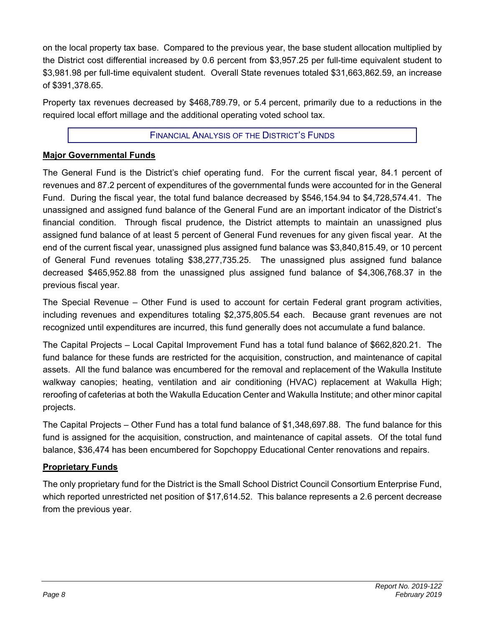on the local property tax base. Compared to the previous year, the base student allocation multiplied by the District cost differential increased by 0.6 percent from \$3,957.25 per full-time equivalent student to \$3,981.98 per full-time equivalent student. Overall State revenues totaled \$31,663,862.59, an increase of \$391,378.65.

Property tax revenues decreased by \$468,789.79, or 5.4 percent, primarily due to a reductions in the required local effort millage and the additional operating voted school tax.

#### FINANCIAL ANALYSIS OF THE DISTRICT'S FUNDS

#### **Major Governmental Funds**

The General Fund is the District's chief operating fund. For the current fiscal year, 84.1 percent of revenues and 87.2 percent of expenditures of the governmental funds were accounted for in the General Fund. During the fiscal year, the total fund balance decreased by \$546,154.94 to \$4,728,574.41. The unassigned and assigned fund balance of the General Fund are an important indicator of the District's financial condition. Through fiscal prudence, the District attempts to maintain an unassigned plus assigned fund balance of at least 5 percent of General Fund revenues for any given fiscal year. At the end of the current fiscal year, unassigned plus assigned fund balance was \$3,840,815.49, or 10 percent of General Fund revenues totaling \$38,277,735.25. The unassigned plus assigned fund balance decreased \$465,952.88 from the unassigned plus assigned fund balance of \$4,306,768.37 in the previous fiscal year.

The Special Revenue – Other Fund is used to account for certain Federal grant program activities, including revenues and expenditures totaling \$2,375,805.54 each. Because grant revenues are not recognized until expenditures are incurred, this fund generally does not accumulate a fund balance.

The Capital Projects – Local Capital Improvement Fund has a total fund balance of \$662,820.21. The fund balance for these funds are restricted for the acquisition, construction, and maintenance of capital assets. All the fund balance was encumbered for the removal and replacement of the Wakulla Institute walkway canopies; heating, ventilation and air conditioning (HVAC) replacement at Wakulla High; reroofing of cafeterias at both the Wakulla Education Center and Wakulla Institute; and other minor capital projects.

The Capital Projects – Other Fund has a total fund balance of \$1,348,697.88. The fund balance for this fund is assigned for the acquisition, construction, and maintenance of capital assets. Of the total fund balance, \$36,474 has been encumbered for Sopchoppy Educational Center renovations and repairs.

#### **Proprietary Funds**

The only proprietary fund for the District is the Small School District Council Consortium Enterprise Fund, which reported unrestricted net position of \$17,614.52. This balance represents a 2.6 percent decrease from the previous year.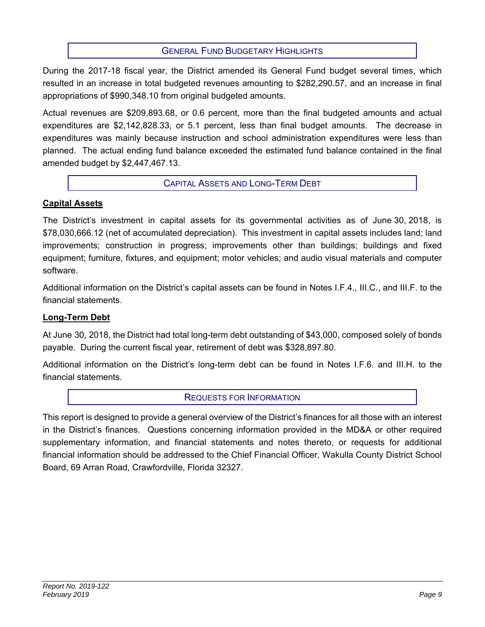## GENERAL FUND BUDGETARY HIGHLIGHTS

During the 2017-18 fiscal year, the District amended its General Fund budget several times, which resulted in an increase in total budgeted revenues amounting to \$282,290.57, and an increase in final appropriations of \$990,348.10 from original budgeted amounts.

Actual revenues are \$209,893.68, or 0.6 percent, more than the final budgeted amounts and actual expenditures are \$2,142,828.33, or 5.1 percent, less than final budget amounts. The decrease in expenditures was mainly because instruction and school administration expenditures were less than planned. The actual ending fund balance exceeded the estimated fund balance contained in the final amended budget by \$2,447,467.13.

#### CAPITAL ASSETS AND LONG-TERM DEBT

#### **Capital Assets**

The District's investment in capital assets for its governmental activities as of June 30, 2018, is \$78,030,666.12 (net of accumulated depreciation). This investment in capital assets includes land; land improvements; construction in progress; improvements other than buildings; buildings and fixed equipment; furniture, fixtures, and equipment; motor vehicles; and audio visual materials and computer software.

Additional information on the District's capital assets can be found in Notes I.F.4., III.C., and III.F. to the financial statements.

#### **Long-Term Debt**

At June 30, 2018, the District had total long-term debt outstanding of \$43,000, composed solely of bonds payable. During the current fiscal year, retirement of debt was \$328,897.80.

Additional information on the District's long-term debt can be found in Notes I.F.6. and III.H. to the financial statements.

#### REQUESTS FOR INFORMATION

This report is designed to provide a general overview of the District's finances for all those with an interest in the District's finances. Questions concerning information provided in the MD&A or other required supplementary information, and financial statements and notes thereto, or requests for additional financial information should be addressed to the Chief Financial Officer, Wakulla County District School Board, 69 Arran Road, Crawfordville, Florida 32327.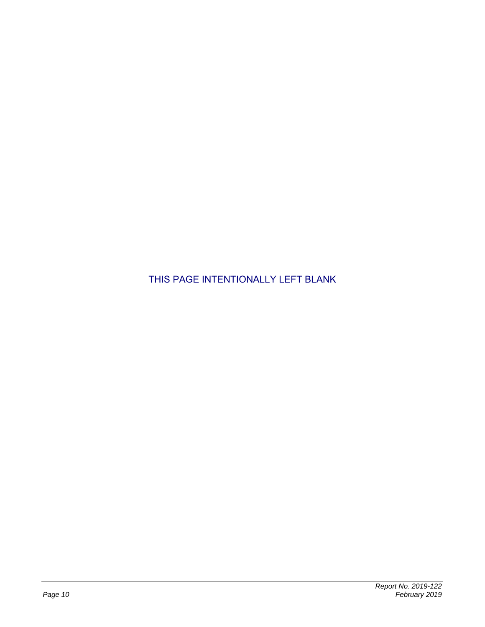THIS PAGE INTENTIONALLY LEFT BLANK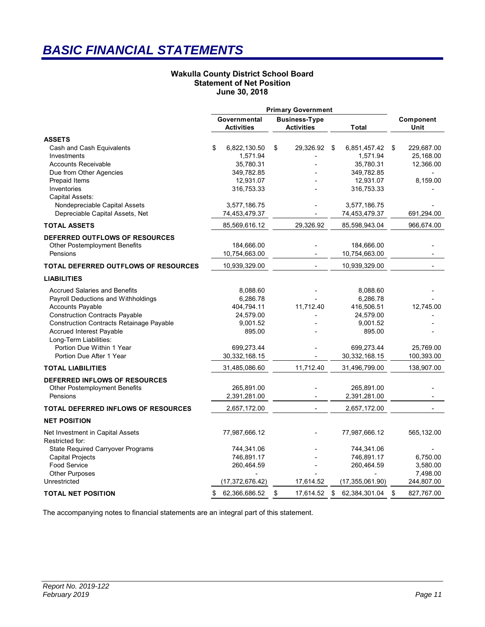## <span id="page-16-0"></span>*BASIC FINANCIAL STATEMENTS*

#### **Wakulla County District School Board Statement of Net Position June 30, 2018**

|                                                 | <b>Primary Government</b> |                      |                     |                  |
|-------------------------------------------------|---------------------------|----------------------|---------------------|------------------|
|                                                 | Governmental              | <b>Business-Type</b> |                     | Component        |
|                                                 | <b>Activities</b>         | <b>Activities</b>    | <b>Total</b>        | Unit             |
| <b>ASSETS</b>                                   |                           |                      |                     |                  |
| Cash and Cash Equivalents                       | \$<br>6,822,130.50        | \$<br>29,326.92      | \$<br>6,851,457.42  | 229,687.00<br>\$ |
| Investments                                     | 1,571.94                  |                      | 1,571.94            | 25,168.00        |
| <b>Accounts Receivable</b>                      | 35,780.31                 |                      | 35,780.31           | 12,366.00        |
| Due from Other Agencies                         | 349,782.85                |                      | 349,782.85          |                  |
| Prepaid Items                                   | 12,931.07                 |                      | 12,931.07           | 8,159.00         |
| Inventories                                     | 316,753.33                |                      | 316,753.33          |                  |
| Capital Assets:                                 |                           |                      |                     |                  |
| Nondepreciable Capital Assets                   | 3,577,186.75              |                      | 3,577,186.75        |                  |
| Depreciable Capital Assets, Net                 | 74,453,479.37             |                      | 74,453,479.37       | 691,294.00       |
| <b>TOTAL ASSETS</b>                             | 85,569,616.12             | 29,326.92            | 85,598,943.04       | 966,674.00       |
| DEFERRED OUTFLOWS OF RESOURCES                  |                           |                      |                     |                  |
| <b>Other Postemployment Benefits</b>            | 184,666.00                |                      | 184,666.00          |                  |
| Pensions                                        | 10,754,663.00             |                      | 10,754,663.00       |                  |
| <b>TOTAL DEFERRED OUTFLOWS OF RESOURCES</b>     | 10,939,329.00             |                      | 10,939,329.00       |                  |
| <b>LIABILITIES</b>                              |                           |                      |                     |                  |
| <b>Accrued Salaries and Benefits</b>            | 8,088.60                  |                      | 8,088.60            |                  |
| Payroll Deductions and Withholdings             | 6,286.78                  |                      | 6,286.78            |                  |
| <b>Accounts Payable</b>                         | 404,794.11                | 11,712.40            | 416,506.51          | 12,745.00        |
| <b>Construction Contracts Payable</b>           | 24,579.00                 |                      | 24,579.00           |                  |
| <b>Construction Contracts Retainage Payable</b> | 9,001.52                  |                      | 9,001.52            |                  |
| <b>Accrued Interest Payable</b>                 | 895.00                    |                      | 895.00              |                  |
| Long-Term Liabilities:                          |                           |                      |                     |                  |
| Portion Due Within 1 Year                       | 699,273.44                |                      | 699,273.44          | 25,769.00        |
| Portion Due After 1 Year                        | 30, 332, 168. 15          |                      | 30,332,168.15       | 100,393.00       |
| <b>TOTAL LIABILITIES</b>                        | 31,485,086.60             | 11,712.40            | 31,496,799.00       | 138,907.00       |
| DEFERRED INFLOWS OF RESOURCES                   |                           |                      |                     |                  |
| Other Postemployment Benefits                   | 265,891.00                |                      | 265,891.00          |                  |
| Pensions                                        | 2,391,281.00              |                      | 2,391,281.00        |                  |
| <b>TOTAL DEFERRED INFLOWS OF RESOURCES</b>      | 2,657,172.00              |                      | 2,657,172.00        |                  |
| <b>NET POSITION</b>                             |                           |                      |                     |                  |
| Net Investment in Capital Assets                | 77,987,666.12             |                      | 77,987,666.12       | 565,132.00       |
| Restricted for:                                 |                           |                      |                     |                  |
| <b>State Required Carryover Programs</b>        | 744,341.06                |                      | 744,341.06          |                  |
| <b>Capital Projects</b>                         | 746,891.17                |                      | 746,891.17          | 6,750.00         |
| <b>Food Service</b>                             | 260,464.59                |                      | 260,464.59          | 3,580.00         |
| <b>Other Purposes</b>                           |                           |                      |                     | 7,498.00         |
| Unrestricted                                    | (17,372,676.42)           | 17,614.52            | (17, 355, 061.90)   | 244,807.00       |
| <b>TOTAL NET POSITION</b>                       | 62,366,686.52<br>\$       | \$<br>17,614.52      | \$<br>62,384,301.04 | \$<br>827,767.00 |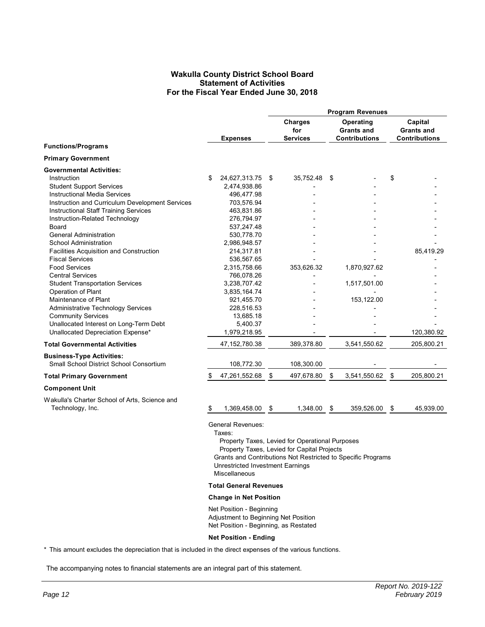#### **Wakulla County District School Board Statement of Activities For the Fiscal Year Ended June 30, 2018**

<span id="page-17-0"></span>

|                                                                                    |                                                                                                                                                                                                                                                                               | <b>Program Revenues</b> |                                                                                                |    |                                                              |      |                                               |
|------------------------------------------------------------------------------------|-------------------------------------------------------------------------------------------------------------------------------------------------------------------------------------------------------------------------------------------------------------------------------|-------------------------|------------------------------------------------------------------------------------------------|----|--------------------------------------------------------------|------|-----------------------------------------------|
|                                                                                    | <b>Expenses</b>                                                                                                                                                                                                                                                               |                         | <b>Charges</b><br>for<br><b>Services</b>                                                       |    | Operating<br><b>Grants and</b><br><b>Contributions</b>       |      | Capital<br><b>Grants and</b><br>Contributions |
| <b>Functions/Programs</b>                                                          |                                                                                                                                                                                                                                                                               |                         |                                                                                                |    |                                                              |      |                                               |
| <b>Primary Government</b>                                                          |                                                                                                                                                                                                                                                                               |                         |                                                                                                |    |                                                              |      |                                               |
| <b>Governmental Activities:</b>                                                    |                                                                                                                                                                                                                                                                               |                         |                                                                                                |    |                                                              |      |                                               |
| Instruction                                                                        | \$<br>24,627,313.75                                                                                                                                                                                                                                                           | \$                      | 35,752.48                                                                                      | \$ |                                                              | \$   |                                               |
| <b>Student Support Services</b>                                                    | 2,474,938.86                                                                                                                                                                                                                                                                  |                         |                                                                                                |    |                                                              |      |                                               |
| <b>Instructional Media Services</b>                                                | 496,477.98                                                                                                                                                                                                                                                                    |                         |                                                                                                |    |                                                              |      |                                               |
| Instruction and Curriculum Development Services                                    | 703,576.94                                                                                                                                                                                                                                                                    |                         |                                                                                                |    |                                                              |      |                                               |
| <b>Instructional Staff Training Services</b>                                       | 463,831.86                                                                                                                                                                                                                                                                    |                         |                                                                                                |    |                                                              |      |                                               |
| Instruction-Related Technology                                                     | 276,794.97                                                                                                                                                                                                                                                                    |                         |                                                                                                |    |                                                              |      |                                               |
| Board                                                                              | 537,247.48                                                                                                                                                                                                                                                                    |                         |                                                                                                |    |                                                              |      |                                               |
| <b>General Administration</b>                                                      | 530,778.70                                                                                                                                                                                                                                                                    |                         |                                                                                                |    |                                                              |      |                                               |
| <b>School Administration</b>                                                       | 2,986,948.57                                                                                                                                                                                                                                                                  |                         |                                                                                                |    |                                                              |      |                                               |
| Facilities Acquisition and Construction                                            | 214,317.81                                                                                                                                                                                                                                                                    |                         |                                                                                                |    |                                                              |      | 85,419.29                                     |
| <b>Fiscal Services</b>                                                             | 536,567.65                                                                                                                                                                                                                                                                    |                         |                                                                                                |    |                                                              |      |                                               |
| <b>Food Services</b>                                                               | 2,315,758.66                                                                                                                                                                                                                                                                  |                         | 353,626.32                                                                                     |    | 1,870,927.62                                                 |      |                                               |
| <b>Central Services</b>                                                            | 766,078.26                                                                                                                                                                                                                                                                    |                         |                                                                                                |    |                                                              |      |                                               |
| <b>Student Transportation Services</b>                                             | 3,238,707.42                                                                                                                                                                                                                                                                  |                         |                                                                                                |    | 1,517,501.00                                                 |      |                                               |
| Operation of Plant                                                                 | 3,835,164.74                                                                                                                                                                                                                                                                  |                         |                                                                                                |    |                                                              |      |                                               |
| Maintenance of Plant<br>Administrative Technology Services                         | 921,455.70<br>228,516.53                                                                                                                                                                                                                                                      |                         |                                                                                                |    | 153,122.00                                                   |      |                                               |
| <b>Community Services</b>                                                          | 13,685.18                                                                                                                                                                                                                                                                     |                         |                                                                                                |    |                                                              |      |                                               |
| Unallocated Interest on Long-Term Debt                                             | 5,400.37                                                                                                                                                                                                                                                                      |                         |                                                                                                |    |                                                              |      |                                               |
| Unallocated Depreciation Expense*                                                  | 1,979,218.95                                                                                                                                                                                                                                                                  |                         |                                                                                                |    |                                                              |      | 120,380.92                                    |
| <b>Total Governmental Activities</b>                                               | 47, 152, 780. 38                                                                                                                                                                                                                                                              |                         | 389,378.80                                                                                     |    | 3,541,550.62                                                 |      | 205,800.21                                    |
|                                                                                    |                                                                                                                                                                                                                                                                               |                         |                                                                                                |    |                                                              |      |                                               |
| <b>Business-Type Activities:</b><br><b>Small School District School Consortium</b> | 108,772.30                                                                                                                                                                                                                                                                    |                         | 108,300.00                                                                                     |    |                                                              |      |                                               |
| <b>Total Primary Government</b>                                                    | \$<br>47,261,552.68                                                                                                                                                                                                                                                           | \$                      | 497,678.80                                                                                     | \$ | 3,541,550.62 \$                                              |      | 205,800.21                                    |
| <b>Component Unit</b>                                                              |                                                                                                                                                                                                                                                                               |                         |                                                                                                |    |                                                              |      |                                               |
| Wakulla's Charter School of Arts, Science and                                      |                                                                                                                                                                                                                                                                               |                         |                                                                                                |    |                                                              |      |                                               |
| Technology, Inc.                                                                   | \$<br>1,369,458.00 \$                                                                                                                                                                                                                                                         |                         | 1,348.00 \$                                                                                    |    | 359,526.00                                                   | - \$ | 45,939.00                                     |
|                                                                                    | <b>General Revenues:</b><br>Taxes:<br>Unrestricted Investment Earnings<br><b>Miscellaneous</b><br><b>Total General Revenues</b><br><b>Change in Net Position</b><br>Net Position - Beginning<br>Adjustment to Beginning Net Position<br>Net Position - Beginning, as Restated |                         | Property Taxes, Levied for Operational Purposes<br>Property Taxes, Levied for Capital Projects |    | Grants and Contributions Not Restricted to Specific Programs |      |                                               |
|                                                                                    | <b>Net Position - Ending</b>                                                                                                                                                                                                                                                  |                         |                                                                                                |    |                                                              |      |                                               |

\* This amount excludes the depreciation that is included in the direct expenses of the various functions.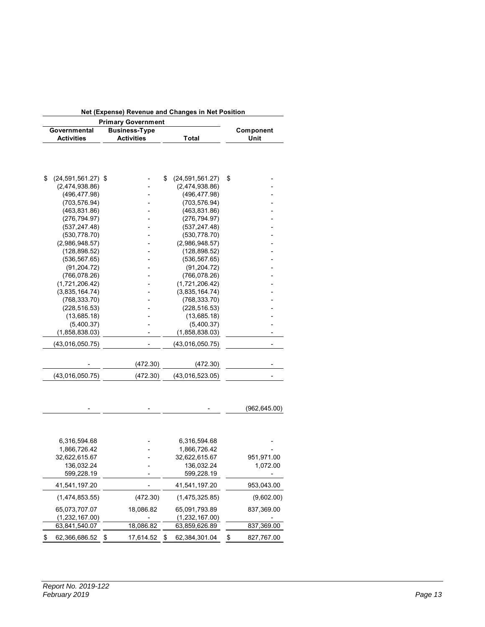|                                   |                                                                        |           |    | Net (Expense) Revenue and Changes in Net Position |                   |               |  |  |
|-----------------------------------|------------------------------------------------------------------------|-----------|----|---------------------------------------------------|-------------------|---------------|--|--|
| Governmental<br><b>Activities</b> | <b>Primary Government</b><br><b>Business-Type</b><br><b>Activities</b> |           |    |                                                   | Component<br>Unit |               |  |  |
|                                   |                                                                        |           |    |                                                   |                   |               |  |  |
| \$<br>$(24,591,561.27)$ \$        |                                                                        |           | \$ | (24, 591, 561.27)                                 | \$                |               |  |  |
| (2,474,938.86)                    |                                                                        |           |    | (2,474,938.86)                                    |                   |               |  |  |
| (496, 477.98)                     |                                                                        |           |    | (496, 477.98)                                     |                   |               |  |  |
| (703, 576.94)                     |                                                                        |           |    | (703, 576.94)                                     |                   |               |  |  |
| (463, 831.86)                     |                                                                        |           |    | (463, 831.86)                                     |                   |               |  |  |
| (276, 794.97)                     |                                                                        |           |    | (276, 794.97)                                     |                   |               |  |  |
| (537, 247.48)                     |                                                                        |           |    | (537, 247.48)                                     |                   |               |  |  |
| (530, 778.70)                     |                                                                        |           |    | (530, 778.70)                                     |                   |               |  |  |
| (2,986,948.57)                    |                                                                        |           |    | (2,986,948.57)                                    |                   |               |  |  |
| (128, 898.52)                     |                                                                        |           |    | (128, 898.52)                                     |                   |               |  |  |
| (536, 567.65)                     |                                                                        |           |    | (536, 567.65)                                     |                   |               |  |  |
| (91, 204.72)                      |                                                                        |           |    | (91, 204.72)                                      |                   |               |  |  |
| (766, 078.26)                     |                                                                        |           |    | (766, 078.26)                                     |                   |               |  |  |
| (1,721,206.42)                    |                                                                        |           |    | (1,721,206.42)                                    |                   |               |  |  |
| (3,835,164.74)                    |                                                                        |           |    | (3,835,164.74)                                    |                   |               |  |  |
| (768, 333.70)                     |                                                                        |           |    | (768, 333.70)                                     |                   |               |  |  |
| (228, 516.53)                     |                                                                        |           |    | (228, 516.53)                                     |                   |               |  |  |
| (13,685.18)                       |                                                                        |           |    | (13,685.18)                                       |                   |               |  |  |
| (5,400.37)                        |                                                                        |           |    | (5,400.37)                                        |                   |               |  |  |
| (1,858,838.03)                    |                                                                        |           |    | (1,858,838.03)                                    |                   |               |  |  |
| (43,016,050.75)                   |                                                                        |           |    | (43,016,050.75)                                   |                   | -             |  |  |
|                                   |                                                                        | (472.30)  |    | (472.30)                                          |                   |               |  |  |
|                                   |                                                                        |           |    |                                                   |                   |               |  |  |
| (43,016,050.75)                   |                                                                        | (472.30)  |    | (43,016,523.05)                                   |                   |               |  |  |
|                                   |                                                                        |           |    |                                                   |                   | (962, 645.00) |  |  |
|                                   |                                                                        |           |    |                                                   |                   |               |  |  |
| 6,316,594.68                      |                                                                        |           |    | 6,316,594.68                                      |                   |               |  |  |
| 1,866,726.42                      |                                                                        |           |    | 1,866,726.42                                      |                   |               |  |  |
| 32,622,615.67                     |                                                                        |           |    | 32,622,615.67                                     |                   | 951,971.00    |  |  |
| 136,032.24                        |                                                                        |           |    | 136,032.24                                        |                   | 1,072.00      |  |  |
| 599,228.19                        |                                                                        |           |    | 599,228.19                                        |                   |               |  |  |
| 41,541,197.20                     |                                                                        |           |    | 41,541,197.20                                     |                   | 953,043.00    |  |  |
| (1,474,853.55)                    |                                                                        | (472.30)  |    | (1,475,325.85)                                    |                   | (9,602.00)    |  |  |
| 65,073,707.07                     |                                                                        | 18,086.82 |    | 65,091,793.89                                     |                   | 837,369.00    |  |  |
| (1, 232, 167.00)                  |                                                                        |           |    | (1,232,167.00)                                    |                   |               |  |  |
| 63,841,540.07                     |                                                                        | 18,086.82 |    | 63,859,626.89                                     |                   | 837,369.00    |  |  |
| \$<br>62,366,686.52               | \$                                                                     | 17,614.52 | \$ | 62,384,301.04                                     | $\frac{3}{2}$     | 827,767.00    |  |  |
|                                   |                                                                        |           |    |                                                   |                   |               |  |  |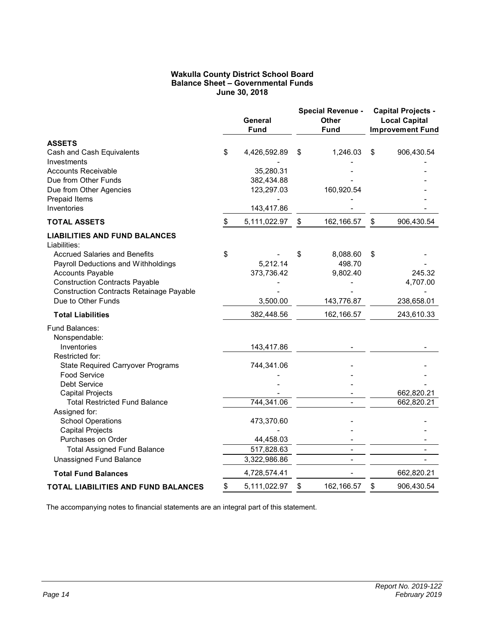#### **Wakulla County District School Board Balance Sheet – Governmental Funds June 30, 2018**

<span id="page-19-0"></span>

|                                                                       |    | General<br><b>Fund</b> |    | <b>Special Revenue -</b><br>Other<br><b>Fund</b> | <b>Capital Projects -</b><br><b>Local Capital</b><br><b>Improvement Fund</b> |            |  |
|-----------------------------------------------------------------------|----|------------------------|----|--------------------------------------------------|------------------------------------------------------------------------------|------------|--|
| <b>ASSETS</b>                                                         |    |                        |    |                                                  |                                                                              |            |  |
| Cash and Cash Equivalents                                             | \$ | 4,426,592.89           | \$ | 1,246.03                                         | \$                                                                           | 906,430.54 |  |
| Investments<br><b>Accounts Receivable</b>                             |    | 35,280.31              |    |                                                  |                                                                              |            |  |
| Due from Other Funds                                                  |    | 382,434.88             |    |                                                  |                                                                              |            |  |
| Due from Other Agencies                                               |    | 123,297.03             |    | 160,920.54                                       |                                                                              |            |  |
| Prepaid Items                                                         |    |                        |    |                                                  |                                                                              |            |  |
| Inventories                                                           |    | 143,417.86             |    |                                                  |                                                                              |            |  |
| TOTAL ASSETS                                                          | \$ | 5,111,022.97           | \$ | 162,166.57                                       | \$                                                                           | 906,430.54 |  |
| <b>LIABILITIES AND FUND BALANCES</b><br>Liabilities:                  |    |                        |    |                                                  |                                                                              |            |  |
| <b>Accrued Salaries and Benefits</b>                                  | \$ |                        | \$ | 8,088.60                                         | \$                                                                           |            |  |
| Payroll Deductions and Withholdings                                   |    | 5,212.14               |    | 498.70                                           |                                                                              |            |  |
| <b>Accounts Payable</b>                                               |    | 373,736.42             |    | 9,802.40                                         |                                                                              | 245.32     |  |
| <b>Construction Contracts Payable</b>                                 |    |                        |    |                                                  |                                                                              | 4,707.00   |  |
| <b>Construction Contracts Retainage Payable</b><br>Due to Other Funds |    | 3,500.00               |    | 143,776.87                                       |                                                                              |            |  |
|                                                                       |    |                        |    |                                                  |                                                                              | 238,658.01 |  |
| <b>Total Liabilities</b>                                              |    | 382,448.56             |    | 162,166.57                                       |                                                                              | 243,610.33 |  |
| Fund Balances:                                                        |    |                        |    |                                                  |                                                                              |            |  |
| Nonspendable:                                                         |    |                        |    |                                                  |                                                                              |            |  |
| Inventories                                                           |    | 143,417.86             |    |                                                  |                                                                              |            |  |
| Restricted for:                                                       |    |                        |    |                                                  |                                                                              |            |  |
| <b>State Required Carryover Programs</b>                              |    | 744,341.06             |    |                                                  |                                                                              |            |  |
| Food Service<br>Debt Service                                          |    |                        |    |                                                  |                                                                              |            |  |
| <b>Capital Projects</b>                                               |    |                        |    |                                                  |                                                                              | 662,820.21 |  |
| <b>Total Restricted Fund Balance</b>                                  |    | 744,341.06             |    | $\blacksquare$                                   |                                                                              | 662,820.21 |  |
| Assigned for:                                                         |    |                        |    |                                                  |                                                                              |            |  |
| <b>School Operations</b>                                              |    | 473,370.60             |    |                                                  |                                                                              |            |  |
| <b>Capital Projects</b>                                               |    |                        |    |                                                  |                                                                              |            |  |
| Purchases on Order                                                    |    | 44,458.03              |    |                                                  |                                                                              |            |  |
| <b>Total Assigned Fund Balance</b>                                    |    | 517,828.63             |    |                                                  |                                                                              |            |  |
| <b>Unassigned Fund Balance</b>                                        |    | 3,322,986.86           |    |                                                  |                                                                              |            |  |
| <b>Total Fund Balances</b>                                            |    | 4,728,574.41           |    |                                                  |                                                                              | 662,820.21 |  |
| TOTAL LIABILITIES AND FUND BALANCES                                   | \$ | 5,111,022.97           | \$ | 162,166.57                                       | \$                                                                           | 906,430.54 |  |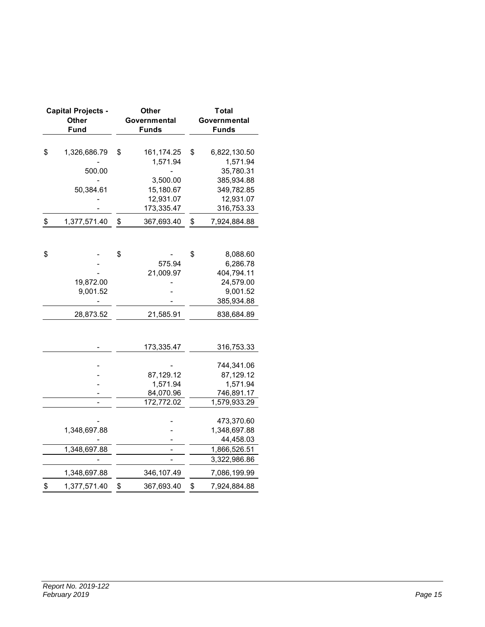| <b>Capital Projects -</b><br><b>Other</b><br>Fund | Other<br>Governmental<br>Funds |                       | <b>Total</b><br>Governmental<br>Funds |
|---------------------------------------------------|--------------------------------|-----------------------|---------------------------------------|
|                                                   |                                |                       |                                       |
| \$<br>1,326,686.79                                | \$<br>161,174.25               | \$                    | 6,822,130.50                          |
|                                                   | 1,571.94                       |                       | 1,571.94                              |
| 500.00                                            |                                |                       | 35,780.31                             |
|                                                   | 3,500.00                       |                       | 385,934.88                            |
| 50,384.61                                         | 15,180.67                      |                       | 349,782.85                            |
|                                                   | 12,931.07                      |                       | 12,931.07                             |
|                                                   | 173,335.47                     |                       | 316,753.33                            |
| \$<br>1,377,571.40                                | \$<br>367,693.40               | $\boldsymbol{\theta}$ | 7,924,884.88                          |
|                                                   |                                |                       |                                       |
| \$                                                | \$                             | \$                    | 8,088.60                              |
|                                                   | 575.94                         |                       | 6,286.78                              |
|                                                   | 21,009.97                      |                       | 404,794.11                            |
| 19,872.00                                         |                                |                       | 24,579.00                             |
| 9,001.52                                          |                                |                       | 9,001.52                              |
|                                                   |                                |                       | 385,934.88                            |
| 28,873.52                                         | 21,585.91                      |                       | 838,684.89                            |
|                                                   |                                |                       |                                       |
|                                                   | 173,335.47                     |                       | 316,753.33                            |
|                                                   |                                |                       | 744,341.06                            |
|                                                   | 87,129.12                      |                       | 87,129.12                             |
|                                                   | 1,571.94                       |                       | 1,571.94                              |
|                                                   | 84,070.96                      |                       | 746,891.17                            |
|                                                   | 172,772.02                     |                       | 1,579,933.29                          |
|                                                   |                                |                       |                                       |
|                                                   |                                |                       | 473,370.60                            |
| 1,348,697.88                                      |                                |                       | 1,348,697.88                          |
|                                                   |                                |                       | 44,458.03                             |
| 1,348,697.88                                      |                                |                       | 1,866,526.51                          |
|                                                   |                                |                       | 3,322,986.86                          |
| 1,348,697.88                                      | 346,107.49                     |                       | 7,086,199.99                          |
| \$<br>1,377,571.40                                | \$<br>367,693.40               | \$                    | 7,924,884.88                          |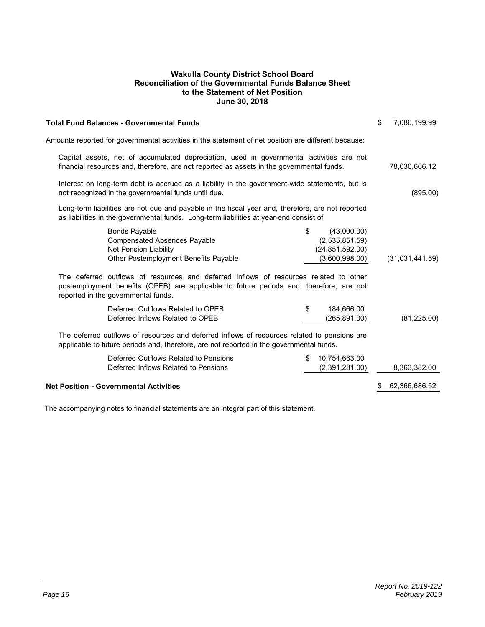#### **Wakulla County District School Board Reconciliation of the Governmental Funds Balance Sheet to the Statement of Net Position June 30, 2018**

<span id="page-21-0"></span>

| <b>Total Fund Balances - Governmental Funds</b>                                                                                                                                                                         | \$. | 7,086,199.99    |
|-------------------------------------------------------------------------------------------------------------------------------------------------------------------------------------------------------------------------|-----|-----------------|
| Amounts reported for governmental activities in the statement of net position are different because:                                                                                                                    |     |                 |
| Capital assets, net of accumulated depreciation, used in governmental activities are not<br>financial resources and, therefore, are not reported as assets in the governmental funds.                                   |     | 78,030,666.12   |
| Interest on long-term debt is accrued as a liability in the government-wide statements, but is<br>not recognized in the governmental funds until due.                                                                   |     | (895.00)        |
| Long-term liabilities are not due and payable in the fiscal year and, therefore, are not reported<br>as liabilities in the governmental funds. Long-term liabilities at year-end consist of:                            |     |                 |
| <b>Bonds Payable</b><br>(43,000.00)<br>\$<br><b>Compensated Absences Payable</b><br>(2,535,851.59)<br>Net Pension Liability<br>(24, 851, 592.00)<br>(3,600,998.00)<br>Other Postemployment Benefits Payable             |     | (31,031,441.59) |
| The deferred outflows of resources and deferred inflows of resources related to other<br>postemployment benefits (OPEB) are applicable to future periods and, therefore, are not<br>reported in the governmental funds. |     |                 |
| Deferred Outflows Related to OPEB<br>\$<br>184,666.00<br>Deferred Inflows Related to OPEB<br>(265, 891.00)                                                                                                              |     | (81, 225.00)    |
| The deferred outflows of resources and deferred inflows of resources related to pensions are<br>applicable to future periods and, therefore, are not reported in the governmental funds.                                |     |                 |
| Deferred Outflows Related to Pensions<br>10,754,663.00<br>\$<br>Deferred Inflows Related to Pensions<br>(2,391,281.00)                                                                                                  |     | 8,363,382.00    |
| <b>Net Position - Governmental Activities</b>                                                                                                                                                                           |     | 62,366,686.52   |
|                                                                                                                                                                                                                         |     |                 |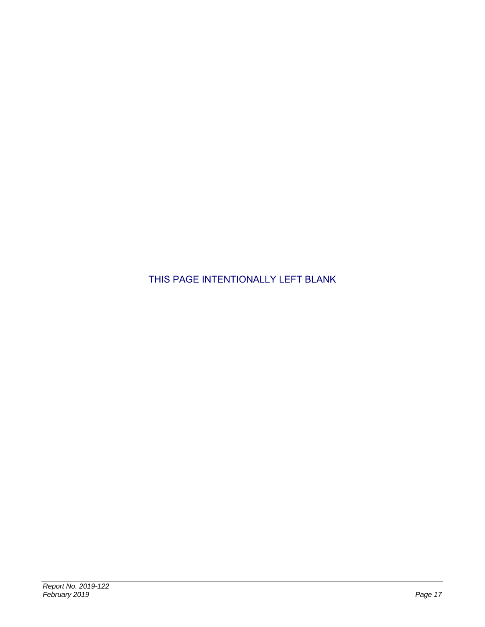THIS PAGE INTENTIONALLY LEFT BLANK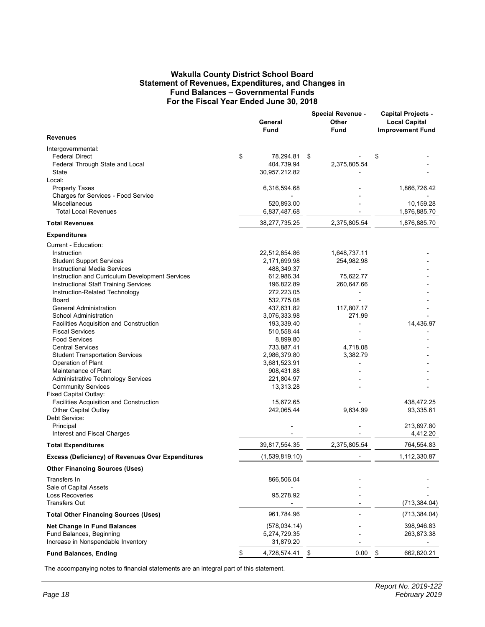#### **Wakulla County District School Board Statement of Revenues, Expenditures, and Changes in Fund Balances – Governmental Funds For the Fiscal Year Ended June 30, 2018**

<span id="page-23-0"></span>

|                                                                                                                                                                                                                                                                                                                                                                                                                                                                                                                                                                                                                                                                                                                                                                | General<br>Fund                                                                                                                                                                                                                                                                             | <b>Special Revenue -</b><br>Other<br><b>Fund</b>                                                                  | <b>Capital Projects -</b><br><b>Local Capital</b><br><b>Improvement Fund</b> |
|----------------------------------------------------------------------------------------------------------------------------------------------------------------------------------------------------------------------------------------------------------------------------------------------------------------------------------------------------------------------------------------------------------------------------------------------------------------------------------------------------------------------------------------------------------------------------------------------------------------------------------------------------------------------------------------------------------------------------------------------------------------|---------------------------------------------------------------------------------------------------------------------------------------------------------------------------------------------------------------------------------------------------------------------------------------------|-------------------------------------------------------------------------------------------------------------------|------------------------------------------------------------------------------|
| <b>Revenues</b>                                                                                                                                                                                                                                                                                                                                                                                                                                                                                                                                                                                                                                                                                                                                                |                                                                                                                                                                                                                                                                                             |                                                                                                                   |                                                                              |
| Intergovernmental:<br><b>Federal Direct</b><br>Federal Through State and Local<br>State                                                                                                                                                                                                                                                                                                                                                                                                                                                                                                                                                                                                                                                                        | \$<br>78,294.81<br>404,739.94<br>30,957,212.82                                                                                                                                                                                                                                              | \$<br>2,375,805.54                                                                                                | \$                                                                           |
| Local:<br><b>Property Taxes</b><br>Charges for Services - Food Service<br><b>Miscellaneous</b>                                                                                                                                                                                                                                                                                                                                                                                                                                                                                                                                                                                                                                                                 | 6,316,594.68<br>520,893.00                                                                                                                                                                                                                                                                  |                                                                                                                   | 1,866,726.42<br>10,159.28                                                    |
| <b>Total Local Revenues</b>                                                                                                                                                                                                                                                                                                                                                                                                                                                                                                                                                                                                                                                                                                                                    | 6,837,487.68                                                                                                                                                                                                                                                                                |                                                                                                                   | 1,876,885.70                                                                 |
| <b>Total Revenues</b>                                                                                                                                                                                                                                                                                                                                                                                                                                                                                                                                                                                                                                                                                                                                          | 38,277,735.25                                                                                                                                                                                                                                                                               | 2,375,805.54                                                                                                      | 1,876,885.70                                                                 |
| <b>Expenditures</b>                                                                                                                                                                                                                                                                                                                                                                                                                                                                                                                                                                                                                                                                                                                                            |                                                                                                                                                                                                                                                                                             |                                                                                                                   |                                                                              |
|                                                                                                                                                                                                                                                                                                                                                                                                                                                                                                                                                                                                                                                                                                                                                                |                                                                                                                                                                                                                                                                                             |                                                                                                                   |                                                                              |
| Current - Education:<br>Instruction<br><b>Student Support Services</b><br><b>Instructional Media Services</b><br>Instruction and Curriculum Development Services<br><b>Instructional Staff Training Services</b><br>Instruction-Related Technology<br>Board<br><b>General Administration</b><br><b>School Administration</b><br><b>Facilities Acquisition and Construction</b><br><b>Fiscal Services</b><br><b>Food Services</b><br><b>Central Services</b><br><b>Student Transportation Services</b><br>Operation of Plant<br>Maintenance of Plant<br><b>Administrative Technology Services</b><br><b>Community Services</b><br>Fixed Capital Outlay:<br>Facilities Acquisition and Construction<br><b>Other Capital Outlay</b><br>Debt Service:<br>Principal | 22,512,854.86<br>2,171,699.98<br>488,349.37<br>612,986.34<br>196,822.89<br>272,223.05<br>532,775.08<br>437,631.82<br>3,076,333.98<br>193,339.40<br>510,558.44<br>8,899.80<br>733,887.41<br>2,986,379.80<br>3,681,523.91<br>908,431.88<br>221,804.97<br>13,313.28<br>15,672.65<br>242,065.44 | 1,648,737.11<br>254,982.98<br>75.622.77<br>260,647.66<br>117,807.17<br>271.99<br>4,718.08<br>3,382.79<br>9,634.99 | 14,436.97<br>438,472.25<br>93,335.61<br>213,897.80                           |
| Interest and Fiscal Charges                                                                                                                                                                                                                                                                                                                                                                                                                                                                                                                                                                                                                                                                                                                                    |                                                                                                                                                                                                                                                                                             |                                                                                                                   | 4,412.20                                                                     |
| <b>Total Expenditures</b>                                                                                                                                                                                                                                                                                                                                                                                                                                                                                                                                                                                                                                                                                                                                      | 39,817,554.35                                                                                                                                                                                                                                                                               | 2,375,805.54                                                                                                      | 764,554.83                                                                   |
| <b>Excess (Deficiency) of Revenues Over Expenditures</b>                                                                                                                                                                                                                                                                                                                                                                                                                                                                                                                                                                                                                                                                                                       | (1,539,819.10)                                                                                                                                                                                                                                                                              |                                                                                                                   | 1,112,330.87                                                                 |
| <b>Other Financing Sources (Uses)</b>                                                                                                                                                                                                                                                                                                                                                                                                                                                                                                                                                                                                                                                                                                                          |                                                                                                                                                                                                                                                                                             |                                                                                                                   |                                                                              |
| Transfers In<br>Sale of Capital Assets<br>Loss Recoveries<br><b>Transfers Out</b>                                                                                                                                                                                                                                                                                                                                                                                                                                                                                                                                                                                                                                                                              | 866,506.04<br>95,278.92                                                                                                                                                                                                                                                                     |                                                                                                                   | (713, 384.04)                                                                |
| <b>Total Other Financing Sources (Uses)</b>                                                                                                                                                                                                                                                                                                                                                                                                                                                                                                                                                                                                                                                                                                                    | 961,784.96                                                                                                                                                                                                                                                                                  |                                                                                                                   | (713, 384.04)                                                                |
| Net Change in Fund Balances<br>Fund Balances, Beginning<br>Increase in Nonspendable Inventory                                                                                                                                                                                                                                                                                                                                                                                                                                                                                                                                                                                                                                                                  | (578, 034.14)<br>5,274,729.35<br>31,879.20                                                                                                                                                                                                                                                  |                                                                                                                   | 398,946.83<br>263,873.38                                                     |
| <b>Fund Balances, Ending</b>                                                                                                                                                                                                                                                                                                                                                                                                                                                                                                                                                                                                                                                                                                                                   | \$<br>4,728,574.41 \$                                                                                                                                                                                                                                                                       | 0.00                                                                                                              | \$<br>662,820.21                                                             |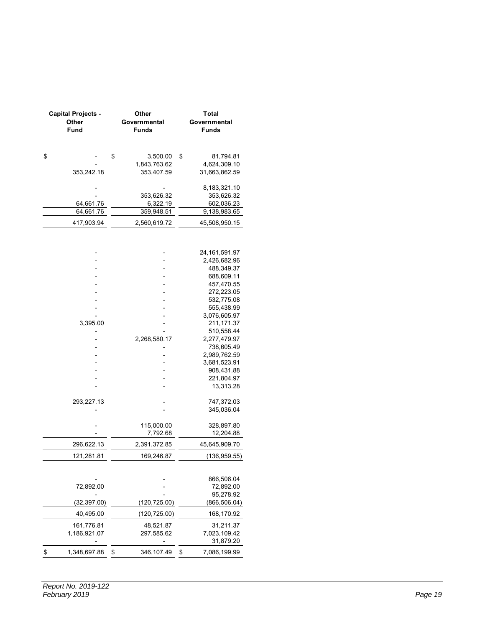| <b>Capital Projects -</b><br>Other<br>Fund | Other<br>Governmental<br>Funds               | Total<br>Governmental<br>Funds                                                                                                                                                                                                                                                         |
|--------------------------------------------|----------------------------------------------|----------------------------------------------------------------------------------------------------------------------------------------------------------------------------------------------------------------------------------------------------------------------------------------|
| \$<br>353,242.18                           | \$<br>3,500.00<br>1,843,763.62<br>353,407.59 | \$<br>81,794.81<br>4,624,309.10<br>31,663,862.59                                                                                                                                                                                                                                       |
| 64,661.76<br>64,661.76                     | 353,626.32<br>6,322.19<br>359,948.51         | 8,183,321.10<br>353,626.32<br>602,036.23<br>9,138,983.65                                                                                                                                                                                                                               |
| 417,903.94                                 | 2,560,619.72                                 | 45,508,950.15                                                                                                                                                                                                                                                                          |
| 3,395.00<br>293,227.13                     | 2,268,580.17                                 | 24, 161, 591. 97<br>2,426,682.96<br>488,349.37<br>688,609.11<br>457,470.55<br>272,223.05<br>532,775.08<br>555,438.99<br>3,076,605.97<br>211, 171.37<br>510,558.44<br>2,277,479.97<br>738,605.49<br>2,989,762.59<br>3,681,523.91<br>908,431.88<br>221,804.97<br>13,313.28<br>747,372.03 |
|                                            | 115,000.00<br>7,792.68                       | 345,036.04<br>328,897.80<br>12,204.88                                                                                                                                                                                                                                                  |
| 296,622.13<br>121,281.81                   | 2,391,372.85<br>169,246.87                   | 45,645,909.70<br>(136, 959.55)                                                                                                                                                                                                                                                         |
| 72,892.00<br>(32,397.00)                   | (120,725.00)                                 | 866,506.04<br>72,892.00<br>95,278.92<br>(866, 506.04)                                                                                                                                                                                                                                  |
| 40,495.00<br>161,776.81<br>1,186,921.07    | (120,725.00)<br>48,521.87<br>297,585.62      | 168,170.92<br>31,211.37<br>7,023,109.42<br>31,879.20                                                                                                                                                                                                                                   |
| 1,348,697.88<br>\$                         | \$<br>346, 107.49                            | \$<br>7,086,199.99                                                                                                                                                                                                                                                                     |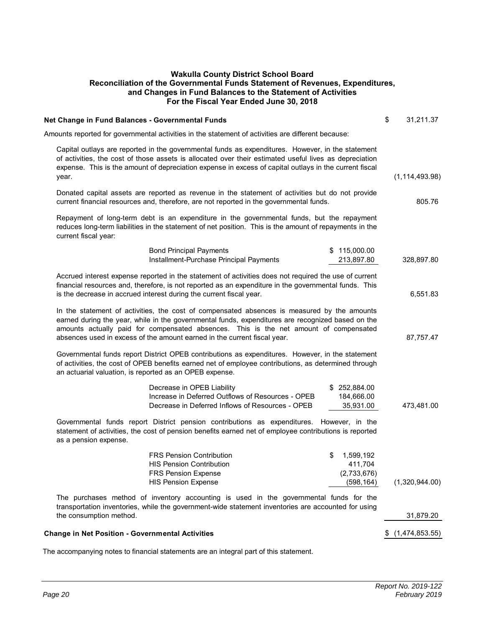#### <span id="page-25-0"></span>**Wakulla County District School Board Reconciliation of the Governmental Funds Statement of Revenues, Expenditures, and Changes in Fund Balances to the Statement of Activities For the Fiscal Year Ended June 30, 2018**

| Net Change in Fund Balances - Governmental Funds                                                                                                                                                                                                                                                                                                                      | \$<br>31,211.37  |
|-----------------------------------------------------------------------------------------------------------------------------------------------------------------------------------------------------------------------------------------------------------------------------------------------------------------------------------------------------------------------|------------------|
| Amounts reported for governmental activities in the statement of activities are different because:                                                                                                                                                                                                                                                                    |                  |
| Capital outlays are reported in the governmental funds as expenditures. However, in the statement<br>of activities, the cost of those assets is allocated over their estimated useful lives as depreciation<br>expense. This is the amount of depreciation expense in excess of capital outlays in the current fiscal<br>year.                                        | (1, 114, 493.98) |
| Donated capital assets are reported as revenue in the statement of activities but do not provide<br>current financial resources and, therefore, are not reported in the governmental funds.                                                                                                                                                                           | 805.76           |
| Repayment of long-term debt is an expenditure in the governmental funds, but the repayment<br>reduces long-term liabilities in the statement of net position. This is the amount of repayments in the<br>current fiscal year:                                                                                                                                         |                  |
| \$115,000.00<br><b>Bond Principal Payments</b><br>Installment-Purchase Principal Payments<br>213,897.80                                                                                                                                                                                                                                                               | 328,897.80       |
| Accrued interest expense reported in the statement of activities does not required the use of current<br>financial resources and, therefore, is not reported as an expenditure in the governmental funds. This<br>is the decrease in accrued interest during the current fiscal year.                                                                                 | 6,551.83         |
| In the statement of activities, the cost of compensated absences is measured by the amounts<br>earned during the year, while in the governmental funds, expenditures are recognized based on the<br>amounts actually paid for compensated absences. This is the net amount of compensated<br>absences used in excess of the amount earned in the current fiscal year. | 87,757.47        |
| Governmental funds report District OPEB contributions as expenditures. However, in the statement<br>of activities, the cost of OPEB benefits earned net of employee contributions, as determined through<br>an actuarial valuation, is reported as an OPEB expense.                                                                                                   |                  |
| Decrease in OPEB Liability<br>\$252,884.00<br>Increase in Deferred Outflows of Resources - OPEB<br>184,666.00<br>Decrease in Deferred Inflows of Resources - OPEB<br>35,931.00                                                                                                                                                                                        | 473,481.00       |
| Governmental funds report District pension contributions as expenditures. However, in the<br>statement of activities, the cost of pension benefits earned net of employee contributions is reported<br>as a pension expense.                                                                                                                                          |                  |
| <b>FRS Pension Contribution</b><br>1,599,192<br>S<br><b>HIS Pension Contribution</b><br>411,704<br><b>FRS Pension Expense</b><br>(2,733,676)<br>(598, 164)<br><b>HIS Pension Expense</b>                                                                                                                                                                              | (1,320,944.00)   |
| The purchases method of inventory accounting is used in the governmental funds for the<br>transportation inventories, while the government-wide statement inventories are accounted for using<br>the consumption method.                                                                                                                                              | 31,879.20        |
| <b>Change in Net Position - Governmental Activities</b>                                                                                                                                                                                                                                                                                                               | \$(1,474,853.55) |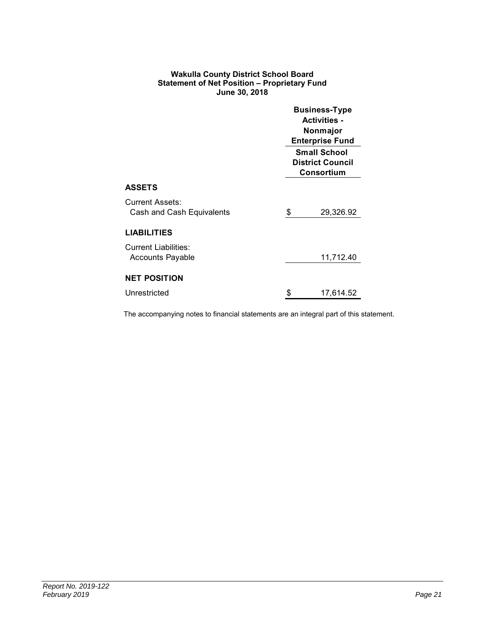#### **Wakulla County District School Board Statement of Net Position – Proprietary Fund June 30, 2018**

<span id="page-26-0"></span>

|                                                 | <b>Business-Type</b><br><b>Activities -</b><br>Nonmajor<br><b>Enterprise Fund</b> |  |  |
|-------------------------------------------------|-----------------------------------------------------------------------------------|--|--|
|                                                 | <b>Small School</b><br><b>District Council</b><br>Consortium                      |  |  |
| <b>ASSETS</b>                                   |                                                                                   |  |  |
| Current Assets:<br>Cash and Cash Equivalents    | \$<br>29,326.92                                                                   |  |  |
| <b>LIABILITIES</b>                              |                                                                                   |  |  |
| Current Liabilities:<br><b>Accounts Payable</b> | 11,712.40                                                                         |  |  |
| <b>NET POSITION</b>                             |                                                                                   |  |  |
| Unrestricted                                    | \$<br>17,614.52                                                                   |  |  |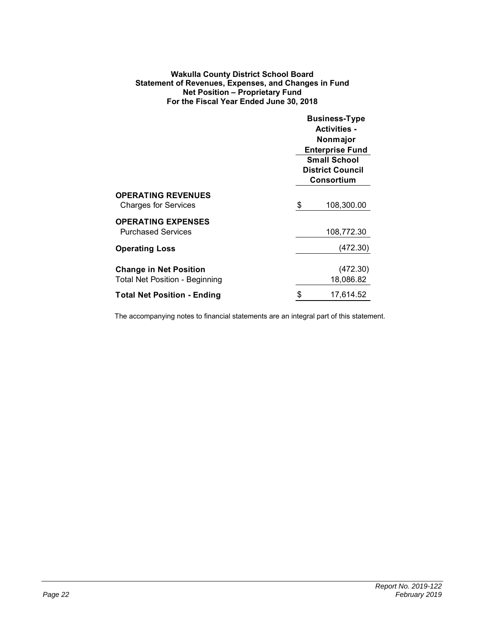#### <span id="page-27-0"></span>**Wakulla County District School Board Statement of Revenues, Expenses, and Changes in Fund Net Position – Proprietary Fund For the Fiscal Year Ended June 30, 2018**

|                                                                 | <b>Business-Type</b><br><b>Activities -</b><br>Nonmajor<br><b>Enterprise Fund</b><br><b>Small School</b><br><b>District Council</b><br>Consortium |  |
|-----------------------------------------------------------------|---------------------------------------------------------------------------------------------------------------------------------------------------|--|
| <b>OPERATING REVENUES</b><br><b>Charges for Services</b>        | \$<br>108,300.00                                                                                                                                  |  |
| <b>OPERATING EXPENSES</b><br><b>Purchased Services</b>          | 108,772.30                                                                                                                                        |  |
| <b>Operating Loss</b>                                           | (472.30)                                                                                                                                          |  |
| <b>Change in Net Position</b><br>Total Net Position - Beginning | (472.30)<br>18,086.82                                                                                                                             |  |
| <b>Total Net Position - Ending</b>                              | \$<br>17,614.52                                                                                                                                   |  |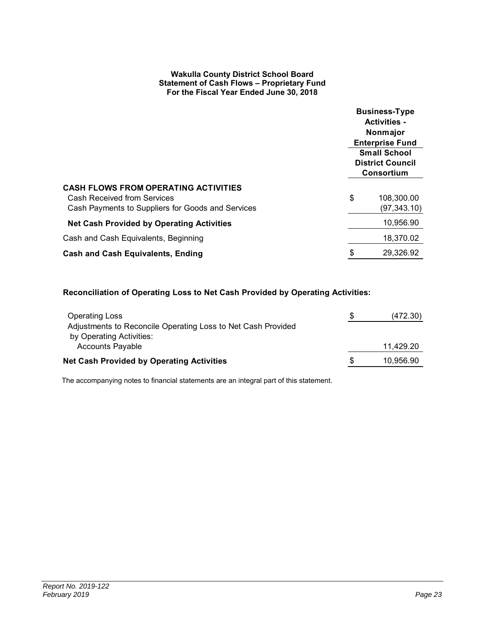#### **Wakulla County District School Board Statement of Cash Flows – Proprietary Fund For the Fiscal Year Ended June 30, 2018**

<span id="page-28-0"></span>

|                                                                                                                                 | <b>Business-Type</b><br><b>Activities -</b><br>Nonmajor<br><b>Enterprise Fund</b> |  |
|---------------------------------------------------------------------------------------------------------------------------------|-----------------------------------------------------------------------------------|--|
|                                                                                                                                 | <b>Small School</b><br><b>District Council</b><br>Consortium                      |  |
| <b>CASH FLOWS FROM OPERATING ACTIVITIES</b><br>Cash Received from Services<br>Cash Payments to Suppliers for Goods and Services | \$<br>108,300.00<br>(97,343.10)                                                   |  |
| <b>Net Cash Provided by Operating Activities</b>                                                                                | 10,956.90                                                                         |  |
| Cash and Cash Equivalents, Beginning                                                                                            | 18,370.02                                                                         |  |
| <b>Cash and Cash Equivalents, Ending</b>                                                                                        | \$<br>29,326.92                                                                   |  |

#### **Reconciliation of Operating Loss to Net Cash Provided by Operating Activities:**

| <b>Operating Loss</b>                                        | \$  | (472.30)  |
|--------------------------------------------------------------|-----|-----------|
| Adjustments to Reconcile Operating Loss to Net Cash Provided |     |           |
| by Operating Activities:                                     |     |           |
| <b>Accounts Payable</b>                                      |     | 11.429.20 |
| <b>Net Cash Provided by Operating Activities</b>             | \$. | 10,956.90 |
|                                                              |     |           |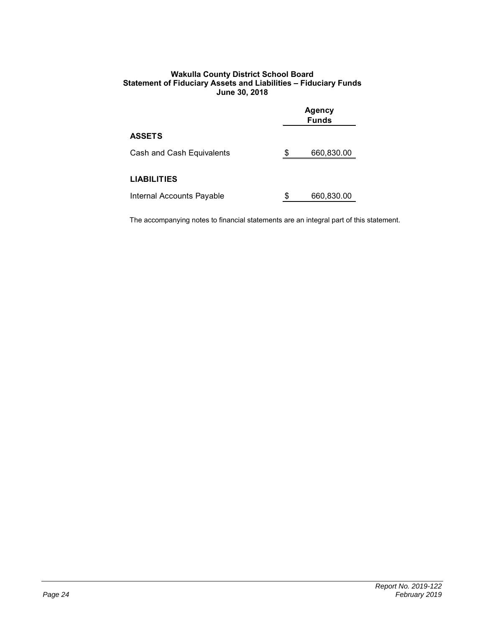#### <span id="page-29-0"></span>**Wakulla County District School Board Statement of Fiduciary Assets and Liabilities – Fiduciary Funds June 30, 2018**

|                           |    | <b>Agency</b><br><b>Funds</b> |  |
|---------------------------|----|-------------------------------|--|
| <b>ASSETS</b>             |    |                               |  |
| Cash and Cash Equivalents | S. | 660,830.00                    |  |
| <b>LIABILITIES</b>        |    |                               |  |
| Internal Accounts Payable | \$ | 660,830.00                    |  |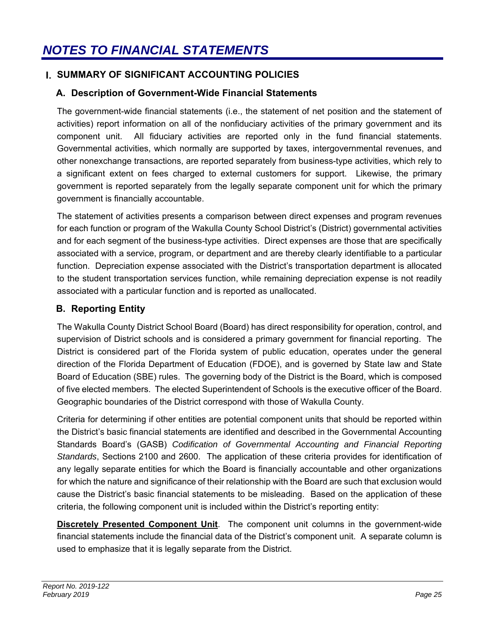## <span id="page-30-0"></span> **SUMMARY OF SIGNIFICANT ACCOUNTING POLICIES**

## **A. Description of Government-Wide Financial Statements**

The government-wide financial statements (i.e., the statement of net position and the statement of activities) report information on all of the nonfiduciary activities of the primary government and its component unit. All fiduciary activities are reported only in the fund financial statements. Governmental activities, which normally are supported by taxes, intergovernmental revenues, and other nonexchange transactions, are reported separately from business-type activities, which rely to a significant extent on fees charged to external customers for support. Likewise, the primary government is reported separately from the legally separate component unit for which the primary government is financially accountable.

The statement of activities presents a comparison between direct expenses and program revenues for each function or program of the Wakulla County School District's (District) governmental activities and for each segment of the business-type activities. Direct expenses are those that are specifically associated with a service, program, or department and are thereby clearly identifiable to a particular function. Depreciation expense associated with the District's transportation department is allocated to the student transportation services function, while remaining depreciation expense is not readily associated with a particular function and is reported as unallocated.

## **B. Reporting Entity**

The Wakulla County District School Board (Board) has direct responsibility for operation, control, and supervision of District schools and is considered a primary government for financial reporting. The District is considered part of the Florida system of public education, operates under the general direction of the Florida Department of Education (FDOE), and is governed by State law and State Board of Education (SBE) rules. The governing body of the District is the Board, which is composed of five elected members. The elected Superintendent of Schools is the executive officer of the Board. Geographic boundaries of the District correspond with those of Wakulla County.

Criteria for determining if other entities are potential component units that should be reported within the District's basic financial statements are identified and described in the Governmental Accounting Standards Board's (GASB) *Codification of Governmental Accounting and Financial Reporting Standards*, Sections 2100 and 2600. The application of these criteria provides for identification of any legally separate entities for which the Board is financially accountable and other organizations for which the nature and significance of their relationship with the Board are such that exclusion would cause the District's basic financial statements to be misleading. Based on the application of these criteria, the following component unit is included within the District's reporting entity:

**Discretely Presented Component Unit**. The component unit columns in the government-wide financial statements include the financial data of the District's component unit. A separate column is used to emphasize that it is legally separate from the District.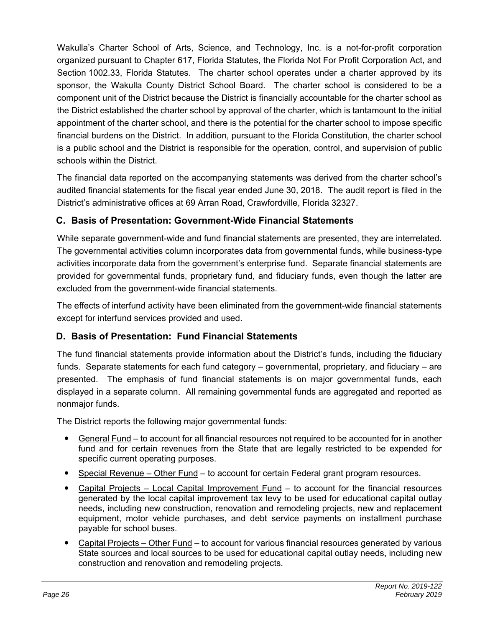Wakulla's Charter School of Arts, Science, and Technology, Inc. is a not-for-profit corporation organized pursuant to Chapter 617, Florida Statutes, the Florida Not For Profit Corporation Act, and Section 1002.33, Florida Statutes. The charter school operates under a charter approved by its sponsor, the Wakulla County District School Board. The charter school is considered to be a component unit of the District because the District is financially accountable for the charter school as the District established the charter school by approval of the charter, which is tantamount to the initial appointment of the charter school, and there is the potential for the charter school to impose specific financial burdens on the District. In addition, pursuant to the Florida Constitution, the charter school is a public school and the District is responsible for the operation, control, and supervision of public schools within the District.

The financial data reported on the accompanying statements was derived from the charter school's audited financial statements for the fiscal year ended June 30, 2018. The audit report is filed in the District's administrative offices at 69 Arran Road, Crawfordville, Florida 32327.

## **C. Basis of Presentation: Government-Wide Financial Statements**

While separate government-wide and fund financial statements are presented, they are interrelated. The governmental activities column incorporates data from governmental funds, while business-type activities incorporate data from the government's enterprise fund. Separate financial statements are provided for governmental funds, proprietary fund, and fiduciary funds, even though the latter are excluded from the government-wide financial statements.

The effects of interfund activity have been eliminated from the government-wide financial statements except for interfund services provided and used.

## **D. Basis of Presentation: Fund Financial Statements**

The fund financial statements provide information about the District's funds, including the fiduciary funds. Separate statements for each fund category – governmental, proprietary, and fiduciary – are presented. The emphasis of fund financial statements is on major governmental funds, each displayed in a separate column. All remaining governmental funds are aggregated and reported as nonmajor funds.

The District reports the following major governmental funds:

- General Fund to account for all financial resources not required to be accounted for in another fund and for certain revenues from the State that are legally restricted to be expended for specific current operating purposes.
- Special Revenue Other Fund to account for certain Federal grant program resources.
- Capital Projects Local Capital Improvement Fund to account for the financial resources generated by the local capital improvement tax levy to be used for educational capital outlay needs, including new construction, renovation and remodeling projects, new and replacement equipment, motor vehicle purchases, and debt service payments on installment purchase payable for school buses.
- Capital Projects Other Fund to account for various financial resources generated by various State sources and local sources to be used for educational capital outlay needs, including new construction and renovation and remodeling projects.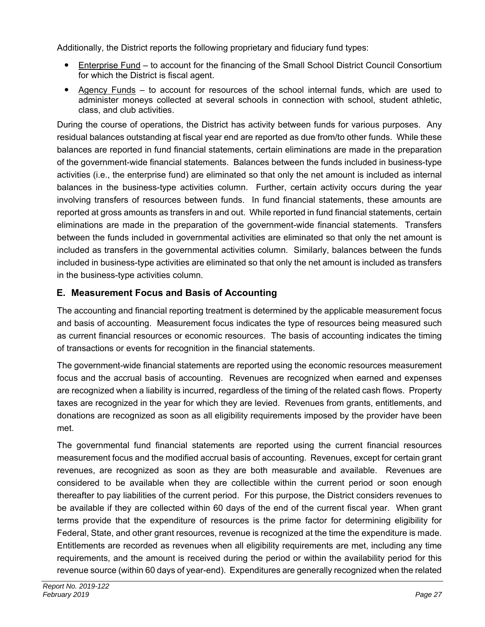Additionally, the District reports the following proprietary and fiduciary fund types:

- Enterprise Fund to account for the financing of the Small School District Council Consortium for which the District is fiscal agent.
- Agency Funds to account for resources of the school internal funds, which are used to administer moneys collected at several schools in connection with school, student athletic, class, and club activities.

During the course of operations, the District has activity between funds for various purposes. Any residual balances outstanding at fiscal year end are reported as due from/to other funds. While these balances are reported in fund financial statements, certain eliminations are made in the preparation of the government-wide financial statements. Balances between the funds included in business-type activities (i.e., the enterprise fund) are eliminated so that only the net amount is included as internal balances in the business-type activities column. Further, certain activity occurs during the year involving transfers of resources between funds. In fund financial statements, these amounts are reported at gross amounts as transfers in and out. While reported in fund financial statements, certain eliminations are made in the preparation of the government-wide financial statements. Transfers between the funds included in governmental activities are eliminated so that only the net amount is included as transfers in the governmental activities column. Similarly, balances between the funds included in business-type activities are eliminated so that only the net amount is included as transfers in the business-type activities column.

## **E. Measurement Focus and Basis of Accounting**

The accounting and financial reporting treatment is determined by the applicable measurement focus and basis of accounting. Measurement focus indicates the type of resources being measured such as current financial resources or economic resources. The basis of accounting indicates the timing of transactions or events for recognition in the financial statements.

The government-wide financial statements are reported using the economic resources measurement focus and the accrual basis of accounting. Revenues are recognized when earned and expenses are recognized when a liability is incurred, regardless of the timing of the related cash flows. Property taxes are recognized in the year for which they are levied. Revenues from grants, entitlements, and donations are recognized as soon as all eligibility requirements imposed by the provider have been met.

The governmental fund financial statements are reported using the current financial resources measurement focus and the modified accrual basis of accounting. Revenues, except for certain grant revenues, are recognized as soon as they are both measurable and available. Revenues are considered to be available when they are collectible within the current period or soon enough thereafter to pay liabilities of the current period. For this purpose, the District considers revenues to be available if they are collected within 60 days of the end of the current fiscal year. When grant terms provide that the expenditure of resources is the prime factor for determining eligibility for Federal, State, and other grant resources, revenue is recognized at the time the expenditure is made. Entitlements are recorded as revenues when all eligibility requirements are met, including any time requirements, and the amount is received during the period or within the availability period for this revenue source (within 60 days of year-end). Expenditures are generally recognized when the related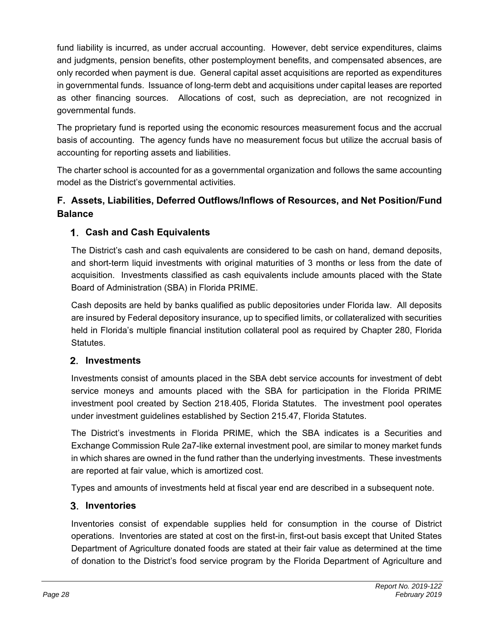fund liability is incurred, as under accrual accounting. However, debt service expenditures, claims and judgments, pension benefits, other postemployment benefits, and compensated absences, are only recorded when payment is due. General capital asset acquisitions are reported as expenditures in governmental funds. Issuance of long-term debt and acquisitions under capital leases are reported as other financing sources. Allocations of cost, such as depreciation, are not recognized in governmental funds.

The proprietary fund is reported using the economic resources measurement focus and the accrual basis of accounting. The agency funds have no measurement focus but utilize the accrual basis of accounting for reporting assets and liabilities.

The charter school is accounted for as a governmental organization and follows the same accounting model as the District's governmental activities.

## **F. Assets, Liabilities, Deferred Outflows/Inflows of Resources, and Net Position/Fund Balance**

## **Cash and Cash Equivalents**

The District's cash and cash equivalents are considered to be cash on hand, demand deposits, and short-term liquid investments with original maturities of 3 months or less from the date of acquisition. Investments classified as cash equivalents include amounts placed with the State Board of Administration (SBA) in Florida PRIME.

Cash deposits are held by banks qualified as public depositories under Florida law. All deposits are insured by Federal depository insurance, up to specified limits, or collateralized with securities held in Florida's multiple financial institution collateral pool as required by Chapter 280, Florida Statutes.

## **Investments**

Investments consist of amounts placed in the SBA debt service accounts for investment of debt service moneys and amounts placed with the SBA for participation in the Florida PRIME investment pool created by Section 218.405, Florida Statutes. The investment pool operates under investment guidelines established by Section 215.47, Florida Statutes.

The District's investments in Florida PRIME, which the SBA indicates is a Securities and Exchange Commission Rule 2a7-like external investment pool, are similar to money market funds in which shares are owned in the fund rather than the underlying investments. These investments are reported at fair value, which is amortized cost.

Types and amounts of investments held at fiscal year end are described in a subsequent note.

## **Inventories**

Inventories consist of expendable supplies held for consumption in the course of District operations. Inventories are stated at cost on the first-in, first-out basis except that United States Department of Agriculture donated foods are stated at their fair value as determined at the time of donation to the District's food service program by the Florida Department of Agriculture and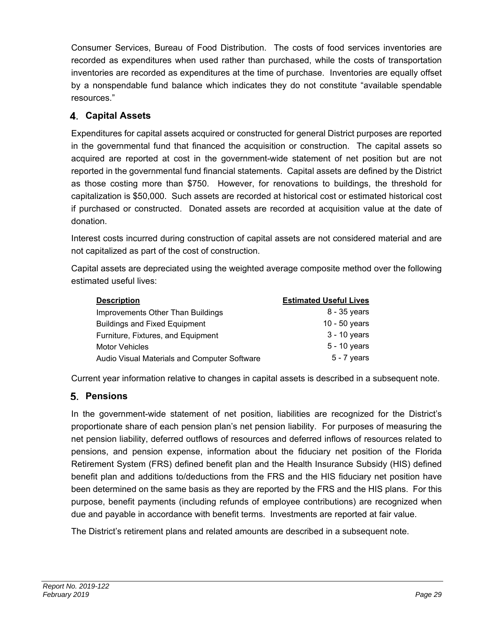Consumer Services, Bureau of Food Distribution. The costs of food services inventories are recorded as expenditures when used rather than purchased, while the costs of transportation inventories are recorded as expenditures at the time of purchase. Inventories are equally offset by a nonspendable fund balance which indicates they do not constitute "available spendable resources."

## **Capital Assets**

Expenditures for capital assets acquired or constructed for general District purposes are reported in the governmental fund that financed the acquisition or construction. The capital assets so acquired are reported at cost in the government-wide statement of net position but are not reported in the governmental fund financial statements. Capital assets are defined by the District as those costing more than \$750. However, for renovations to buildings, the threshold for capitalization is \$50,000. Such assets are recorded at historical cost or estimated historical cost if purchased or constructed. Donated assets are recorded at acquisition value at the date of donation.

Interest costs incurred during construction of capital assets are not considered material and are not capitalized as part of the cost of construction.

Capital assets are depreciated using the weighted average composite method over the following estimated useful lives:

| <b>Description</b>                           | <b>Estimated Useful Lives</b> |
|----------------------------------------------|-------------------------------|
| Improvements Other Than Buildings            | 8 - 35 years                  |
| <b>Buildings and Fixed Equipment</b>         | $10 - 50$ years               |
| Furniture, Fixtures, and Equipment           | $3 - 10$ years                |
| <b>Motor Vehicles</b>                        | $5 - 10$ years                |
| Audio Visual Materials and Computer Software | $5 - 7$ years                 |

Current year information relative to changes in capital assets is described in a subsequent note.

## **Pensions**

In the government-wide statement of net position, liabilities are recognized for the District's proportionate share of each pension plan's net pension liability. For purposes of measuring the net pension liability, deferred outflows of resources and deferred inflows of resources related to pensions, and pension expense, information about the fiduciary net position of the Florida Retirement System (FRS) defined benefit plan and the Health Insurance Subsidy (HIS) defined benefit plan and additions to/deductions from the FRS and the HIS fiduciary net position have been determined on the same basis as they are reported by the FRS and the HIS plans. For this purpose, benefit payments (including refunds of employee contributions) are recognized when due and payable in accordance with benefit terms. Investments are reported at fair value.

The District's retirement plans and related amounts are described in a subsequent note.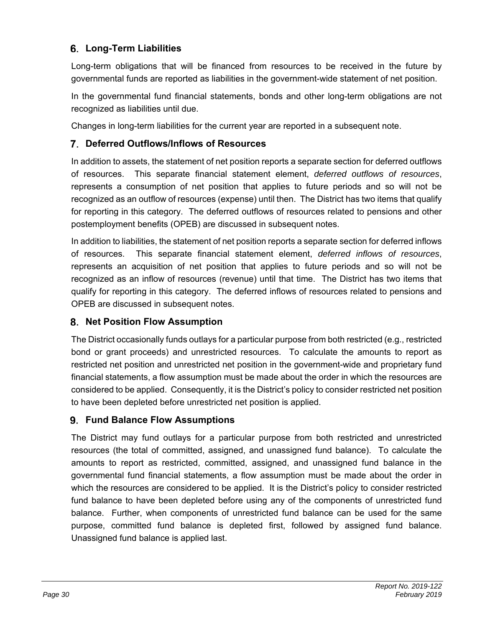## **Long-Term Liabilities**

Long-term obligations that will be financed from resources to be received in the future by governmental funds are reported as liabilities in the government-wide statement of net position.

In the governmental fund financial statements, bonds and other long-term obligations are not recognized as liabilities until due.

Changes in long-term liabilities for the current year are reported in a subsequent note.

## **Deferred Outflows/Inflows of Resources**

In addition to assets, the statement of net position reports a separate section for deferred outflows of resources. This separate financial statement element, *deferred outflows of resources*, represents a consumption of net position that applies to future periods and so will not be recognized as an outflow of resources (expense) until then. The District has two items that qualify for reporting in this category. The deferred outflows of resources related to pensions and other postemployment benefits (OPEB) are discussed in subsequent notes.

In addition to liabilities, the statement of net position reports a separate section for deferred inflows of resources. This separate financial statement element, *deferred inflows of resources*, represents an acquisition of net position that applies to future periods and so will not be recognized as an inflow of resources (revenue) until that time. The District has two items that qualify for reporting in this category. The deferred inflows of resources related to pensions and OPEB are discussed in subsequent notes.

## **Net Position Flow Assumption**

The District occasionally funds outlays for a particular purpose from both restricted (e.g., restricted bond or grant proceeds) and unrestricted resources. To calculate the amounts to report as restricted net position and unrestricted net position in the government-wide and proprietary fund financial statements, a flow assumption must be made about the order in which the resources are considered to be applied. Consequently, it is the District's policy to consider restricted net position to have been depleted before unrestricted net position is applied.

## **Fund Balance Flow Assumptions**

The District may fund outlays for a particular purpose from both restricted and unrestricted resources (the total of committed, assigned, and unassigned fund balance). To calculate the amounts to report as restricted, committed, assigned, and unassigned fund balance in the governmental fund financial statements, a flow assumption must be made about the order in which the resources are considered to be applied. It is the District's policy to consider restricted fund balance to have been depleted before using any of the components of unrestricted fund balance. Further, when components of unrestricted fund balance can be used for the same purpose, committed fund balance is depleted first, followed by assigned fund balance. Unassigned fund balance is applied last.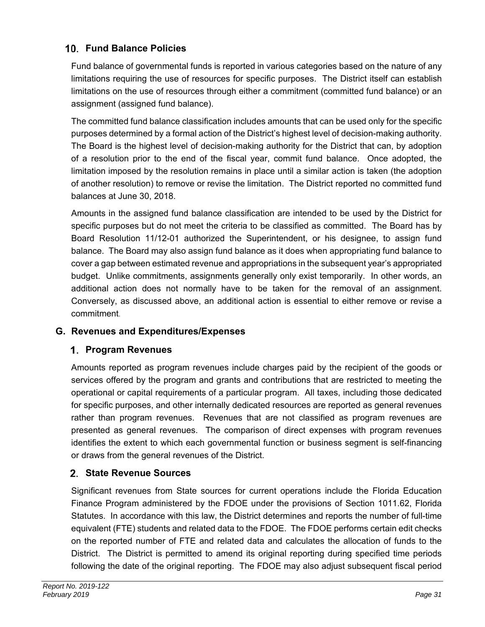## **Fund Balance Policies**

Fund balance of governmental funds is reported in various categories based on the nature of any limitations requiring the use of resources for specific purposes. The District itself can establish limitations on the use of resources through either a commitment (committed fund balance) or an assignment (assigned fund balance).

The committed fund balance classification includes amounts that can be used only for the specific purposes determined by a formal action of the District's highest level of decision-making authority. The Board is the highest level of decision-making authority for the District that can, by adoption of a resolution prior to the end of the fiscal year, commit fund balance. Once adopted, the limitation imposed by the resolution remains in place until a similar action is taken (the adoption of another resolution) to remove or revise the limitation. The District reported no committed fund balances at June 30, 2018.

Amounts in the assigned fund balance classification are intended to be used by the District for specific purposes but do not meet the criteria to be classified as committed. The Board has by Board Resolution 11/12-01 authorized the Superintendent, or his designee, to assign fund balance. The Board may also assign fund balance as it does when appropriating fund balance to cover a gap between estimated revenue and appropriations in the subsequent year's appropriated budget. Unlike commitments, assignments generally only exist temporarily. In other words, an additional action does not normally have to be taken for the removal of an assignment. Conversely, as discussed above, an additional action is essential to either remove or revise a commitment.

## **G. Revenues and Expenditures/Expenses**

#### **Program Revenues**

Amounts reported as program revenues include charges paid by the recipient of the goods or services offered by the program and grants and contributions that are restricted to meeting the operational or capital requirements of a particular program. All taxes, including those dedicated for specific purposes, and other internally dedicated resources are reported as general revenues rather than program revenues. Revenues that are not classified as program revenues are presented as general revenues. The comparison of direct expenses with program revenues identifies the extent to which each governmental function or business segment is self-financing or draws from the general revenues of the District.

## **State Revenue Sources**

Significant revenues from State sources for current operations include the Florida Education Finance Program administered by the FDOE under the provisions of Section 1011.62, Florida Statutes. In accordance with this law, the District determines and reports the number of full-time equivalent (FTE) students and related data to the FDOE. The FDOE performs certain edit checks on the reported number of FTE and related data and calculates the allocation of funds to the District. The District is permitted to amend its original reporting during specified time periods following the date of the original reporting. The FDOE may also adjust subsequent fiscal period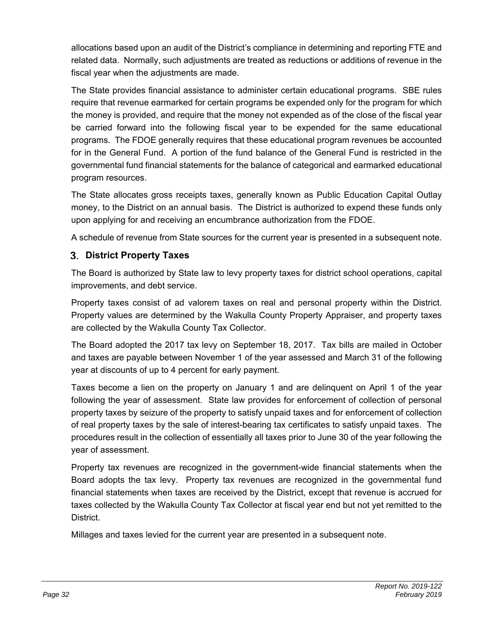allocations based upon an audit of the District's compliance in determining and reporting FTE and related data. Normally, such adjustments are treated as reductions or additions of revenue in the fiscal year when the adjustments are made.

The State provides financial assistance to administer certain educational programs. SBE rules require that revenue earmarked for certain programs be expended only for the program for which the money is provided, and require that the money not expended as of the close of the fiscal year be carried forward into the following fiscal year to be expended for the same educational programs. The FDOE generally requires that these educational program revenues be accounted for in the General Fund. A portion of the fund balance of the General Fund is restricted in the governmental fund financial statements for the balance of categorical and earmarked educational program resources.

The State allocates gross receipts taxes, generally known as Public Education Capital Outlay money, to the District on an annual basis. The District is authorized to expend these funds only upon applying for and receiving an encumbrance authorization from the FDOE.

A schedule of revenue from State sources for the current year is presented in a subsequent note.

#### **District Property Taxes**

The Board is authorized by State law to levy property taxes for district school operations, capital improvements, and debt service.

Property taxes consist of ad valorem taxes on real and personal property within the District. Property values are determined by the Wakulla County Property Appraiser, and property taxes are collected by the Wakulla County Tax Collector.

The Board adopted the 2017 tax levy on September 18, 2017. Tax bills are mailed in October and taxes are payable between November 1 of the year assessed and March 31 of the following year at discounts of up to 4 percent for early payment.

Taxes become a lien on the property on January 1 and are delinquent on April 1 of the year following the year of assessment. State law provides for enforcement of collection of personal property taxes by seizure of the property to satisfy unpaid taxes and for enforcement of collection of real property taxes by the sale of interest-bearing tax certificates to satisfy unpaid taxes. The procedures result in the collection of essentially all taxes prior to June 30 of the year following the year of assessment.

Property tax revenues are recognized in the government-wide financial statements when the Board adopts the tax levy. Property tax revenues are recognized in the governmental fund financial statements when taxes are received by the District, except that revenue is accrued for taxes collected by the Wakulla County Tax Collector at fiscal year end but not yet remitted to the **District** 

Millages and taxes levied for the current year are presented in a subsequent note.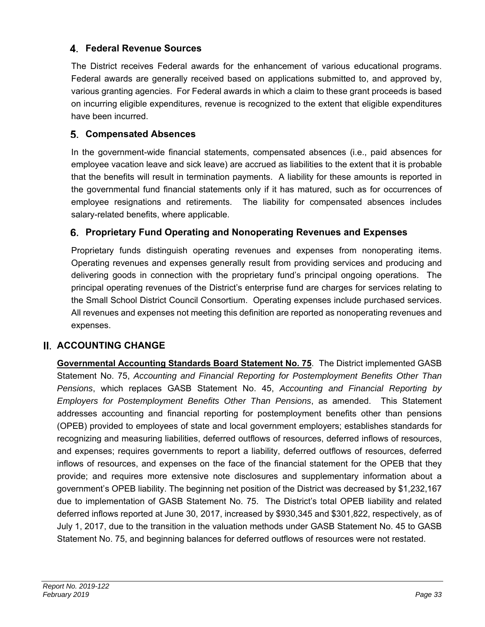#### **Federal Revenue Sources**

The District receives Federal awards for the enhancement of various educational programs. Federal awards are generally received based on applications submitted to, and approved by, various granting agencies. For Federal awards in which a claim to these grant proceeds is based on incurring eligible expenditures, revenue is recognized to the extent that eligible expenditures have been incurred.

#### **Compensated Absences**

In the government-wide financial statements, compensated absences (i.e., paid absences for employee vacation leave and sick leave) are accrued as liabilities to the extent that it is probable that the benefits will result in termination payments. A liability for these amounts is reported in the governmental fund financial statements only if it has matured, such as for occurrences of employee resignations and retirements. The liability for compensated absences includes salary-related benefits, where applicable.

#### **Proprietary Fund Operating and Nonoperating Revenues and Expenses**

Proprietary funds distinguish operating revenues and expenses from nonoperating items. Operating revenues and expenses generally result from providing services and producing and delivering goods in connection with the proprietary fund's principal ongoing operations. The principal operating revenues of the District's enterprise fund are charges for services relating to the Small School District Council Consortium. Operating expenses include purchased services. All revenues and expenses not meeting this definition are reported as nonoperating revenues and expenses.

## **ACCOUNTING CHANGE**

**Governmental Accounting Standards Board Statement No. 75**. The District implemented GASB Statement No. 75, *Accounting and Financial Reporting for Postemployment Benefits Other Than Pensions*, which replaces GASB Statement No. 45, *Accounting and Financial Reporting by Employers for Postemployment Benefits Other Than Pensions*, as amended. This Statement addresses accounting and financial reporting for postemployment benefits other than pensions (OPEB) provided to employees of state and local government employers; establishes standards for recognizing and measuring liabilities, deferred outflows of resources, deferred inflows of resources, and expenses; requires governments to report a liability, deferred outflows of resources, deferred inflows of resources, and expenses on the face of the financial statement for the OPEB that they provide; and requires more extensive note disclosures and supplementary information about a government's OPEB liability. The beginning net position of the District was decreased by \$1,232,167 due to implementation of GASB Statement No. 75. The District's total OPEB liability and related deferred inflows reported at June 30, 2017, increased by \$930,345 and \$301,822, respectively, as of July 1, 2017, due to the transition in the valuation methods under GASB Statement No. 45 to GASB Statement No. 75, and beginning balances for deferred outflows of resources were not restated.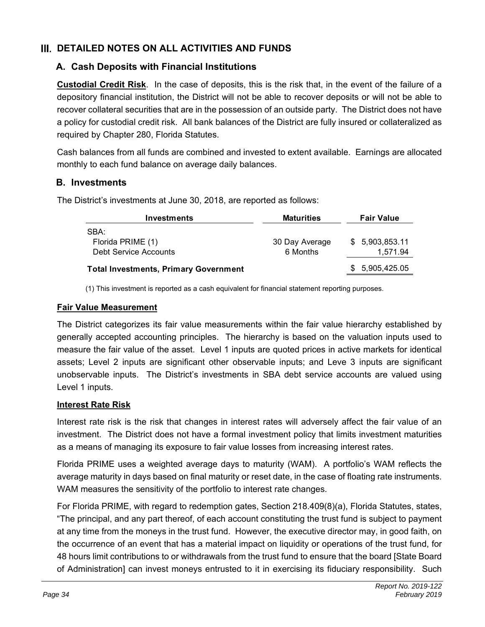#### **DETAILED NOTES ON ALL ACTIVITIES AND FUNDS**

#### **A. Cash Deposits with Financial Institutions**

**Custodial Credit Risk**. In the case of deposits, this is the risk that, in the event of the failure of a depository financial institution, the District will not be able to recover deposits or will not be able to recover collateral securities that are in the possession of an outside party. The District does not have a policy for custodial credit risk. All bank balances of the District are fully insured or collateralized as required by Chapter 280, Florida Statutes.

Cash balances from all funds are combined and invested to extent available. Earnings are allocated monthly to each fund balance on average daily balances.

#### **B. Investments**

The District's investments at June 30, 2018, are reported as follows:

| <b>Investments</b>                           | <b>Maturities</b> | <b>Fair Value</b>  |
|----------------------------------------------|-------------------|--------------------|
| SBA:                                         |                   |                    |
| Florida PRIME (1)                            | 30 Day Average    | \$5,903,853.11     |
| Debt Service Accounts                        | 6 Months          | 1.571.94           |
| <b>Total Investments, Primary Government</b> |                   | 5,905,425.05<br>S. |

(1) This investment is reported as a cash equivalent for financial statement reporting purposes.

#### **Fair Value Measurement**

The District categorizes its fair value measurements within the fair value hierarchy established by generally accepted accounting principles. The hierarchy is based on the valuation inputs used to measure the fair value of the asset. Level 1 inputs are quoted prices in active markets for identical assets; Level 2 inputs are significant other observable inputs; and Leve 3 inputs are significant unobservable inputs. The District's investments in SBA debt service accounts are valued using Level 1 inputs.

#### **Interest Rate Risk**

Interest rate risk is the risk that changes in interest rates will adversely affect the fair value of an investment. The District does not have a formal investment policy that limits investment maturities as a means of managing its exposure to fair value losses from increasing interest rates.

Florida PRIME uses a weighted average days to maturity (WAM). A portfolio's WAM reflects the average maturity in days based on final maturity or reset date, in the case of floating rate instruments. WAM measures the sensitivity of the portfolio to interest rate changes.

For Florida PRIME, with regard to redemption gates, Section 218.409(8)(a), Florida Statutes, states, "The principal, and any part thereof, of each account constituting the trust fund is subject to payment at any time from the moneys in the trust fund. However, the executive director may, in good faith, on the occurrence of an event that has a material impact on liquidity or operations of the trust fund, for 48 hours limit contributions to or withdrawals from the trust fund to ensure that the board [State Board of Administration] can invest moneys entrusted to it in exercising its fiduciary responsibility. Such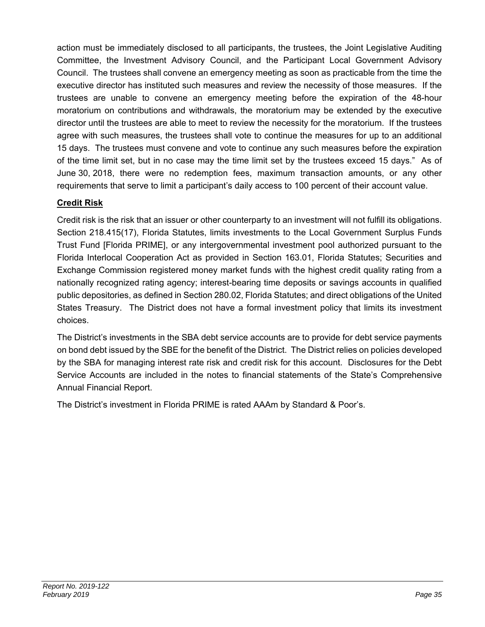action must be immediately disclosed to all participants, the trustees, the Joint Legislative Auditing Committee, the Investment Advisory Council, and the Participant Local Government Advisory Council. The trustees shall convene an emergency meeting as soon as practicable from the time the executive director has instituted such measures and review the necessity of those measures. If the trustees are unable to convene an emergency meeting before the expiration of the 48-hour moratorium on contributions and withdrawals, the moratorium may be extended by the executive director until the trustees are able to meet to review the necessity for the moratorium. If the trustees agree with such measures, the trustees shall vote to continue the measures for up to an additional 15 days. The trustees must convene and vote to continue any such measures before the expiration of the time limit set, but in no case may the time limit set by the trustees exceed 15 days." As of June 30, 2018, there were no redemption fees, maximum transaction amounts, or any other requirements that serve to limit a participant's daily access to 100 percent of their account value.

#### **Credit Risk**

Credit risk is the risk that an issuer or other counterparty to an investment will not fulfill its obligations. Section 218.415(17), Florida Statutes, limits investments to the Local Government Surplus Funds Trust Fund [Florida PRIME], or any intergovernmental investment pool authorized pursuant to the Florida Interlocal Cooperation Act as provided in Section 163.01, Florida Statutes; Securities and Exchange Commission registered money market funds with the highest credit quality rating from a nationally recognized rating agency; interest-bearing time deposits or savings accounts in qualified public depositories, as defined in Section 280.02, Florida Statutes; and direct obligations of the United States Treasury. The District does not have a formal investment policy that limits its investment choices.

The District's investments in the SBA debt service accounts are to provide for debt service payments on bond debt issued by the SBE for the benefit of the District. The District relies on policies developed by the SBA for managing interest rate risk and credit risk for this account. Disclosures for the Debt Service Accounts are included in the notes to financial statements of the State's Comprehensive Annual Financial Report.

The District's investment in Florida PRIME is rated AAAm by Standard & Poor's.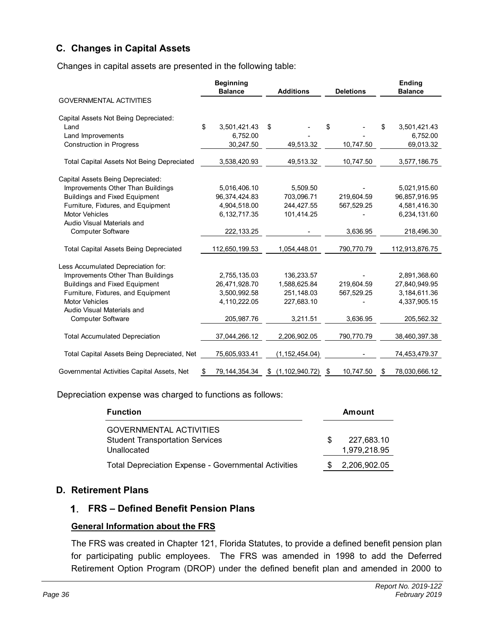#### **C. Changes in Capital Assets**

Changes in capital assets are presented in the following table:

|                                                   | <b>Beginning</b><br><b>Balance</b> | <b>Additions</b>       | <b>Deletions</b> |    | Ending<br><b>Balance</b> |
|---------------------------------------------------|------------------------------------|------------------------|------------------|----|--------------------------|
| <b>GOVERNMENTAL ACTIVITIES</b>                    |                                    |                        |                  |    |                          |
| Capital Assets Not Being Depreciated:             |                                    |                        |                  |    |                          |
| Land                                              | \$<br>3,501,421.43                 | \$                     | \$               | \$ | 3,501,421.43             |
| Land Improvements                                 | 6,752.00                           |                        |                  |    | 6,752.00                 |
| <b>Construction in Progress</b>                   | 30,247.50                          | 49,513.32              | 10,747.50        |    | 69,013.32                |
| <b>Total Capital Assets Not Being Depreciated</b> | 3,538,420.93                       | 49,513.32              | 10,747.50        |    | 3,577,186.75             |
| Capital Assets Being Depreciated:                 |                                    |                        |                  |    |                          |
| Improvements Other Than Buildings                 | 5,016,406.10                       | 5,509.50               |                  |    | 5,021,915.60             |
| <b>Buildings and Fixed Equipment</b>              | 96,374,424.83                      | 703,096.71             | 219,604.59       |    | 96,857,916.95            |
| Furniture, Fixtures, and Equipment                | 4,904,518.00                       | 244,427.55             | 567,529.25       |    | 4,581,416.30             |
| <b>Motor Vehicles</b>                             | 6, 132, 717. 35                    | 101,414.25             |                  |    | 6,234,131.60             |
| Audio Visual Materials and                        |                                    |                        |                  |    |                          |
| <b>Computer Software</b>                          | 222,133.25                         |                        | 3,636.95         |    | 218,496.30               |
| <b>Total Capital Assets Being Depreciated</b>     | 112,650,199.53                     | 1,054,448.01           | 790,770.79       |    | 112,913,876.75           |
| Less Accumulated Depreciation for:                |                                    |                        |                  |    |                          |
| Improvements Other Than Buildings                 | 2,755,135.03                       | 136,233.57             |                  |    | 2,891,368.60             |
| <b>Buildings and Fixed Equipment</b>              | 26,471,928.70                      | 1,588,625.84           | 219,604.59       |    | 27,840,949.95            |
| Furniture, Fixtures, and Equipment                | 3,500,992.58                       | 251,148.03             | 567,529.25       |    | 3,184,611.36             |
| <b>Motor Vehicles</b>                             | 4,110,222.05                       | 227,683.10             |                  |    | 4,337,905.15             |
| Audio Visual Materials and                        |                                    |                        |                  |    |                          |
| <b>Computer Software</b>                          | 205,987.76                         | 3,211.51               | 3,636.95         |    | 205,562.32               |
| <b>Total Accumulated Depreciation</b>             | 37,044,266.12                      | 2,206,902.05           | 790,770.79       |    | 38,460,397.38            |
| Total Capital Assets Being Depreciated, Net       | 75,605,933.41                      | (1, 152, 454.04)       |                  |    | 74,453,479.37            |
| Governmental Activities Capital Assets, Net       | \$<br>79, 144, 354. 34             | \$<br>(1, 102, 940.72) | \$<br>10,747.50  | S  | 78,030,666.12            |

Depreciation expense was charged to functions as follows:

| <b>Function</b>                                             |     | Amount       |  |  |
|-------------------------------------------------------------|-----|--------------|--|--|
| <b>GOVERNMENTAL ACTIVITIES</b>                              |     |              |  |  |
| <b>Student Transportation Services</b>                      | \$. | 227.683.10   |  |  |
| Unallocated                                                 |     | 1,979,218.95 |  |  |
| <b>Total Depreciation Expense - Governmental Activities</b> |     | 2,206,902.05 |  |  |

#### **D. Retirement Plans**

#### **FRS – Defined Benefit Pension Plans**

#### **General Information about the FRS**

The FRS was created in Chapter 121, Florida Statutes, to provide a defined benefit pension plan for participating public employees. The FRS was amended in 1998 to add the Deferred Retirement Option Program (DROP) under the defined benefit plan and amended in 2000 to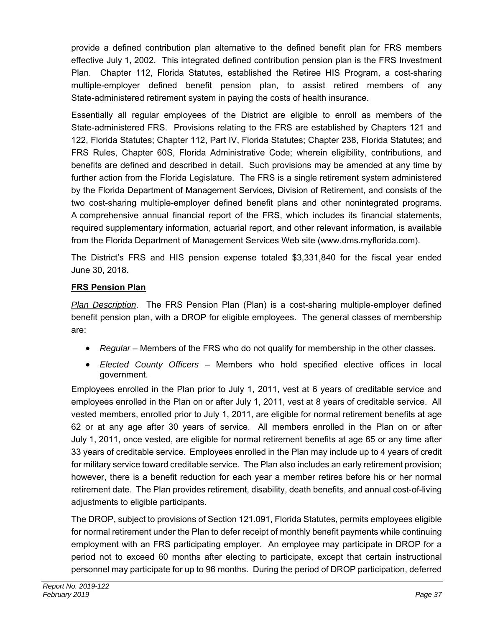provide a defined contribution plan alternative to the defined benefit plan for FRS members effective July 1, 2002. This integrated defined contribution pension plan is the FRS Investment Plan. Chapter 112, Florida Statutes, established the Retiree HIS Program, a cost-sharing multiple-employer defined benefit pension plan, to assist retired members of any State-administered retirement system in paying the costs of health insurance.

Essentially all regular employees of the District are eligible to enroll as members of the State-administered FRS. Provisions relating to the FRS are established by Chapters 121 and 122, Florida Statutes; Chapter 112, Part IV, Florida Statutes; Chapter 238, Florida Statutes; and FRS Rules, Chapter 60S, Florida Administrative Code; wherein eligibility, contributions, and benefits are defined and described in detail. Such provisions may be amended at any time by further action from the Florida Legislature. The FRS is a single retirement system administered by the Florida Department of Management Services, Division of Retirement, and consists of the two cost-sharing multiple-employer defined benefit plans and other nonintegrated programs. A comprehensive annual financial report of the FRS, which includes its financial statements, required supplementary information, actuarial report, and other relevant information, is available from the Florida Department of Management Services Web site (www.dms.myflorida.com).

The District's FRS and HIS pension expense totaled \$3,331,840 for the fiscal year ended June 30, 2018.

#### **FRS Pension Plan**

*Plan Description*. The FRS Pension Plan (Plan) is a cost-sharing multiple-employer defined benefit pension plan, with a DROP for eligible employees. The general classes of membership are:

- *Regular* Members of the FRS who do not qualify for membership in the other classes.
- *Elected County Officers* Members who hold specified elective offices in local government.

Employees enrolled in the Plan prior to July 1, 2011, vest at 6 years of creditable service and employees enrolled in the Plan on or after July 1, 2011, vest at 8 years of creditable service. All vested members, enrolled prior to July 1, 2011, are eligible for normal retirement benefits at age 62 or at any age after 30 years of service. All members enrolled in the Plan on or after July 1, 2011, once vested, are eligible for normal retirement benefits at age 65 or any time after 33 years of creditable service. Employees enrolled in the Plan may include up to 4 years of credit for military service toward creditable service. The Plan also includes an early retirement provision; however, there is a benefit reduction for each year a member retires before his or her normal retirement date. The Plan provides retirement, disability, death benefits, and annual cost-of-living adjustments to eligible participants.

The DROP, subject to provisions of Section 121.091, Florida Statutes, permits employees eligible for normal retirement under the Plan to defer receipt of monthly benefit payments while continuing employment with an FRS participating employer. An employee may participate in DROP for a period not to exceed 60 months after electing to participate, except that certain instructional personnel may participate for up to 96 months. During the period of DROP participation, deferred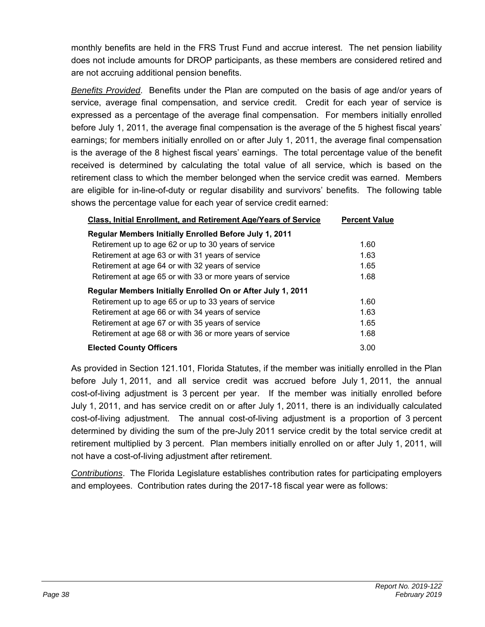monthly benefits are held in the FRS Trust Fund and accrue interest. The net pension liability does not include amounts for DROP participants, as these members are considered retired and are not accruing additional pension benefits.

*Benefits Provided*. Benefits under the Plan are computed on the basis of age and/or years of service, average final compensation, and service credit. Credit for each year of service is expressed as a percentage of the average final compensation. For members initially enrolled before July 1, 2011, the average final compensation is the average of the 5 highest fiscal years' earnings; for members initially enrolled on or after July 1, 2011, the average final compensation is the average of the 8 highest fiscal years' earnings. The total percentage value of the benefit received is determined by calculating the total value of all service, which is based on the retirement class to which the member belonged when the service credit was earned. Members are eligible for in-line-of-duty or regular disability and survivors' benefits. The following table shows the percentage value for each year of service credit earned:

| Class, Initial Enrollment, and Retirement Age/Years of Service | <b>Percent Value</b> |
|----------------------------------------------------------------|----------------------|
| <b>Regular Members Initially Enrolled Before July 1, 2011</b>  |                      |
| Retirement up to age 62 or up to 30 years of service           | 1.60                 |
| Retirement at age 63 or with 31 years of service               | 1.63                 |
| Retirement at age 64 or with 32 years of service               | 1.65                 |
| Retirement at age 65 or with 33 or more years of service       | 1.68                 |
| Regular Members Initially Enrolled On or After July 1, 2011    |                      |
| Retirement up to age 65 or up to 33 years of service           | 1.60                 |
| Retirement at age 66 or with 34 years of service               | 1.63                 |
| Retirement at age 67 or with 35 years of service               | 1.65                 |
| Retirement at age 68 or with 36 or more years of service       | 1.68                 |
| <b>Elected County Officers</b>                                 | 3.00                 |

As provided in Section 121.101, Florida Statutes, if the member was initially enrolled in the Plan before July 1, 2011, and all service credit was accrued before July 1, 2011, the annual cost-of-living adjustment is 3 percent per year. If the member was initially enrolled before July 1, 2011, and has service credit on or after July 1, 2011, there is an individually calculated cost-of-living adjustment. The annual cost-of-living adjustment is a proportion of 3 percent determined by dividing the sum of the pre-July 2011 service credit by the total service credit at retirement multiplied by 3 percent. Plan members initially enrolled on or after July 1, 2011, will not have a cost-of-living adjustment after retirement.

*Contributions*. The Florida Legislature establishes contribution rates for participating employers and employees. Contribution rates during the 2017-18 fiscal year were as follows: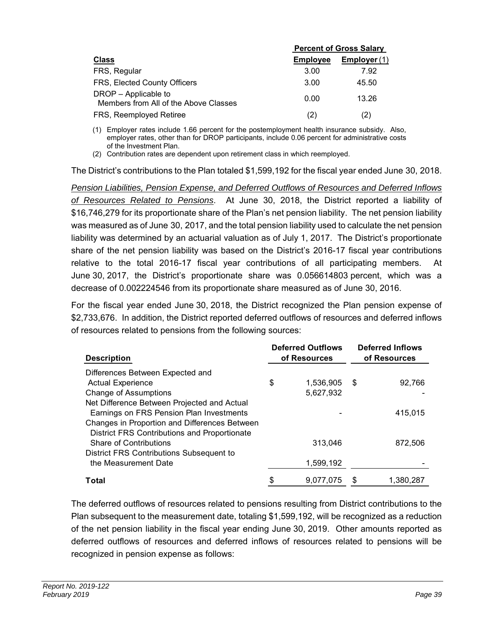|                                                               | <b>Percent of Gross Salary</b> |             |  |  |
|---------------------------------------------------------------|--------------------------------|-------------|--|--|
| <b>Class</b>                                                  | <b>Employee</b>                | Emplover(1) |  |  |
| FRS, Regular                                                  | 3.00                           | 7.92        |  |  |
| FRS, Elected County Officers                                  | 3.00                           | 45.50       |  |  |
| DROP - Applicable to<br>Members from All of the Above Classes | 0.00                           | 13.26       |  |  |
| FRS, Reemployed Retiree                                       | (2)                            | (2)         |  |  |

(1) Employer rates include 1.66 percent for the postemployment health insurance subsidy. Also, employer rates, other than for DROP participants, include 0.06 percent for administrative costs of the Investment Plan.

(2) Contribution rates are dependent upon retirement class in which reemployed.

The District's contributions to the Plan totaled \$1,599,192 for the fiscal year ended June 30, 2018.

*Pension Liabilities, Pension Expense, and Deferred Outflows of Resources and Deferred Inflows of Resources Related to Pensions*. At June 30, 2018, the District reported a liability of \$16,746,279 for its proportionate share of the Plan's net pension liability. The net pension liability was measured as of June 30, 2017, and the total pension liability used to calculate the net pension liability was determined by an actuarial valuation as of July 1, 2017. The District's proportionate share of the net pension liability was based on the District's 2016-17 fiscal year contributions relative to the total 2016-17 fiscal year contributions of all participating members. At June 30, 2017, the District's proportionate share was 0.056614803 percent, which was a decrease of 0.002224546 from its proportionate share measured as of June 30, 2016.

For the fiscal year ended June 30, 2018, the District recognized the Plan pension expense of \$2,733,676. In addition, the District reported deferred outflows of resources and deferred inflows of resources related to pensions from the following sources:

| <b>Description</b>                                  | <b>Deferred Outflows</b><br>of Resources | <b>Deferred Inflows</b><br>of Resources |
|-----------------------------------------------------|------------------------------------------|-----------------------------------------|
| Differences Between Expected and                    |                                          |                                         |
| <b>Actual Experience</b>                            | \$<br>1,536,905                          | \$<br>92,766                            |
| <b>Change of Assumptions</b>                        | 5,627,932                                |                                         |
| Net Difference Between Projected and Actual         |                                          |                                         |
| Earnings on FRS Pension Plan Investments            |                                          | 415,015                                 |
| Changes in Proportion and Differences Between       |                                          |                                         |
| <b>District FRS Contributions and Proportionate</b> |                                          |                                         |
| <b>Share of Contributions</b>                       | 313,046                                  | 872,506                                 |
| District FRS Contributions Subsequent to            |                                          |                                         |
| the Measurement Date                                | 1,599,192                                |                                         |
| Total                                               | \$<br>9,077,075                          | \$<br>1,380,287                         |

The deferred outflows of resources related to pensions resulting from District contributions to the Plan subsequent to the measurement date, totaling \$1,599,192, will be recognized as a reduction of the net pension liability in the fiscal year ending June 30, 2019. Other amounts reported as deferred outflows of resources and deferred inflows of resources related to pensions will be recognized in pension expense as follows: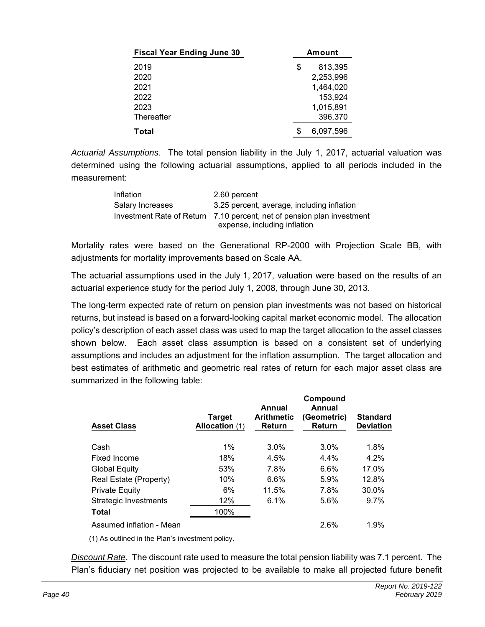| <b>Fiscal Year Ending June 30</b> |    | Amount    |  |
|-----------------------------------|----|-----------|--|
| 2019                              | \$ | 813,395   |  |
| 2020                              |    | 2,253,996 |  |
| 2021                              |    | 1,464,020 |  |
| 2022                              |    | 153,924   |  |
| 2023                              |    | 1,015,891 |  |
| Thereafter                        |    | 396,370   |  |
| Total                             | S  | 6,097,596 |  |

*Actuarial Assumptions*. The total pension liability in the July 1, 2017, actuarial valuation was determined using the following actuarial assumptions, applied to all periods included in the measurement:

| Inflation        | 2.60 percent                                                           |
|------------------|------------------------------------------------------------------------|
| Salary Increases | 3.25 percent, average, including inflation                             |
|                  | Investment Rate of Return 7.10 percent, net of pension plan investment |
|                  | expense, including inflation                                           |

Mortality rates were based on the Generational RP-2000 with Projection Scale BB, with adjustments for mortality improvements based on Scale AA.

The actuarial assumptions used in the July 1, 2017, valuation were based on the results of an actuarial experience study for the period July 1, 2008, through June 30, 2013.

The long-term expected rate of return on pension plan investments was not based on historical returns, but instead is based on a forward-looking capital market economic model. The allocation policy's description of each asset class was used to map the target allocation to the asset classes shown below. Each asset class assumption is based on a consistent set of underlying assumptions and includes an adjustment for the inflation assumption. The target allocation and best estimates of arithmetic and geometric real rates of return for each major asset class are summarized in the following table:

| <b>Asset Class</b>           | <b>Target</b><br>Allocation (1) | Annual<br><b>Arithmetic</b><br>Return | Compound<br>Annual<br>(Geometric)<br>Return | <b>Standard</b><br><b>Deviation</b> |
|------------------------------|---------------------------------|---------------------------------------|---------------------------------------------|-------------------------------------|
| Cash                         | $1\%$                           | 3.0%                                  | 3.0%                                        | 1.8%                                |
| Fixed Income                 | 18%                             | 4.5%                                  | 4.4%                                        | 4.2%                                |
| <b>Global Equity</b>         | 53%                             | 7.8%                                  | 6.6%                                        | 17.0%                               |
| Real Estate (Property)       | 10%                             | 6.6%                                  | 5.9%                                        | 12.8%                               |
| <b>Private Equity</b>        | 6%                              | 11.5%                                 | 7.8%                                        | 30.0%                               |
| <b>Strategic Investments</b> | 12%                             | 6.1%                                  | 5.6%                                        | 9.7%                                |
| <b>Total</b>                 | 100%                            |                                       |                                             |                                     |
| Assumed inflation - Mean     |                                 |                                       | 2.6%                                        | 1.9%                                |
|                              |                                 |                                       |                                             |                                     |

(1) As outlined in the Plan's investment policy.

*Discount Rate*. The discount rate used to measure the total pension liability was 7.1 percent. The Plan's fiduciary net position was projected to be available to make all projected future benefit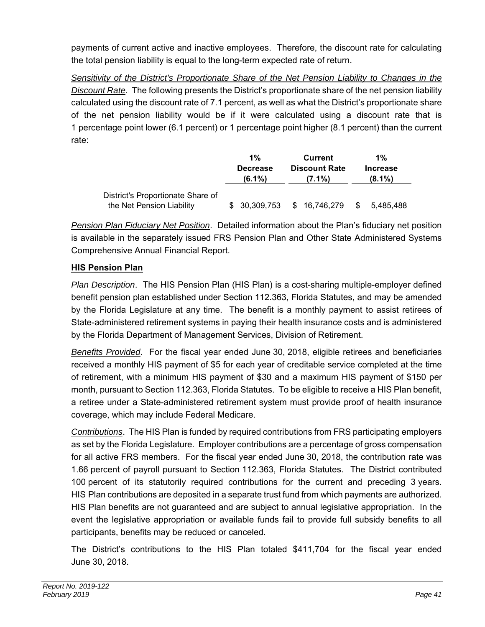payments of current active and inactive employees. Therefore, the discount rate for calculating the total pension liability is equal to the long-term expected rate of return.

*Sensitivity of the District's Proportionate Share of the Net Pension Liability to Changes in the Discount Rate*. The following presents the District's proportionate share of the net pension liability calculated using the discount rate of 7.1 percent, as well as what the District's proportionate share of the net pension liability would be if it were calculated using a discount rate that is 1 percentage point lower (6.1 percent) or 1 percentage point higher (8.1 percent) than the current rate:

|                                                                | 1%                        | Current                           | $1\%$                        |
|----------------------------------------------------------------|---------------------------|-----------------------------------|------------------------------|
|                                                                | <b>Decrease</b><br>(6.1%) | <b>Discount Rate</b><br>$(7.1\%)$ | <b>Increase</b><br>$(8.1\%)$ |
| District's Proportionate Share of<br>the Net Pension Liability | \$ 30,309,753             | \$16,746,279                      | 5,485,488<br>S               |

*Pension Plan Fiduciary Net Position*. Detailed information about the Plan's fiduciary net position is available in the separately issued FRS Pension Plan and Other State Administered Systems Comprehensive Annual Financial Report.

#### **HIS Pension Plan**

*Plan Description*. The HIS Pension Plan (HIS Plan) is a cost-sharing multiple-employer defined benefit pension plan established under Section 112.363, Florida Statutes, and may be amended by the Florida Legislature at any time. The benefit is a monthly payment to assist retirees of State-administered retirement systems in paying their health insurance costs and is administered by the Florida Department of Management Services, Division of Retirement.

*Benefits Provided*. For the fiscal year ended June 30, 2018, eligible retirees and beneficiaries received a monthly HIS payment of \$5 for each year of creditable service completed at the time of retirement, with a minimum HIS payment of \$30 and a maximum HIS payment of \$150 per month, pursuant to Section 112.363, Florida Statutes. To be eligible to receive a HIS Plan benefit, a retiree under a State-administered retirement system must provide proof of health insurance coverage, which may include Federal Medicare.

*Contributions*. The HIS Plan is funded by required contributions from FRS participating employers as set by the Florida Legislature. Employer contributions are a percentage of gross compensation for all active FRS members. For the fiscal year ended June 30, 2018, the contribution rate was 1.66 percent of payroll pursuant to Section 112.363, Florida Statutes. The District contributed 100 percent of its statutorily required contributions for the current and preceding 3 years. HIS Plan contributions are deposited in a separate trust fund from which payments are authorized. HIS Plan benefits are not guaranteed and are subject to annual legislative appropriation. In the event the legislative appropriation or available funds fail to provide full subsidy benefits to all participants, benefits may be reduced or canceled.

The District's contributions to the HIS Plan totaled \$411,704 for the fiscal year ended June 30, 2018.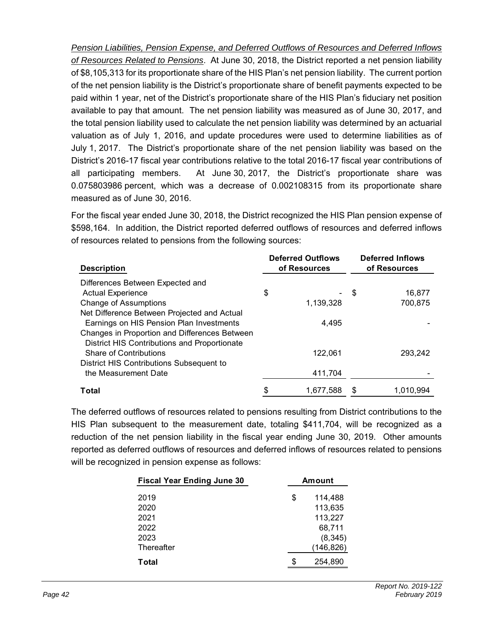*Pension Liabilities, Pension Expense, and Deferred Outflows of Resources and Deferred Inflows of Resources Related to Pensions*. At June 30, 2018, the District reported a net pension liability of \$8,105,313 for its proportionate share of the HIS Plan's net pension liability. The current portion of the net pension liability is the District's proportionate share of benefit payments expected to be paid within 1 year, net of the District's proportionate share of the HIS Plan's fiduciary net position available to pay that amount. The net pension liability was measured as of June 30, 2017, and the total pension liability used to calculate the net pension liability was determined by an actuarial valuation as of July 1, 2016, and update procedures were used to determine liabilities as of July 1, 2017. The District's proportionate share of the net pension liability was based on the District's 2016-17 fiscal year contributions relative to the total 2016-17 fiscal year contributions of all participating members. At June 30, 2017, the District's proportionate share was 0.075803986 percent, which was a decrease of 0.002108315 from its proportionate share measured as of June 30, 2016.

For the fiscal year ended June 30, 2018, the District recognized the HIS Plan pension expense of \$598,164. In addition, the District reported deferred outflows of resources and deferred inflows of resources related to pensions from the following sources:

| <b>Deferred Outflows</b><br><b>Description</b><br>of Resources |    | <b>Deferred Inflows</b><br>of Resources |     |           |
|----------------------------------------------------------------|----|-----------------------------------------|-----|-----------|
| Differences Between Expected and                               |    |                                         |     |           |
| <b>Actual Experience</b>                                       | \$ |                                         | -\$ | 16,877    |
| <b>Change of Assumptions</b>                                   |    | 1,139,328                               |     | 700,875   |
| Net Difference Between Projected and Actual                    |    |                                         |     |           |
| Earnings on HIS Pension Plan Investments                       |    | 4,495                                   |     |           |
| Changes in Proportion and Differences Between                  |    |                                         |     |           |
| District HIS Contributions and Proportionate                   |    |                                         |     |           |
| <b>Share of Contributions</b>                                  |    | 122,061                                 |     | 293,242   |
| District HIS Contributions Subsequent to                       |    |                                         |     |           |
| the Measurement Date                                           |    | 411,704                                 |     |           |
| Total                                                          | \$ | 1.677.588                               | S   | 1,010,994 |

The deferred outflows of resources related to pensions resulting from District contributions to the HIS Plan subsequent to the measurement date, totaling \$411,704, will be recognized as a reduction of the net pension liability in the fiscal year ending June 30, 2019. Other amounts reported as deferred outflows of resources and deferred inflows of resources related to pensions will be recognized in pension expense as follows:

| <b>Fiscal Year Ending June 30</b> |    | Amount     |
|-----------------------------------|----|------------|
| 2019                              | \$ | 114,488    |
| 2020                              |    | 113,635    |
| 2021                              |    | 113,227    |
| 2022                              |    | 68,711     |
| 2023                              |    | (8, 345)   |
| Thereafter                        |    | (146, 826) |
| Total                             | \$ | 254.890    |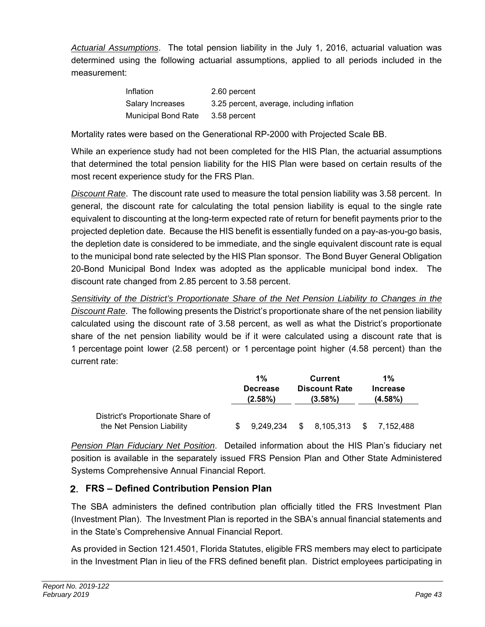*Actuarial Assumptions*. The total pension liability in the July 1, 2016, actuarial valuation was determined using the following actuarial assumptions, applied to all periods included in the measurement:

| Inflation               | 2.60 percent                               |
|-------------------------|--------------------------------------------|
| <b>Salary Increases</b> | 3.25 percent, average, including inflation |
| Municipal Bond Rate     | 3.58 percent                               |

Mortality rates were based on the Generational RP-2000 with Projected Scale BB.

While an experience study had not been completed for the HIS Plan, the actuarial assumptions that determined the total pension liability for the HIS Plan were based on certain results of the most recent experience study for the FRS Plan.

*Discount Rate*. The discount rate used to measure the total pension liability was 3.58 percent. In general, the discount rate for calculating the total pension liability is equal to the single rate equivalent to discounting at the long-term expected rate of return for benefit payments prior to the projected depletion date. Because the HIS benefit is essentially funded on a pay-as-you-go basis, the depletion date is considered to be immediate, and the single equivalent discount rate is equal to the municipal bond rate selected by the HIS Plan sponsor. The Bond Buyer General Obligation 20-Bond Municipal Bond Index was adopted as the applicable municipal bond index. The discount rate changed from 2.85 percent to 3.58 percent.

*Sensitivity of the District's Proportionate Share of the Net Pension Liability to Changes in the Discount Rate*. The following presents the District's proportionate share of the net pension liability calculated using the discount rate of 3.58 percent, as well as what the District's proportionate share of the net pension liability would be if it were calculated using a discount rate that is 1 percentage point lower (2.58 percent) or 1 percentage point higher (4.58 percent) than the current rate:

|                                                                | $1\%$<br><b>Decrease</b><br>$(2.58\%)$ |           | Current<br><b>Discount Rate</b><br>$(3.58\%)$ |           |    | 1%<br><b>Increase</b><br>(4.58%) |
|----------------------------------------------------------------|----------------------------------------|-----------|-----------------------------------------------|-----------|----|----------------------------------|
| District's Proportionate Share of<br>the Net Pension Liability |                                        | 9.249.234 | S.                                            | 8,105,313 | S. | 7.152.488                        |

*Pension Plan Fiduciary Net Position*. Detailed information about the HIS Plan's fiduciary net position is available in the separately issued FRS Pension Plan and Other State Administered Systems Comprehensive Annual Financial Report.

## **FRS – Defined Contribution Pension Plan**

The SBA administers the defined contribution plan officially titled the FRS Investment Plan (Investment Plan). The Investment Plan is reported in the SBA's annual financial statements and in the State's Comprehensive Annual Financial Report.

As provided in Section 121.4501, Florida Statutes, eligible FRS members may elect to participate in the Investment Plan in lieu of the FRS defined benefit plan. District employees participating in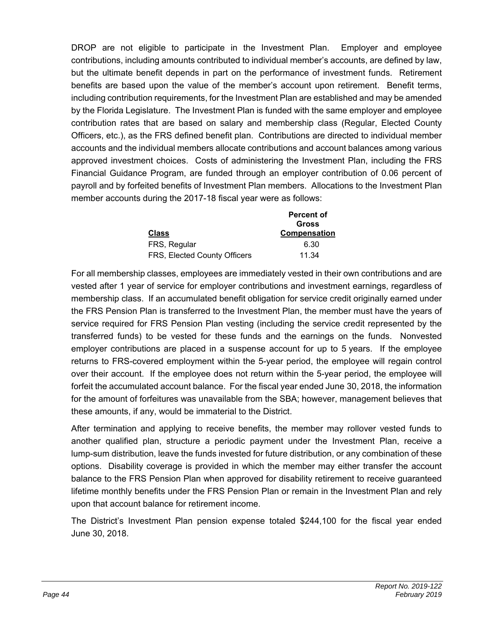DROP are not eligible to participate in the Investment Plan. Employer and employee contributions, including amounts contributed to individual member's accounts, are defined by law, but the ultimate benefit depends in part on the performance of investment funds. Retirement benefits are based upon the value of the member's account upon retirement. Benefit terms, including contribution requirements, for the Investment Plan are established and may be amended by the Florida Legislature. The Investment Plan is funded with the same employer and employee contribution rates that are based on salary and membership class (Regular, Elected County Officers, etc.), as the FRS defined benefit plan. Contributions are directed to individual member accounts and the individual members allocate contributions and account balances among various approved investment choices. Costs of administering the Investment Plan, including the FRS Financial Guidance Program, are funded through an employer contribution of 0.06 percent of payroll and by forfeited benefits of Investment Plan members. Allocations to the Investment Plan member accounts during the 2017-18 fiscal year were as follows:

|                              | <b>Percent of</b> |
|------------------------------|-------------------|
|                              | Gross             |
| <b>Class</b>                 | Compensation      |
| FRS, Regular                 | 6.30              |
| FRS, Elected County Officers | 11.34             |

For all membership classes, employees are immediately vested in their own contributions and are vested after 1 year of service for employer contributions and investment earnings, regardless of membership class. If an accumulated benefit obligation for service credit originally earned under the FRS Pension Plan is transferred to the Investment Plan, the member must have the years of service required for FRS Pension Plan vesting (including the service credit represented by the transferred funds) to be vested for these funds and the earnings on the funds. Nonvested employer contributions are placed in a suspense account for up to 5 years. If the employee returns to FRS-covered employment within the 5-year period, the employee will regain control over their account. If the employee does not return within the 5-year period, the employee will forfeit the accumulated account balance. For the fiscal year ended June 30, 2018, the information for the amount of forfeitures was unavailable from the SBA; however, management believes that these amounts, if any, would be immaterial to the District.

After termination and applying to receive benefits, the member may rollover vested funds to another qualified plan, structure a periodic payment under the Investment Plan, receive a lump-sum distribution, leave the funds invested for future distribution, or any combination of these options. Disability coverage is provided in which the member may either transfer the account balance to the FRS Pension Plan when approved for disability retirement to receive guaranteed lifetime monthly benefits under the FRS Pension Plan or remain in the Investment Plan and rely upon that account balance for retirement income.

The District's Investment Plan pension expense totaled \$244,100 for the fiscal year ended June 30, 2018.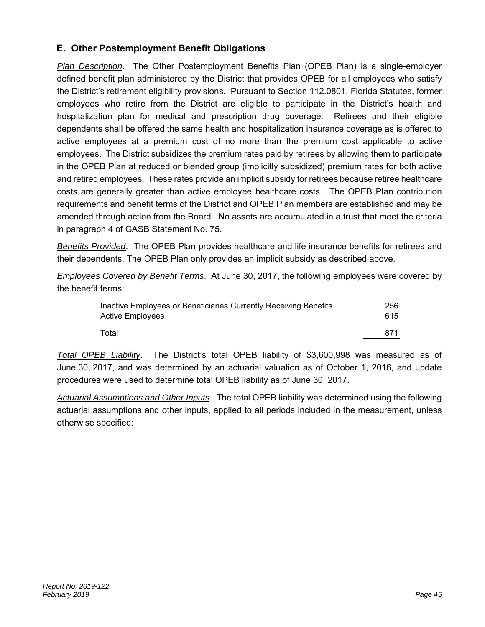## **E. Other Postemployment Benefit Obligations**

*Plan Description*. The Other Postemployment Benefits Plan (OPEB Plan) is a single-employer defined benefit plan administered by the District that provides OPEB for all employees who satisfy the District's retirement eligibility provisions. Pursuant to Section 112.0801, Florida Statutes, former employees who retire from the District are eligible to participate in the District's health and hospitalization plan for medical and prescription drug coverage. Retirees and their eligible dependents shall be offered the same health and hospitalization insurance coverage as is offered to active employees at a premium cost of no more than the premium cost applicable to active employees. The District subsidizes the premium rates paid by retirees by allowing them to participate in the OPEB Plan at reduced or blended group (implicitly subsidized) premium rates for both active and retired employees. These rates provide an implicit subsidy for retirees because retiree healthcare costs are generally greater than active employee healthcare costs. The OPEB Plan contribution requirements and benefit terms of the District and OPEB Plan members are established and may be amended through action from the Board. No assets are accumulated in a trust that meet the criteria in paragraph 4 of GASB Statement No. 75.

*Benefits Provided*.The OPEB Plan provides healthcare and life insurance benefits for retirees and their dependents. The OPEB Plan only provides an implicit subsidy as described above.

*Employees Covered by Benefit Terms*. At June 30, 2017, the following employees were covered by the benefit terms:

| Inactive Employees or Beneficiaries Currently Receiving Benefits | 256 |
|------------------------------------------------------------------|-----|
| <b>Active Employees</b>                                          | 615 |
| Total                                                            | 871 |

*Total OPEB Liability*. The District's total OPEB liability of \$3,600,998 was measured as of June 30, 2017, and was determined by an actuarial valuation as of October 1, 2016, and update procedures were used to determine total OPEB liability as of June 30, 2017.

*Actuarial Assumptions and Other Inputs*. The total OPEB liability was determined using the following actuarial assumptions and other inputs, applied to all periods included in the measurement, unless otherwise specified: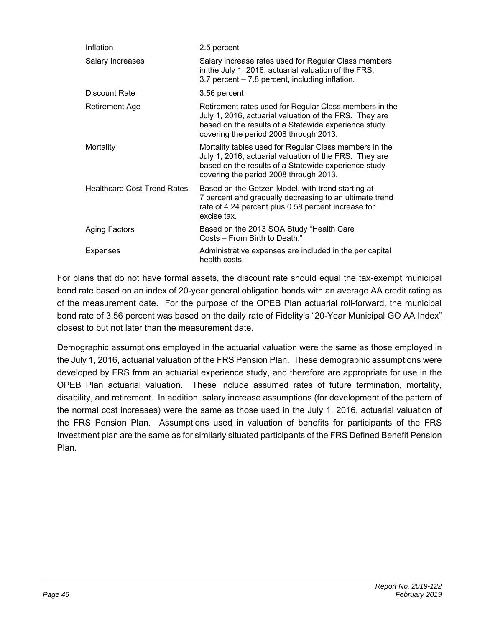| Inflation                          | 2.5 percent                                                                                                                                                                                                        |
|------------------------------------|--------------------------------------------------------------------------------------------------------------------------------------------------------------------------------------------------------------------|
| Salary Increases                   | Salary increase rates used for Regular Class members<br>in the July 1, 2016, actuarial valuation of the FRS;<br>3.7 percent - 7.8 percent, including inflation.                                                    |
| Discount Rate                      | 3.56 percent                                                                                                                                                                                                       |
| Retirement Age                     | Retirement rates used for Regular Class members in the<br>July 1, 2016, actuarial valuation of the FRS. They are<br>based on the results of a Statewide experience study<br>covering the period 2008 through 2013. |
| Mortality                          | Mortality tables used for Regular Class members in the<br>July 1, 2016, actuarial valuation of the FRS. They are<br>based on the results of a Statewide experience study<br>covering the period 2008 through 2013. |
| <b>Healthcare Cost Trend Rates</b> | Based on the Getzen Model, with trend starting at<br>7 percent and gradually decreasing to an ultimate trend<br>rate of 4.24 percent plus 0.58 percent increase for<br>excise tax                                  |
| <b>Aging Factors</b>               | Based on the 2013 SOA Study "Health Care<br>Costs – From Birth to Death."                                                                                                                                          |
| Expenses                           | Administrative expenses are included in the per capital<br>health costs.                                                                                                                                           |

For plans that do not have formal assets, the discount rate should equal the tax-exempt municipal bond rate based on an index of 20-year general obligation bonds with an average AA credit rating as of the measurement date. For the purpose of the OPEB Plan actuarial roll-forward, the municipal bond rate of 3.56 percent was based on the daily rate of Fidelity's "20-Year Municipal GO AA Index" closest to but not later than the measurement date.

Demographic assumptions employed in the actuarial valuation were the same as those employed in the July 1, 2016, actuarial valuation of the FRS Pension Plan. These demographic assumptions were developed by FRS from an actuarial experience study, and therefore are appropriate for use in the OPEB Plan actuarial valuation. These include assumed rates of future termination, mortality, disability, and retirement. In addition, salary increase assumptions (for development of the pattern of the normal cost increases) were the same as those used in the July 1, 2016, actuarial valuation of the FRS Pension Plan. Assumptions used in valuation of benefits for participants of the FRS Investment plan are the same as for similarly situated participants of the FRS Defined Benefit Pension Plan.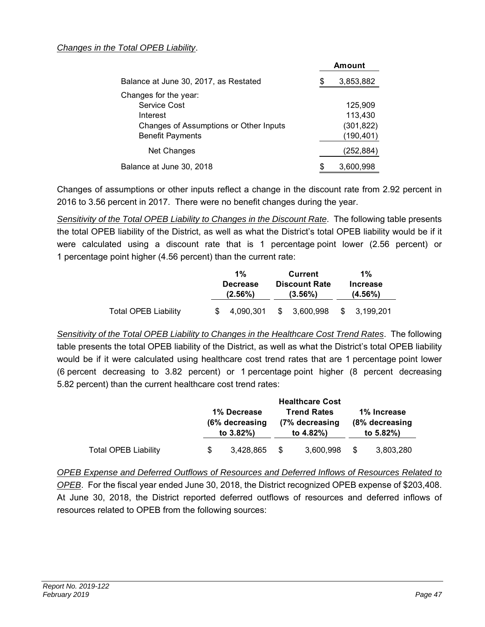#### *Changes in the Total OPEB Liability*.

|                                        |    | Amount     |
|----------------------------------------|----|------------|
| Balance at June 30, 2017, as Restated  | \$ | 3,853,882  |
| Changes for the year:                  |    |            |
| Service Cost                           |    | 125,909    |
| Interest                               |    | 113,430    |
| Changes of Assumptions or Other Inputs |    | (301, 822) |
| <b>Benefit Payments</b>                |    | (190, 401) |
| Net Changes                            |    | (252, 884) |
| Balance at June 30, 2018               | S  | 3,600,998  |

Changes of assumptions or other inputs reflect a change in the discount rate from 2.92 percent in 2016 to 3.56 percent in 2017. There were no benefit changes during the year.

*Sensitivity of the Total OPEB Liability to Changes in the Discount Rate*. The following table presents the total OPEB liability of the District, as well as what the District's total OPEB liability would be if it were calculated using a discount rate that is 1 percentage point lower (2.56 percent) or 1 percentage point higher (4.56 percent) than the current rate:

|                      | $1\%$<br><b>Decrease</b><br>$(2.56\%)$ |  | Current<br><b>Discount Rate</b><br>$(3.56\%)$ |  | $1\%$<br><b>Increase</b><br>$(4.56\%)$ |  |
|----------------------|----------------------------------------|--|-----------------------------------------------|--|----------------------------------------|--|
| Total OPEB Liability | 4,090,301                              |  | \$ 3,600,998                                  |  | \$ 3.199.201                           |  |

*Sensitivity of the Total OPEB Liability to Changes in the Healthcare Cost Trend Rates*. The following table presents the total OPEB liability of the District, as well as what the District's total OPEB liability would be if it were calculated using healthcare cost trend rates that are 1 percentage point lower (6 percent decreasing to 3.82 percent) or 1 percentage point higher (8 percent decreasing 5.82 percent) than the current healthcare cost trend rates:

|                             |                                 |  | <b>Healthcare Cost</b>          |   |                                 |  |
|-----------------------------|---------------------------------|--|---------------------------------|---|---------------------------------|--|
|                             | 1% Decrease                     |  | <b>Trend Rates</b>              |   | 1% Increase                     |  |
|                             | (6% decreasing<br>to $3.82\%$ ) |  | (7% decreasing<br>to $4.82\%$ ) |   | (8% decreasing<br>to $5.82\%$ ) |  |
| <b>Total OPEB Liability</b> | 3,428,865                       |  | 3,600,998                       | S | 3,803,280                       |  |

*OPEB Expense and Deferred Outflows of Resources and Deferred Inflows of Resources Related to OPEB*. For the fiscal year ended June 30, 2018, the District recognized OPEB expense of \$203,408. At June 30, 2018, the District reported deferred outflows of resources and deferred inflows of resources related to OPEB from the following sources: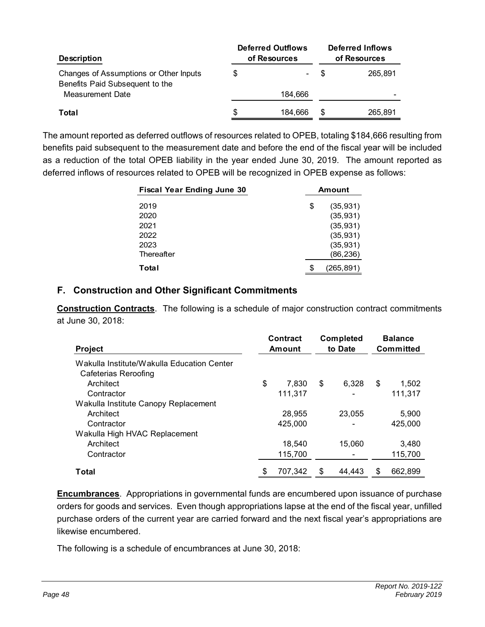| <b>Description</b>                                                                            |    | <b>Deferred Outflows</b><br>of Resources | <b>Deferred Inflows</b><br>of Resources |         |  |
|-----------------------------------------------------------------------------------------------|----|------------------------------------------|-----------------------------------------|---------|--|
| Changes of Assumptions or Other Inputs<br>Benefits Paid Subsequent to the<br>Measurement Date | S  | -<br>184.666                             |                                         | 265.891 |  |
| Total                                                                                         | \$ | 184.666                                  | S                                       | 265,891 |  |

The amount reported as deferred outflows of resources related to OPEB, totaling \$184,666 resulting from benefits paid subsequent to the measurement date and before the end of the fiscal year will be included as a reduction of the total OPEB liability in the year ended June 30, 2019. The amount reported as deferred inflows of resources related to OPEB will be recognized in OPEB expense as follows:

| <b>Fiscal Year Ending June 30</b> | Amount |           |
|-----------------------------------|--------|-----------|
| 2019                              | \$     | (35, 931) |
| 2020                              |        | (35, 931) |
| 2021                              |        | (35, 931) |
| 2022                              |        | (35, 931) |
| 2023                              |        | (35, 931) |
| Thereafter                        |        | (86, 236) |
| Total                             |        | (265,891) |

#### **F. Construction and Other Significant Commitments**

**Construction Contracts**. The following is a schedule of major construction contract commitments at June 30, 2018:

| <b>Project</b>                             | <b>Contract</b><br>Amount |         | <b>Completed</b><br>to Date |        | <b>Balance</b><br>Committed |         |
|--------------------------------------------|---------------------------|---------|-----------------------------|--------|-----------------------------|---------|
| Wakulla Institute/Wakulla Education Center |                           |         |                             |        |                             |         |
| Cafeterias Reroofing                       |                           |         |                             |        |                             |         |
| Architect                                  | \$                        | 7,830   | \$                          | 6,328  | \$                          | 1,502   |
| Contractor                                 |                           | 111,317 |                             |        |                             | 111,317 |
| Wakulla Institute Canopy Replacement       |                           |         |                             |        |                             |         |
| Architect                                  |                           | 28,955  |                             | 23,055 |                             | 5.900   |
| Contractor                                 |                           | 425,000 |                             |        |                             | 425,000 |
| Wakulla High HVAC Replacement              |                           |         |                             |        |                             |         |
| Architect                                  |                           | 18,540  |                             | 15,060 |                             | 3,480   |
| Contractor                                 |                           | 115,700 |                             |        |                             | 115,700 |
| Total                                      | \$                        | 707,342 | \$                          | 44,443 | \$                          | 662,899 |

**Encumbrances**. Appropriations in governmental funds are encumbered upon issuance of purchase orders for goods and services. Even though appropriations lapse at the end of the fiscal year, unfilled purchase orders of the current year are carried forward and the next fiscal year's appropriations are likewise encumbered.

The following is a schedule of encumbrances at June 30, 2018: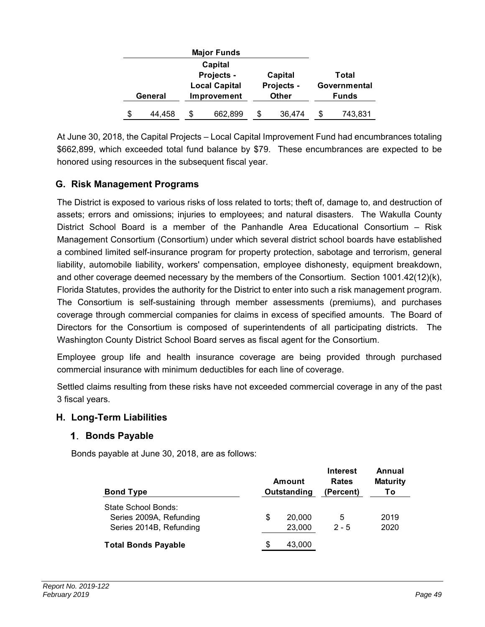|                                                                         |        |   | <b>Major Funds</b> |   |                                |   |                                       |
|-------------------------------------------------------------------------|--------|---|--------------------|---|--------------------------------|---|---------------------------------------|
| Capital<br>Projects -<br><b>Local Capital</b><br>Improvement<br>General |        |   |                    |   | Capital<br>Projects -<br>Other |   | Total<br>Governmental<br><b>Funds</b> |
| \$                                                                      | 44,458 | S | 662,899            | S | 36,474                         | S | 743,831                               |

At June 30, 2018, the Capital Projects – Local Capital Improvement Fund had encumbrances totaling \$662,899, which exceeded total fund balance by \$79. These encumbrances are expected to be honored using resources in the subsequent fiscal year.

#### **G. Risk Management Programs**

The District is exposed to various risks of loss related to torts; theft of, damage to, and destruction of assets; errors and omissions; injuries to employees; and natural disasters. The Wakulla County District School Board is a member of the Panhandle Area Educational Consortium – Risk Management Consortium (Consortium) under which several district school boards have established a combined limited self-insurance program for property protection, sabotage and terrorism, general liability, automobile liability, workers' compensation, employee dishonesty, equipment breakdown, and other coverage deemed necessary by the members of the Consortium. Section 1001.42(12)(k), Florida Statutes, provides the authority for the District to enter into such a risk management program. The Consortium is self-sustaining through member assessments (premiums), and purchases coverage through commercial companies for claims in excess of specified amounts. The Board of Directors for the Consortium is composed of superintendents of all participating districts. The Washington County District School Board serves as fiscal agent for the Consortium.

Employee group life and health insurance coverage are being provided through purchased commercial insurance with minimum deductibles for each line of coverage.

Settled claims resulting from these risks have not exceeded commercial coverage in any of the past 3 fiscal years.

#### **H. Long-Term Liabilities**

#### **Bonds Payable**

Bonds payable at June 30, 2018, are as follows:

| <b>Bond Type</b>                               |    | Amount<br>Outstanding | <b>Interest</b><br><b>Rates</b><br>(Percent) | Annual<br><b>Maturity</b><br>Τo |  |
|------------------------------------------------|----|-----------------------|----------------------------------------------|---------------------------------|--|
| State School Bonds:<br>Series 2009A, Refunding | \$ | 20,000                | 5                                            | 2019                            |  |
| Series 2014B, Refunding                        |    | 23,000                | $2 - 5$                                      | 2020                            |  |
| <b>Total Bonds Payable</b>                     | S  | 43,000                |                                              |                                 |  |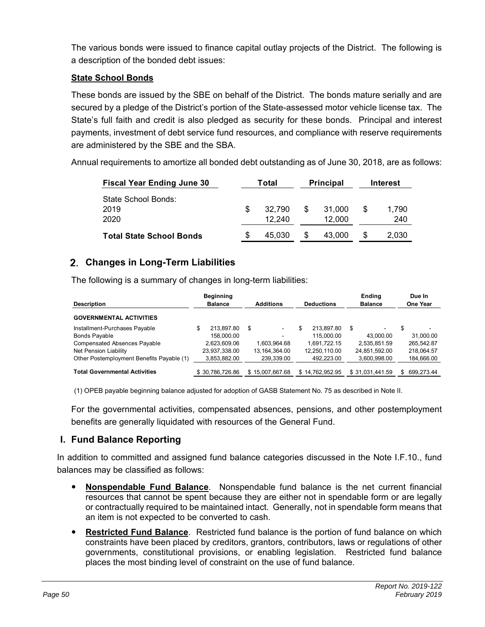The various bonds were issued to finance capital outlay projects of the District. The following is a description of the bonded debt issues:

#### **State School Bonds**

These bonds are issued by the SBE on behalf of the District. The bonds mature serially and are secured by a pledge of the District's portion of the State-assessed motor vehicle license tax. The State's full faith and credit is also pledged as security for these bonds. Principal and interest payments, investment of debt service fund resources, and compliance with reserve requirements are administered by the SBE and the SBA.

Annual requirements to amortize all bonded debt outstanding as of June 30, 2018, are as follows:

| <b>Fiscal Year Ending June 30</b> | Total |        |   | <b>Principal</b> | Interest |       |
|-----------------------------------|-------|--------|---|------------------|----------|-------|
| State School Bonds:<br>2019       | S     | 32.790 | S | 31.000           | S        | 1,790 |
| 2020                              |       | 12.240 |   | 12.000           |          | 240   |
| <b>Total State School Bonds</b>   |       | 45.030 |   | 43.000           | \$       | 2.030 |

## **Changes in Long-Term Liabilities**

The following is a summary of changes in long-term liabilities:

| <b>Description</b>                        | <b>Beginning</b><br><b>Balance</b> | <b>Additions</b><br><b>Deductions</b> |                  | <b>Ending</b><br><b>Balance</b> | Due In<br><b>One Year</b> |
|-------------------------------------------|------------------------------------|---------------------------------------|------------------|---------------------------------|---------------------------|
| <b>GOVERNMENTAL ACTIVITIES</b>            |                                    |                                       |                  |                                 |                           |
| Installment-Purchases Payable             | 213.897.80<br>\$                   | \$<br>$\sim$                          | 213.897.80<br>\$ | \$<br>۰                         | $\overline{\phantom{0}}$  |
| <b>Bonds Payable</b>                      | 158.000.00                         |                                       | 115.000.00       | 43.000.00                       | 31.000.00                 |
| <b>Compensated Absences Payable</b>       | 2.623.609.06                       | 1.603.964.68                          | 1.691.722.15     | 2.535.851.59                    | 265.542.87                |
| Net Pension Liability                     | 23,937,338.00                      | 13,164,364.00                         | 12,250,110.00    | 24.851.592.00                   | 218.064.57                |
| Other Postemployment Benefits Payable (1) | 3,853,882.00                       | 239.339.00                            | 492.223.00       | 3.600.998.00                    | 184.666.00                |
| <b>Total Governmental Activities</b>      | \$30,786,726.86                    | \$15.007.667.68                       | \$14.762.952.95  | \$31.031.441.59                 | 699.273.44<br>\$.         |

(1) OPEB payable beginning balance adjusted for adoption of GASB Statement No. 75 as described in Note II.

For the governmental activities, compensated absences, pensions, and other postemployment benefits are generally liquidated with resources of the General Fund.

## **I. Fund Balance Reporting**

In addition to committed and assigned fund balance categories discussed in the Note I.F.10., fund balances may be classified as follows:

- **Nonspendable Fund Balance**. Nonspendable fund balance is the net current financial resources that cannot be spent because they are either not in spendable form or are legally or contractually required to be maintained intact. Generally, not in spendable form means that an item is not expected to be converted to cash.
- **Restricted Fund Balance**. Restricted fund balance is the portion of fund balance on which constraints have been placed by creditors, grantors, contributors, laws or regulations of other governments, constitutional provisions, or enabling legislation. Restricted fund balance places the most binding level of constraint on the use of fund balance.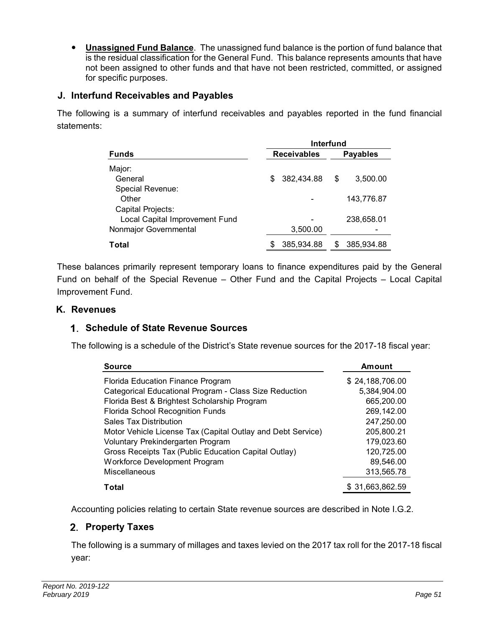**Unassigned Fund Balance**. The unassigned fund balance is the portion of fund balance that is the residual classification for the General Fund. This balance represents amounts that have not been assigned to other funds and that have not been restricted, committed, or assigned for specific purposes.

#### **J. Interfund Receivables and Payables**

The following is a summary of interfund receivables and payables reported in the fund financial statements:

|                                | Interfund |                    |                 |            |  |
|--------------------------------|-----------|--------------------|-----------------|------------|--|
| <b>Funds</b>                   |           | <b>Receivables</b> | <b>Payables</b> |            |  |
| Major:                         |           |                    |                 |            |  |
| General                        | S         | 382,434.88         | \$              | 3,500.00   |  |
| Special Revenue:               |           |                    |                 |            |  |
| Other                          |           |                    |                 | 143,776.87 |  |
| Capital Projects:              |           |                    |                 |            |  |
| Local Capital Improvement Fund |           |                    |                 | 238,658.01 |  |
| Nonmajor Governmental          |           | 3,500.00           |                 |            |  |
| Total                          |           | 385,934.88         | S               | 385,934.88 |  |

These balances primarily represent temporary loans to finance expenditures paid by the General Fund on behalf of the Special Revenue – Other Fund and the Capital Projects – Local Capital Improvement Fund.

#### **K. Revenues**

## **Schedule of State Revenue Sources**

The following is a schedule of the District's State revenue sources for the 2017-18 fiscal year:

| <b>Source</b>                                               | Amount          |
|-------------------------------------------------------------|-----------------|
| Florida Education Finance Program                           | \$24,188,706.00 |
| Categorical Educational Program - Class Size Reduction      | 5,384,904.00    |
| Florida Best & Brightest Scholarship Program                | 665,200.00      |
| Florida School Recognition Funds                            | 269,142.00      |
| <b>Sales Tax Distribution</b>                               | 247,250.00      |
| Motor Vehicle License Tax (Capital Outlay and Debt Service) | 205,800.21      |
| Voluntary Prekindergarten Program                           | 179,023.60      |
| Gross Receipts Tax (Public Education Capital Outlay)        | 120,725.00      |
| Workforce Development Program                               | 89,546.00       |
| <b>Miscellaneous</b>                                        | 313,565.78      |
| <b>Total</b>                                                | \$31,663,862.59 |

Accounting policies relating to certain State revenue sources are described in Note I.G.2.

## **Property Taxes**

The following is a summary of millages and taxes levied on the 2017 tax roll for the 2017-18 fiscal year: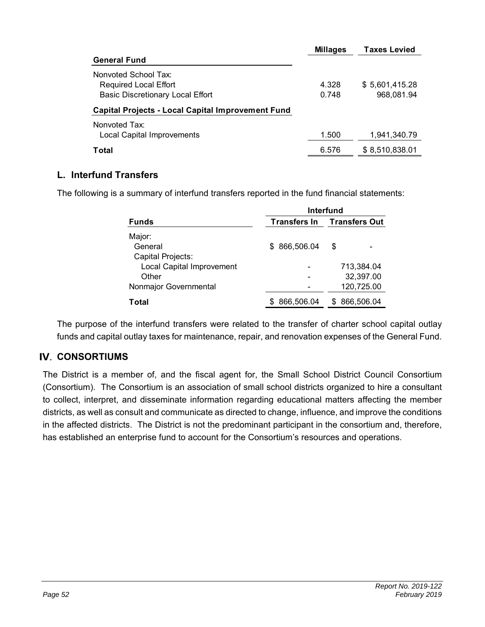|                                                          | <b>Millages</b> | <b>Taxes Levied</b> |
|----------------------------------------------------------|-----------------|---------------------|
| <b>General Fund</b>                                      |                 |                     |
| Nonvoted School Tax:                                     |                 |                     |
| Required Local Effort                                    | 4.328           | \$5,601,415.28      |
| <b>Basic Discretionary Local Effort</b>                  | 0.748           | 968,081.94          |
| <b>Capital Projects - Local Capital Improvement Fund</b> |                 |                     |
| Nonvoted Tax:                                            |                 |                     |
| Local Capital Improvements                               | 1.500           | 1,941,340.79        |
| <b>Total</b>                                             | 6.576           | \$8,510,838.01      |

#### **L. Interfund Transfers**

The following is a summary of interfund transfers reported in the fund financial statements:

|                                  | Interfund           |                   |  |  |  |  |  |
|----------------------------------|---------------------|-------------------|--|--|--|--|--|
| <b>Funds</b>                     | <b>Transfers In</b> | Transfers Out     |  |  |  |  |  |
| Major:                           |                     |                   |  |  |  |  |  |
| General                          | \$866,506.04        | \$                |  |  |  |  |  |
| Capital Projects:                |                     |                   |  |  |  |  |  |
| <b>Local Capital Improvement</b> |                     | 713,384.04        |  |  |  |  |  |
| Other                            |                     | 32,397.00         |  |  |  |  |  |
| Nonmajor Governmental            |                     | 120,725.00        |  |  |  |  |  |
| Total                            | 866,506.04          | 866,506.04<br>\$. |  |  |  |  |  |

The purpose of the interfund transfers were related to the transfer of charter school capital outlay funds and capital outlay taxes for maintenance, repair, and renovation expenses of the General Fund.

#### **IV. CONSORTIUMS**

The District is a member of, and the fiscal agent for, the Small School District Council Consortium (Consortium). The Consortium is an association of small school districts organized to hire a consultant to collect, interpret, and disseminate information regarding educational matters affecting the member districts, as well as consult and communicate as directed to change, influence, and improve the conditions in the affected districts. The District is not the predominant participant in the consortium and, therefore, has established an enterprise fund to account for the Consortium's resources and operations.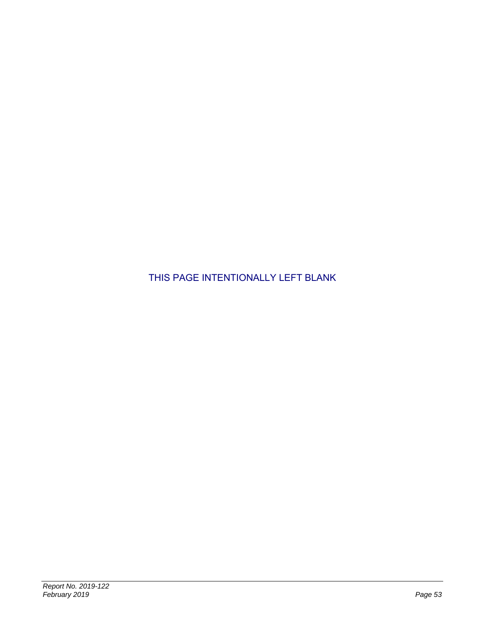THIS PAGE INTENTIONALLY LEFT BLANK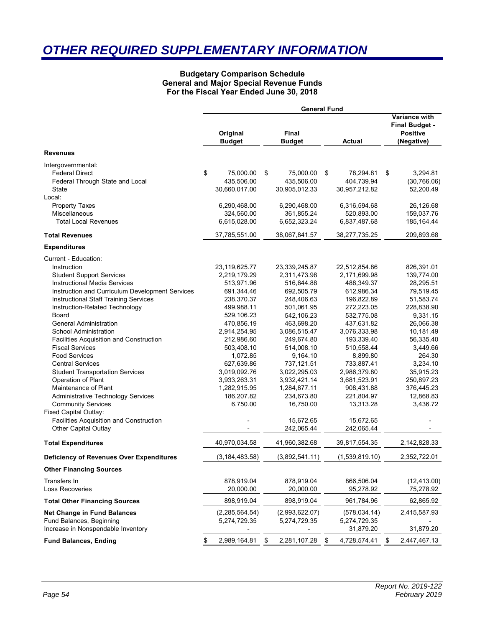## *OTHER REQUIRED SUPPLEMENTARY INFORMATION*

#### **Budgetary Comparison Schedule General and Major Special Revenue Funds For the Fiscal Year Ended June 30, 2018**

|                                                                        | <b>General Fund</b>       |                  |    |                               |    |                         |    |                                                                         |
|------------------------------------------------------------------------|---------------------------|------------------|----|-------------------------------|----|-------------------------|----|-------------------------------------------------------------------------|
|                                                                        | Original<br><b>Budget</b> |                  |    | <b>Final</b><br><b>Budget</b> |    | Actual                  |    | Variance with<br><b>Final Budget -</b><br><b>Positive</b><br>(Negative) |
| <b>Revenues</b>                                                        |                           |                  |    |                               |    |                         |    |                                                                         |
| Intergovernmental:                                                     |                           |                  |    |                               |    |                         |    |                                                                         |
| <b>Federal Direct</b>                                                  | \$                        | 75,000.00        | \$ | 75,000.00                     | \$ | 78,294.81               | \$ | 3,294.81                                                                |
| Federal Through State and Local                                        |                           | 435,506.00       |    | 435,506.00                    |    | 404,739.94              |    | (30, 766.06)                                                            |
| State                                                                  |                           | 30,660,017.00    |    | 30,905,012.33                 |    | 30,957,212.82           |    | 52,200.49                                                               |
| Local:                                                                 |                           |                  |    |                               |    |                         |    |                                                                         |
| <b>Property Taxes</b>                                                  |                           | 6,290,468.00     |    | 6,290,468.00                  |    | 6,316,594.68            |    | 26,126.68                                                               |
| Miscellaneous                                                          |                           | 324,560.00       |    | 361,855.24                    |    | 520,893.00              |    | 159,037.76                                                              |
| <b>Total Local Revenues</b>                                            |                           | 6,615,028.00     |    | 6,652,323.24                  |    | 6,837,487.68            |    | 185, 164.44                                                             |
| <b>Total Revenues</b>                                                  |                           | 37,785,551.00    |    | 38,067,841.57                 |    | 38,277,735.25           |    | 209,893.68                                                              |
| <b>Expenditures</b>                                                    |                           |                  |    |                               |    |                         |    |                                                                         |
| Current - Education:                                                   |                           |                  |    |                               |    |                         |    |                                                                         |
| Instruction                                                            |                           | 23,119,625.77    |    | 23,339,245.87                 |    | 22,512,854.86           |    | 826,391.01                                                              |
| <b>Student Support Services</b>                                        |                           | 2,219,179.29     |    | 2,311,473.98                  |    | 2,171,699.98            |    | 139,774.00                                                              |
| <b>Instructional Media Services</b>                                    |                           | 513,971.96       |    | 516,644.88                    |    | 488,349.37              |    | 28,295.51                                                               |
| Instruction and Curriculum Development Services                        |                           | 691,344.46       |    | 692,505.79                    |    | 612,986.34              |    | 79,519.45                                                               |
| <b>Instructional Staff Training Services</b>                           |                           | 238,370.37       |    | 248,406.63                    |    | 196,822.89              |    | 51,583.74                                                               |
| Instruction-Related Technology                                         |                           | 499,988.11       |    | 501,061.95                    |    | 272,223.05              |    | 228,838.90                                                              |
| Board                                                                  |                           | 529,106.23       |    | 542,106.23                    |    | 532,775.08              |    | 9,331.15                                                                |
| <b>General Administration</b>                                          |                           | 470,856.19       |    | 463,698.20                    |    | 437,631.82              |    | 26,066.38                                                               |
| <b>School Administration</b>                                           |                           | 2,914,254.95     |    | 3,086,515.47                  |    | 3,076,333.98            |    | 10,181.49                                                               |
| <b>Facilities Acquisition and Construction</b>                         |                           | 212,986.60       |    | 249,674.80                    |    | 193,339.40              |    | 56,335.40                                                               |
| <b>Fiscal Services</b>                                                 |                           | 503,408.10       |    | 514,008.10                    |    | 510,558.44              |    | 3,449.66                                                                |
| <b>Food Services</b>                                                   |                           | 1,072.85         |    | 9,164.10                      |    | 8,899.80                |    | 264.30                                                                  |
| <b>Central Services</b>                                                |                           | 627,639.86       |    | 737,121.51                    |    | 733,887.41              |    | 3,234.10                                                                |
| <b>Student Transportation Services</b>                                 |                           | 3,019,092.76     |    | 3,022,295.03                  |    | 2,986,379.80            |    | 35,915.23                                                               |
| Operation of Plant                                                     |                           | 3,933,263.31     |    | 3,932,421.14                  |    | 3,681,523.91            |    | 250,897.23                                                              |
| Maintenance of Plant                                                   |                           | 1,282,915.95     |    | 1,284,877.11                  |    | 908,431.88              |    | 376,445.23                                                              |
| Administrative Technology Services                                     |                           | 186,207.82       |    | 234,673.80                    |    | 221,804.97              |    | 12,868.83                                                               |
| <b>Community Services</b>                                              |                           | 6,750.00         |    | 16,750.00                     |    | 13,313.28               |    | 3,436.72                                                                |
| Fixed Capital Outlay:                                                  |                           |                  |    |                               |    |                         |    |                                                                         |
| Facilities Acquisition and Construction<br><b>Other Capital Outlay</b> |                           |                  |    | 15,672.65<br>242,065.44       |    | 15,672.65<br>242,065.44 |    |                                                                         |
| <b>Total Expenditures</b>                                              |                           | 40,970,034.58    |    | 41,960,382.68                 |    | 39,817,554.35           |    | 2,142,828.33                                                            |
| Deficiency of Revenues Over Expenditures                               |                           | (3, 184, 483.58) |    | (3,892,541.11)                |    | (1,539,819.10)          |    | 2,352,722.01                                                            |
| <b>Other Financing Sources</b>                                         |                           |                  |    |                               |    |                         |    |                                                                         |
|                                                                        |                           |                  |    |                               |    |                         |    |                                                                         |
| Transfers In                                                           |                           | 878,919.04       |    | 878,919.04                    |    | 866,506.04              |    | (12, 413.00)                                                            |
| <b>Loss Recoveries</b>                                                 |                           | 20,000.00        |    | 20,000.00                     |    | 95,278.92               |    | 75,278.92                                                               |
| <b>Total Other Financing Sources</b>                                   |                           | 898,919.04       |    | 898,919.04                    |    | 961,784.96              |    | 62,865.92                                                               |
| <b>Net Change in Fund Balances</b>                                     |                           | (2, 285, 564.54) |    | (2,993,622.07)                |    | (578, 034.14)           |    | 2,415,587.93                                                            |
| Fund Balances, Beginning                                               |                           | 5,274,729.35     |    | 5,274,729.35                  |    | 5,274,729.35            |    |                                                                         |
| Increase in Nonspendable Inventory                                     |                           |                  |    |                               |    | 31,879.20               |    | 31,879.20                                                               |
| <b>Fund Balances, Ending</b>                                           | \$                        | 2,989,164.81     | \$ | 2,281,107.28                  | \$ | 4,728,574.41            | \$ | 2,447,467.13                                                            |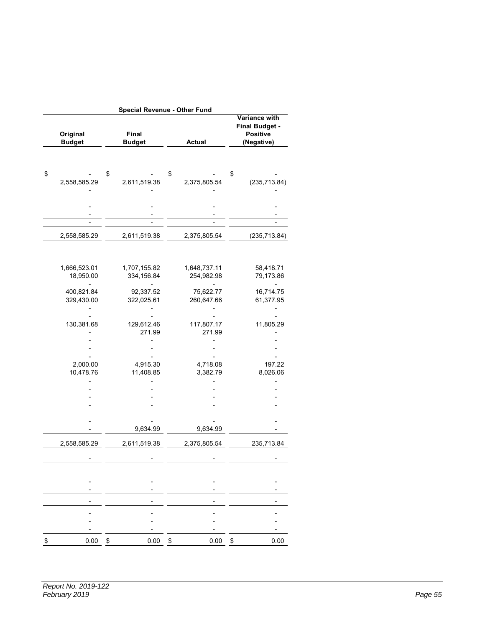|                           | Special Revenue - Other Fund |                          |                                                                  |
|---------------------------|------------------------------|--------------------------|------------------------------------------------------------------|
| Original<br><b>Budget</b> | Final<br><b>Budget</b>       | <b>Actual</b>            | Variance with<br>Final Budget -<br><b>Positive</b><br>(Negative) |
|                           |                              |                          |                                                                  |
|                           |                              |                          |                                                                  |
| \$                        | \$                           | \$                       | \$                                                               |
| 2,558,585.29              | 2,611,519.38                 | 2,375,805.54             | (235, 713.84)                                                    |
|                           |                              |                          |                                                                  |
|                           |                              |                          |                                                                  |
|                           |                              |                          |                                                                  |
| -                         | ٠                            | $\overline{\phantom{0}}$ |                                                                  |
|                           |                              |                          |                                                                  |
| 2,558,585.29              | 2,611,519.38                 | 2,375,805.54             | (235, 713.84)                                                    |
|                           |                              |                          |                                                                  |
|                           |                              |                          |                                                                  |
| 1,666,523.01              | 1,707,155.82                 | 1,648,737.11             | 58,418.71                                                        |
| 18,950.00                 | 334,156.84                   | 254,982.98               | 79,173.86                                                        |
|                           |                              |                          |                                                                  |
| 400,821.84                | 92,337.52                    | 75,622.77                | 16,714.75                                                        |
| 329,430.00                | 322,025.61                   | 260,647.66               | 61,377.95                                                        |
|                           |                              |                          |                                                                  |
|                           |                              |                          |                                                                  |
| 130,381.68                | 129,612.46                   | 117,807.17               | 11,805.29                                                        |
|                           | 271.99                       | 271.99                   |                                                                  |
|                           |                              |                          |                                                                  |
|                           |                              |                          |                                                                  |
|                           |                              |                          |                                                                  |
| 2,000.00                  | 4,915.30                     | 4,718.08                 | 197.22                                                           |
| 10,478.76                 | 11,408.85                    | 3,382.79                 | 8,026.06                                                         |
|                           |                              |                          |                                                                  |
|                           |                              |                          |                                                                  |
|                           |                              |                          |                                                                  |
|                           |                              |                          |                                                                  |
|                           |                              |                          |                                                                  |
|                           |                              |                          |                                                                  |
|                           | 9,634.99                     | 9,634.99                 |                                                                  |
| 2,558,585.29              | 2,611,519.38                 | 2,375,805.54             | 235,713.84                                                       |
|                           |                              |                          |                                                                  |
|                           |                              |                          |                                                                  |
|                           |                              |                          |                                                                  |
|                           |                              |                          |                                                                  |
|                           |                              |                          |                                                                  |
|                           |                              |                          |                                                                  |
|                           |                              |                          |                                                                  |
|                           |                              |                          |                                                                  |
|                           |                              |                          |                                                                  |
| \$<br>0.00                | \$<br>0.00                   | \$<br>0.00               | \$<br>0.00                                                       |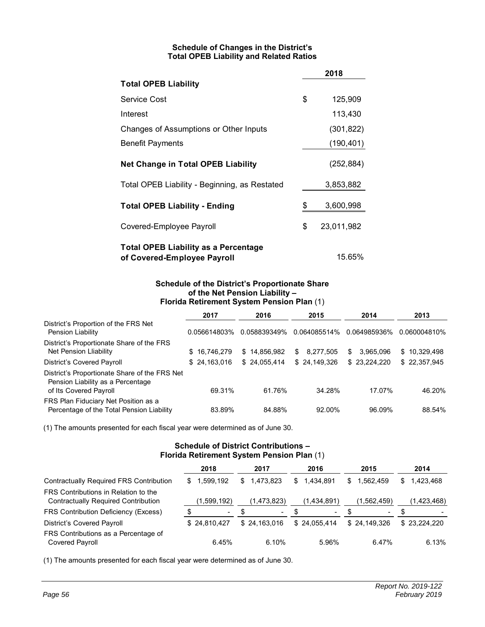#### **Schedule of Changes in the District's Total OPEB Liability and Related Ratios**

|                                                                            | 2018 |            |  |  |
|----------------------------------------------------------------------------|------|------------|--|--|
| <b>Total OPEB Liability</b>                                                |      |            |  |  |
| Service Cost                                                               | \$   | 125,909    |  |  |
| Interest                                                                   |      | 113,430    |  |  |
| Changes of Assumptions or Other Inputs                                     |      | (301, 822) |  |  |
| <b>Benefit Payments</b>                                                    |      | (190, 401) |  |  |
| <b>Net Change in Total OPEB Liability</b>                                  |      | (252, 884) |  |  |
| Total OPEB Liability - Beginning, as Restated                              |      | 3,853,882  |  |  |
| <b>Total OPEB Liability - Ending</b>                                       | \$   | 3,600,998  |  |  |
| Covered-Employee Payroll                                                   | \$   | 23,011,982 |  |  |
| <b>Total OPEB Liability as a Percentage</b><br>of Covered-Employee Payroll |      | 15.65%     |  |  |

#### **Schedule of the District's Proportionate Share of the Net Pension Liability – Florida Retirement System Pension Plan** (1)

|                                                                                                              | 2017         | 2016         | 2015             | 2014            | 2013         |
|--------------------------------------------------------------------------------------------------------------|--------------|--------------|------------------|-----------------|--------------|
| District's Proportion of the FRS Net<br>Pension Liability                                                    | 0.056614803% | 0.058839349% | 0.064085514%     | 0.064985936%    | 0.060004810% |
| District's Proportionate Share of the FRS<br>Net Pension Lliability                                          | \$16,746,279 | \$14,856,982 | 8.277.505<br>\$. | 3,965,096<br>\$ | \$10,329,498 |
| District's Covered Payroll                                                                                   | \$24,163,016 | \$24.055.414 | \$24.149.326     | \$23,224,220    | \$22,357,945 |
| District's Proportionate Share of the FRS Net<br>Pension Liability as a Percentage<br>of Its Covered Payroll | 69.31%       | 61.76%       | 34.28%           | 17.07%          | 46.20%       |
| FRS Plan Fiduciary Net Position as a<br>Percentage of the Total Pension Liability                            | 83.89%       | 84.88%       | 92.00%           | 96.09%          | 88.54%       |

(1) The amounts presented for each fiscal year were determined as of June 30.

#### **Schedule of District Contributions – Florida Retirement System Pension Plan** (1)

|                                                                                    | 2018             | 2017         | 2016             | 2015            | 2014           |
|------------------------------------------------------------------------------------|------------------|--------------|------------------|-----------------|----------------|
| <b>Contractually Required FRS Contribution</b>                                     | 1,599,192<br>SS. | \$1,473,823  | 1.434.891<br>\$. | 1,562,459<br>\$ | 1.423.468<br>S |
| FRS Contributions in Relation to the<br><b>Contractually Required Contribution</b> | (1,599,192)      | (1,473,823)  | (1,434,891)      | (1,562,459)     | (1,423,468)    |
| FRS Contribution Deficiency (Excess)                                               | $\blacksquare$   | $\sim$ $-$   | \$<br>$\sim$     | $\sim$          |                |
| <b>District's Covered Payroll</b>                                                  | \$24,810,427     | \$24.163.016 | \$24,055,414     | \$24.149.326    | \$23,224,220   |
| FRS Contributions as a Percentage of<br>Covered Payroll                            | 6.45%            | 6.10%        | 5.96%            | 6.47%           | 6.13%          |

(1) The amounts presented for each fiscal year were determined as of June 30.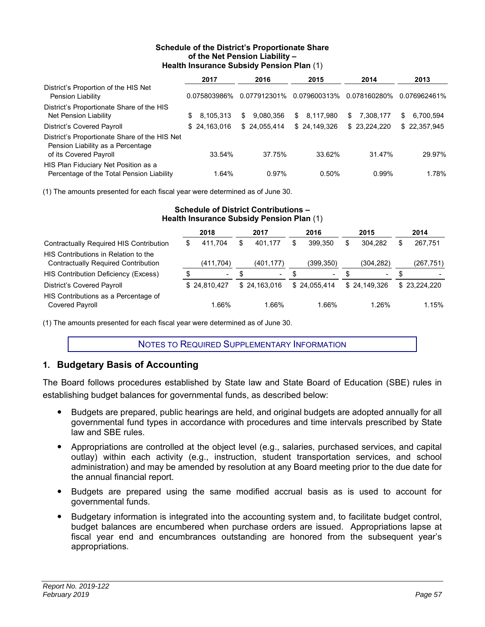#### **Schedule of the District's Proportionate Share of the Net Pension Liability – Health Insurance Subsidy Pension Plan** (1)

|                                                                                    | 2017            | 2016            | 2015            | 2014            | 2013           |
|------------------------------------------------------------------------------------|-----------------|-----------------|-----------------|-----------------|----------------|
| District's Proportion of the HIS Net<br>Pension Liability                          | 0.075803986%    | 0.077912301%    | 0.079600313%    | 0.078160280%    | 0.076962461%   |
| District's Proportionate Share of the HIS<br>Net Pension Liability                 | 8,105,313<br>S. | 9,080,356<br>S. | 8.117.980<br>S. | 7,308,177<br>S. | 6,700,594<br>S |
| District's Covered Payroll                                                         | \$24,163,016    | \$24,055,414    | \$24,149,326    | \$23,224,220    | \$22,357,945   |
| District's Proportionate Share of the HIS Net<br>Pension Liability as a Percentage |                 |                 |                 |                 |                |
| of its Covered Payroll                                                             | 33.54%          | 37.75%          | 33.62%          | 31.47%          | 29.97%         |
| HIS Plan Fiduciary Net Position as a<br>Percentage of the Total Pension Liability  | 1.64%           | 0.97%           | $0.50\%$        | 0.99%           | 1.78%          |

(1) The amounts presented for each fiscal year were determined as of June 30.

#### **Schedule of District Contributions – Health Insurance Subsidy Pension Plan** (1)

|                                                                                    | 2018           | 2017         | 2016                     | 2015          |   | 2014         |
|------------------------------------------------------------------------------------|----------------|--------------|--------------------------|---------------|---|--------------|
| <b>Contractually Required HIS Contribution</b>                                     | 411.704        | 401.177      | 399.350                  | \$<br>304.282 | S | 267,751      |
| HIS Contributions in Relation to the<br><b>Contractually Required Contribution</b> | (411,704)      | (401, 177)   | (399, 350)               | (304, 282)    |   | (267, 751)   |
| HIS Contribution Deficiency (Excess)                                               | $\blacksquare$ | $\sim$       | $\overline{\phantom{0}}$ | $\sim$        |   |              |
| <b>District's Covered Payroll</b>                                                  | \$24,810,427   | \$24.163.016 | \$24.055.414             | \$24,149,326  |   | \$23.224.220 |
| HIS Contributions as a Percentage of<br><b>Covered Payroll</b>                     | 1.66%          | 1.66%        | 1.66%                    | 1.26%         |   | 1.15%        |

(1) The amounts presented for each fiscal year were determined as of June 30.

NOTES TO REQUIRED SUPPLEMENTARY INFORMATION

#### **1. Budgetary Basis of Accounting**

The Board follows procedures established by State law and State Board of Education (SBE) rules in establishing budget balances for governmental funds, as described below:

- Budgets are prepared, public hearings are held, and original budgets are adopted annually for all governmental fund types in accordance with procedures and time intervals prescribed by State law and SBE rules.
- Appropriations are controlled at the object level (e.g., salaries, purchased services, and capital outlay) within each activity (e.g., instruction, student transportation services, and school administration) and may be amended by resolution at any Board meeting prior to the due date for the annual financial report.
- Budgets are prepared using the same modified accrual basis as is used to account for governmental funds.
- Budgetary information is integrated into the accounting system and, to facilitate budget control, budget balances are encumbered when purchase orders are issued. Appropriations lapse at fiscal year end and encumbrances outstanding are honored from the subsequent year's appropriations.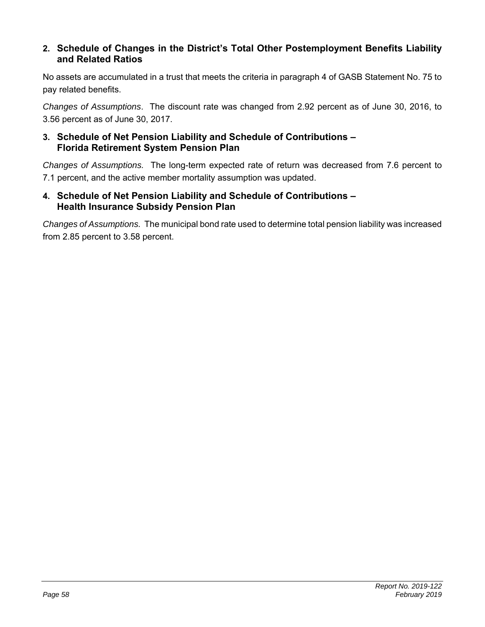#### **2. Schedule of Changes in the District's Total Other Postemployment Benefits Liability and Related Ratios**

No assets are accumulated in a trust that meets the criteria in paragraph 4 of GASB Statement No. 75 to pay related benefits.

*Changes of Assumptions*. The discount rate was changed from 2.92 percent as of June 30, 2016, to 3.56 percent as of June 30, 2017.

#### **3. Schedule of Net Pension Liability and Schedule of Contributions – Florida Retirement System Pension Plan**

*Changes of Assumptions.* The long-term expected rate of return was decreased from 7.6 percent to 7.1 percent, and the active member mortality assumption was updated.

#### **4. Schedule of Net Pension Liability and Schedule of Contributions – Health Insurance Subsidy Pension Plan**

*Changes of Assumptions.* The municipal bond rate used to determine total pension liability was increased from 2.85 percent to 3.58 percent.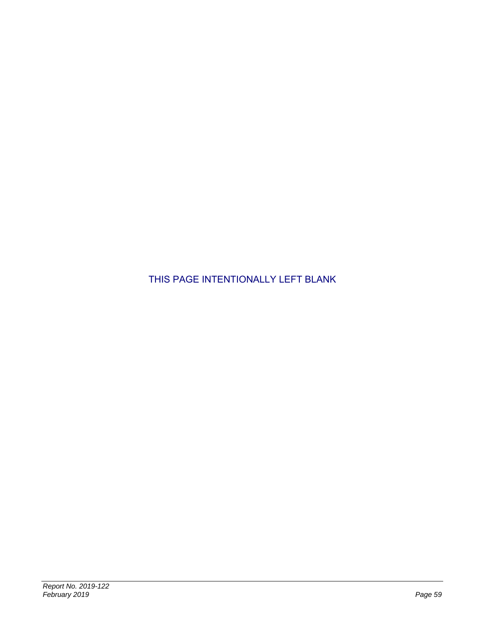THIS PAGE INTENTIONALLY LEFT BLANK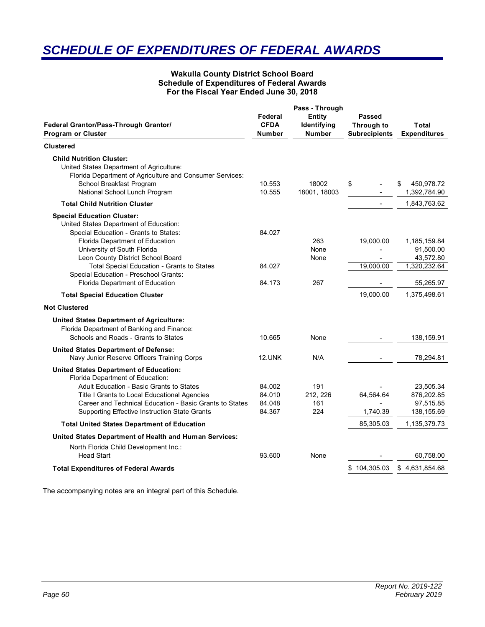## *SCHEDULE OF EXPENDITURES OF FEDERAL AWARDS*

#### **Wakulla County District School Board Schedule of Expenditures of Federal Awards For the Fiscal Year Ended June 30, 2018**

| Federal Grantor/Pass-Through Grantor/<br><b>Program or Cluster</b>                                                                                                                                                                                                                                                                                    | Federal<br><b>CFDA</b><br><b>Number</b> | Pass - Through<br>Entity<br>Identifying<br><b>Number</b> | <b>Passed</b><br><b>Through to</b><br><b>Subrecipients</b> | <b>Total</b><br><b>Expenditures</b>                                 |  |
|-------------------------------------------------------------------------------------------------------------------------------------------------------------------------------------------------------------------------------------------------------------------------------------------------------------------------------------------------------|-----------------------------------------|----------------------------------------------------------|------------------------------------------------------------|---------------------------------------------------------------------|--|
| <b>Clustered</b>                                                                                                                                                                                                                                                                                                                                      |                                         |                                                          |                                                            |                                                                     |  |
| <b>Child Nutrition Cluster:</b><br>United States Department of Agriculture:<br>Florida Department of Agriculture and Consumer Services:<br>School Breakfast Program<br>National School Lunch Program                                                                                                                                                  | 10.553<br>10.555                        | 18002<br>18001, 18003                                    | \$<br>$\blacksquare$                                       | \$<br>450,978.72<br>1,392,784.90                                    |  |
| <b>Total Child Nutrition Cluster</b>                                                                                                                                                                                                                                                                                                                  |                                         |                                                          | ٠                                                          | 1,843,763.62                                                        |  |
| <b>Special Education Cluster:</b><br>United States Department of Education:<br>Special Education - Grants to States:<br>Florida Department of Education<br>University of South Florida<br>Leon County District School Board<br>Total Special Education - Grants to States<br>Special Education - Preschool Grants:<br>Florida Department of Education | 84.027<br>84.027<br>84.173              | 263<br>None<br>None<br>267                               | 19,000.00<br>19,000.00                                     | 1,185,159.84<br>91,500.00<br>43,572.80<br>1,320,232.64<br>55,265.97 |  |
| <b>Total Special Education Cluster</b>                                                                                                                                                                                                                                                                                                                |                                         |                                                          | 19,000.00                                                  | 1,375,498.61                                                        |  |
| <b>Not Clustered</b>                                                                                                                                                                                                                                                                                                                                  |                                         |                                                          |                                                            |                                                                     |  |
| <b>United States Department of Agriculture:</b><br>Florida Department of Banking and Finance:<br>Schools and Roads - Grants to States                                                                                                                                                                                                                 | 10.665                                  | None                                                     |                                                            | 138,159.91                                                          |  |
| <b>United States Department of Defense:</b><br>Navy Junior Reserve Officers Training Corps                                                                                                                                                                                                                                                            | <b>12.UNK</b>                           | N/A                                                      |                                                            | 78,294.81                                                           |  |
| <b>United States Department of Education:</b><br>Florida Department of Education:<br>Adult Education - Basic Grants to States<br>Title I Grants to Local Educational Agencies<br>Career and Technical Education - Basic Grants to States<br>Supporting Effective Instruction State Grants                                                             | 84.002<br>84.010<br>84.048<br>84.367    | 191<br>212, 226<br>161<br>224                            | 64,564.64<br>1,740.39                                      | 23,505.34<br>876,202.85<br>97,515.85<br>138,155.69                  |  |
| <b>Total United States Department of Education</b>                                                                                                                                                                                                                                                                                                    |                                         |                                                          | 85,305.03                                                  | 1,135,379.73                                                        |  |
| United States Department of Health and Human Services:<br>North Florida Child Development Inc.:                                                                                                                                                                                                                                                       |                                         |                                                          |                                                            |                                                                     |  |
| <b>Head Start</b>                                                                                                                                                                                                                                                                                                                                     | 93.600                                  | None                                                     |                                                            | 60,758.00                                                           |  |
| <b>Total Expenditures of Federal Awards</b>                                                                                                                                                                                                                                                                                                           |                                         |                                                          | 104,305.03<br>\$                                           | \$4,631,854.68                                                      |  |
|                                                                                                                                                                                                                                                                                                                                                       |                                         |                                                          |                                                            |                                                                     |  |

The accompanying notes are an integral part of this Schedule.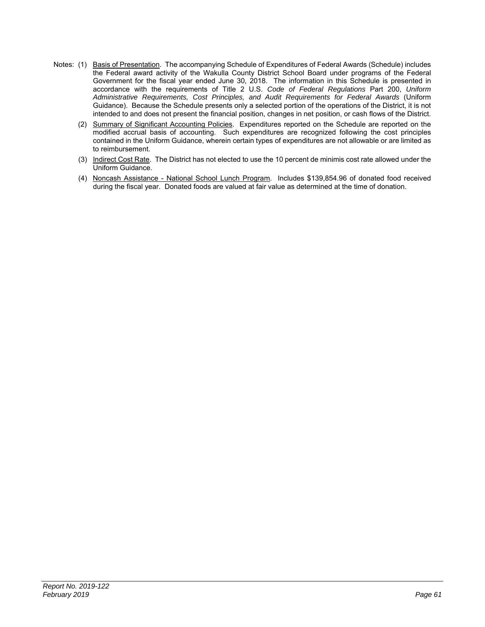- Notes: (1) Basis of Presentation. The accompanying Schedule of Expenditures of Federal Awards (Schedule) includes the Federal award activity of the Wakulla County District School Board under programs of the Federal Government for the fiscal year ended June 30, 2018. The information in this Schedule is presented in accordance with the requirements of Title 2 U.S. *Code of Federal Regulations* Part 200, *Uniform Administrative Requirements, Cost Principles, and Audit Requirements for Federal Awards* (Uniform Guidance). Because the Schedule presents only a selected portion of the operations of the District, it is not intended to and does not present the financial position, changes in net position, or cash flows of the District.
	- (2) Summary of Significant Accounting Policies. Expenditures reported on the Schedule are reported on the modified accrual basis of accounting. Such expenditures are recognized following the cost principles contained in the Uniform Guidance, wherein certain types of expenditures are not allowable or are limited as to reimbursement.
	- (3) Indirect Cost Rate. The District has not elected to use the 10 percent de minimis cost rate allowed under the Uniform Guidance.
	- (4) Noncash Assistance National School Lunch Program. Includes \$139,854.96 of donated food received during the fiscal year. Donated foods are valued at fair value as determined at the time of donation.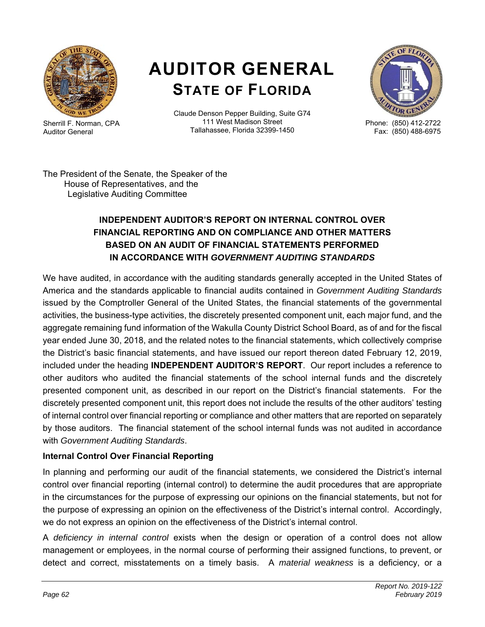

Sherrill F. Norman, CPA Auditor General

# **AUDITOR GENERAL STATE OF FLORIDA**

Claude Denson Pepper Building, Suite G74 111 West Madison Street Tallahassee, Florida 32399-1450



Phone: (850) 412-2722 Fax: (850) 488-6975

The President of the Senate, the Speaker of the House of Representatives, and the Legislative Auditing Committee

## **INDEPENDENT AUDITOR'S REPORT ON INTERNAL CONTROL OVER FINANCIAL REPORTING AND ON COMPLIANCE AND OTHER MATTERS BASED ON AN AUDIT OF FINANCIAL STATEMENTS PERFORMED IN ACCORDANCE WITH** *GOVERNMENT AUDITING STANDARDS*

We have audited, in accordance with the auditing standards generally accepted in the United States of America and the standards applicable to financial audits contained in *Government Auditing Standards* issued by the Comptroller General of the United States, the financial statements of the governmental activities, the business-type activities, the discretely presented component unit, each major fund, and the aggregate remaining fund information of the Wakulla County District School Board, as of and for the fiscal year ended June 30, 2018, and the related notes to the financial statements, which collectively comprise the District's basic financial statements, and have issued our report thereon dated February 12, 2019, included under the heading **INDEPENDENT AUDITOR'S REPORT**. Our report includes a reference to other auditors who audited the financial statements of the school internal funds and the discretely presented component unit, as described in our report on the District's financial statements. For the discretely presented component unit, this report does not include the results of the other auditors' testing of internal control over financial reporting or compliance and other matters that are reported on separately by those auditors. The financial statement of the school internal funds was not audited in accordance with *Government Auditing Standards*.

#### **Internal Control Over Financial Reporting**

In planning and performing our audit of the financial statements, we considered the District's internal control over financial reporting (internal control) to determine the audit procedures that are appropriate in the circumstances for the purpose of expressing our opinions on the financial statements, but not for the purpose of expressing an opinion on the effectiveness of the District's internal control. Accordingly, we do not express an opinion on the effectiveness of the District's internal control.

A *deficiency in internal control* exists when the design or operation of a control does not allow management or employees, in the normal course of performing their assigned functions, to prevent, or detect and correct, misstatements on a timely basis. A *material weakness* is a deficiency, or a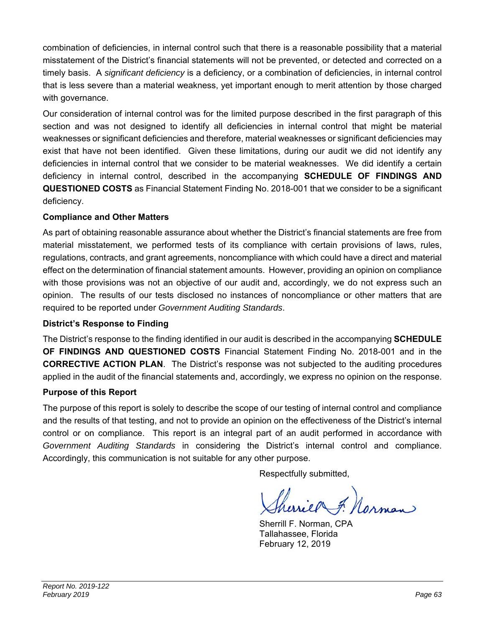combination of deficiencies, in internal control such that there is a reasonable possibility that a material misstatement of the District's financial statements will not be prevented, or detected and corrected on a timely basis. A *significant deficiency* is a deficiency, or a combination of deficiencies, in internal control that is less severe than a material weakness, yet important enough to merit attention by those charged with governance.

Our consideration of internal control was for the limited purpose described in the first paragraph of this section and was not designed to identify all deficiencies in internal control that might be material weaknesses or significant deficiencies and therefore, material weaknesses or significant deficiencies may exist that have not been identified. Given these limitations, during our audit we did not identify any deficiencies in internal control that we consider to be material weaknesses. We did identify a certain deficiency in internal control, described in the accompanying **SCHEDULE OF FINDINGS AND QUESTIONED COSTS** as Financial Statement Finding No. 2018-001 that we consider to be a significant deficiency.

#### **Compliance and Other Matters**

As part of obtaining reasonable assurance about whether the District's financial statements are free from material misstatement, we performed tests of its compliance with certain provisions of laws, rules, regulations, contracts, and grant agreements, noncompliance with which could have a direct and material effect on the determination of financial statement amounts. However, providing an opinion on compliance with those provisions was not an objective of our audit and, accordingly, we do not express such an opinion. The results of our tests disclosed no instances of noncompliance or other matters that are required to be reported under *Government Auditing Standards*.

#### **District's Response to Finding**

The District's response to the finding identified in our audit is described in the accompanying **SCHEDULE OF FINDINGS AND QUESTIONED COSTS** Financial Statement Finding No. 2018-001 and in the **CORRECTIVE ACTION PLAN**. The District's response was not subjected to the auditing procedures applied in the audit of the financial statements and, accordingly, we express no opinion on the response.

#### **Purpose of this Report**

The purpose of this report is solely to describe the scope of our testing of internal control and compliance and the results of that testing, and not to provide an opinion on the effectiveness of the District's internal control or on compliance. This report is an integral part of an audit performed in accordance with *Government Auditing Standards* in considering the District's internal control and compliance. Accordingly, this communication is not suitable for any other purpose.

Respectfully submitted,

Sherrill F. Norman, CPA Tallahassee, Florida February 12, 2019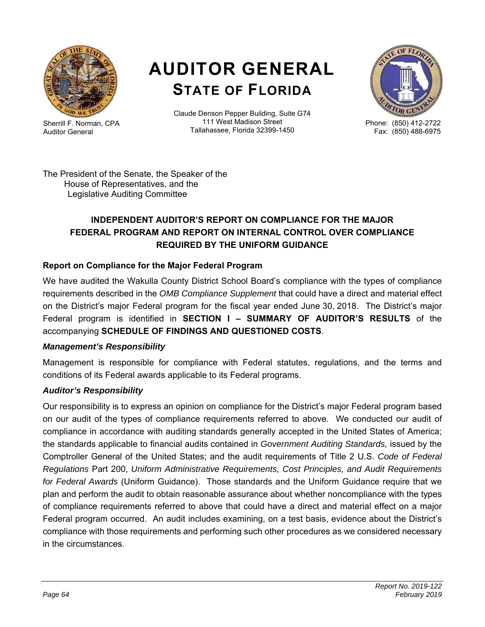

Sherrill F. Norman, CPA Auditor General

# **AUDITOR GENERAL STATE OF FLORIDA**

Claude Denson Pepper Building, Suite G74 111 West Madison Street Tallahassee, Florida 32399-1450



Phone: (850) 412-2722 Fax: (850) 488-6975

The President of the Senate, the Speaker of the House of Representatives, and the Legislative Auditing Committee

## **INDEPENDENT AUDITOR'S REPORT ON COMPLIANCE FOR THE MAJOR FEDERAL PROGRAM AND REPORT ON INTERNAL CONTROL OVER COMPLIANCE REQUIRED BY THE UNIFORM GUIDANCE**

#### **Report on Compliance for the Major Federal Program**

We have audited the Wakulla County District School Board's compliance with the types of compliance requirements described in the *OMB Compliance Supplement* that could have a direct and material effect on the District's major Federal program for the fiscal year ended June 30, 2018. The District's major Federal program is identified in **SECTION I – SUMMARY OF AUDITOR'S RESULTS** of the accompanying **SCHEDULE OF FINDINGS AND QUESTIONED COSTS**.

#### *Management's Responsibility*

Management is responsible for compliance with Federal statutes, regulations, and the terms and conditions of its Federal awards applicable to its Federal programs.

#### *Auditor's Responsibility*

Our responsibility is to express an opinion on compliance for the District's major Federal program based on our audit of the types of compliance requirements referred to above. We conducted our audit of compliance in accordance with auditing standards generally accepted in the United States of America; the standards applicable to financial audits contained in *Government Auditing Standards,* issued by the Comptroller General of the United States; and the audit requirements of Title 2 U.S. *Code of Federal Regulations* Part 200, *Uniform Administrative Requirements, Cost Principles, and Audit Requirements for Federal Awards* (Uniform Guidance). Those standards and the Uniform Guidance require that we plan and perform the audit to obtain reasonable assurance about whether noncompliance with the types of compliance requirements referred to above that could have a direct and material effect on a major Federal program occurred. An audit includes examining, on a test basis, evidence about the District's compliance with those requirements and performing such other procedures as we considered necessary in the circumstances.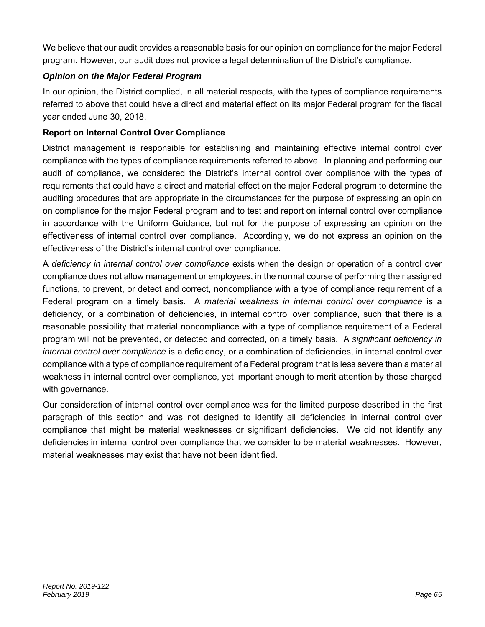We believe that our audit provides a reasonable basis for our opinion on compliance for the major Federal program. However, our audit does not provide a legal determination of the District's compliance.

#### *Opinion on the Major Federal Program*

In our opinion, the District complied, in all material respects, with the types of compliance requirements referred to above that could have a direct and material effect on its major Federal program for the fiscal year ended June 30, 2018.

#### **Report on Internal Control Over Compliance**

District management is responsible for establishing and maintaining effective internal control over compliance with the types of compliance requirements referred to above. In planning and performing our audit of compliance, we considered the District's internal control over compliance with the types of requirements that could have a direct and material effect on the major Federal program to determine the auditing procedures that are appropriate in the circumstances for the purpose of expressing an opinion on compliance for the major Federal program and to test and report on internal control over compliance in accordance with the Uniform Guidance, but not for the purpose of expressing an opinion on the effectiveness of internal control over compliance. Accordingly, we do not express an opinion on the effectiveness of the District's internal control over compliance.

A *deficiency in internal control over compliance* exists when the design or operation of a control over compliance does not allow management or employees, in the normal course of performing their assigned functions, to prevent, or detect and correct, noncompliance with a type of compliance requirement of a Federal program on a timely basis. A *material weakness in internal control over compliance* is a deficiency, or a combination of deficiencies, in internal control over compliance, such that there is a reasonable possibility that material noncompliance with a type of compliance requirement of a Federal program will not be prevented, or detected and corrected, on a timely basis. A *significant deficiency in internal control over compliance* is a deficiency, or a combination of deficiencies, in internal control over compliance with a type of compliance requirement of a Federal program that is less severe than a material weakness in internal control over compliance, yet important enough to merit attention by those charged with governance.

Our consideration of internal control over compliance was for the limited purpose described in the first paragraph of this section and was not designed to identify all deficiencies in internal control over compliance that might be material weaknesses or significant deficiencies. We did not identify any deficiencies in internal control over compliance that we consider to be material weaknesses. However, material weaknesses may exist that have not been identified.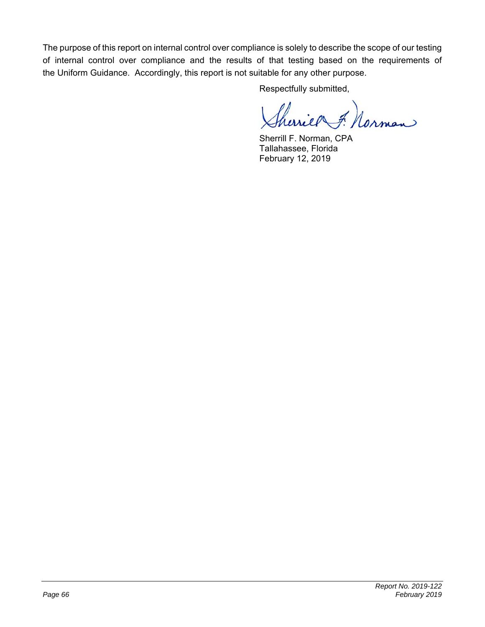The purpose of this report on internal control over compliance is solely to describe the scope of our testing of internal control over compliance and the results of that testing based on the requirements of the Uniform Guidance. Accordingly, this report is not suitable for any other purpose.

Respectfully submitted,

ier F. Norman

Sherrill F. Norman, CPA Tallahassee, Florida February 12, 2019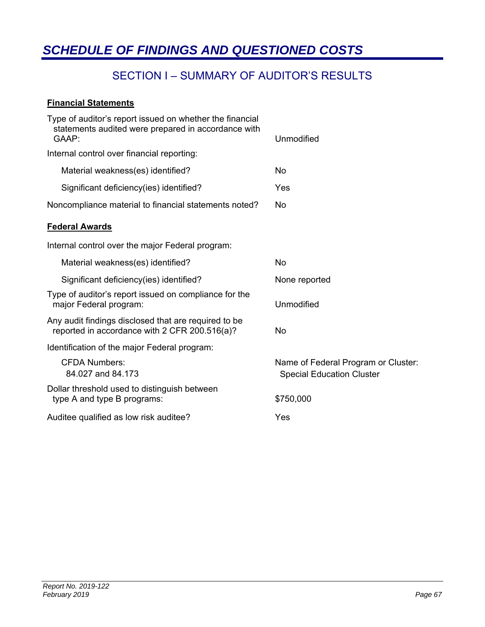# *SCHEDULE OF FINDINGS AND QUESTIONED COSTS*

### SECTION I – SUMMARY OF AUDITOR'S RESULTS

#### **Financial Statements**

| Type of auditor's report issued on whether the financial<br>statements audited were prepared in accordance with<br>GAAP: | Unmodified                                                              |
|--------------------------------------------------------------------------------------------------------------------------|-------------------------------------------------------------------------|
| Internal control over financial reporting:                                                                               |                                                                         |
| Material weakness(es) identified?                                                                                        | No                                                                      |
| Significant deficiency(ies) identified?                                                                                  | Yes                                                                     |
| Noncompliance material to financial statements noted?                                                                    | No                                                                      |
| <b>Federal Awards</b>                                                                                                    |                                                                         |
| Internal control over the major Federal program:                                                                         |                                                                         |
| Material weakness(es) identified?                                                                                        | No                                                                      |
| Significant deficiency(ies) identified?                                                                                  | None reported                                                           |
| Type of auditor's report issued on compliance for the<br>major Federal program:                                          | Unmodified                                                              |
| Any audit findings disclosed that are required to be<br>reported in accordance with 2 CFR 200.516(a)?                    | No                                                                      |
| Identification of the major Federal program:                                                                             |                                                                         |
| <b>CFDA Numbers:</b><br>84,027 and 84,173                                                                                | Name of Federal Program or Cluster:<br><b>Special Education Cluster</b> |
| Dollar threshold used to distinguish between<br>type A and type B programs:                                              | \$750,000                                                               |
| Auditee qualified as low risk auditee?                                                                                   | Yes                                                                     |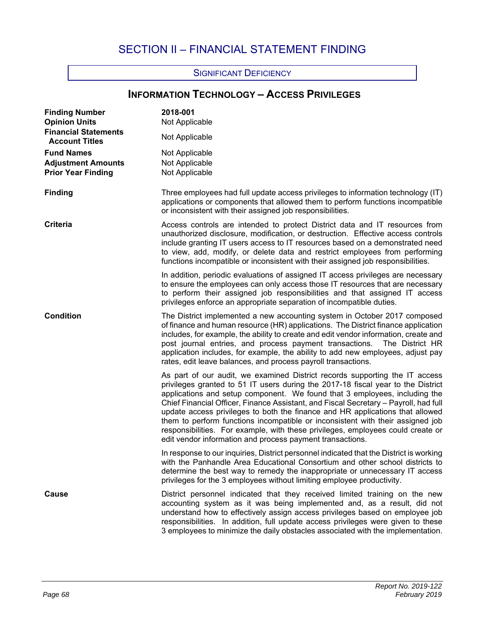### SECTION II – FINANCIAL STATEMENT FINDING

#### SIGNIFICANT DEFICIENCY

#### **INFORMATION TECHNOLOGY – ACCESS PRIVILEGES**

| <b>Finding Number</b><br><b>Opinion Units</b><br><b>Financial Statements</b><br><b>Account Titles</b> | 2018-001<br>Not Applicable                                                                                                                                                                                                                                                                                                                                                                                                                                                                                                                                                                                                                               |
|-------------------------------------------------------------------------------------------------------|----------------------------------------------------------------------------------------------------------------------------------------------------------------------------------------------------------------------------------------------------------------------------------------------------------------------------------------------------------------------------------------------------------------------------------------------------------------------------------------------------------------------------------------------------------------------------------------------------------------------------------------------------------|
|                                                                                                       | Not Applicable                                                                                                                                                                                                                                                                                                                                                                                                                                                                                                                                                                                                                                           |
| <b>Fund Names</b><br><b>Adjustment Amounts</b><br><b>Prior Year Finding</b>                           | Not Applicable<br>Not Applicable<br>Not Applicable                                                                                                                                                                                                                                                                                                                                                                                                                                                                                                                                                                                                       |
| <b>Finding</b>                                                                                        | Three employees had full update access privileges to information technology (IT)<br>applications or components that allowed them to perform functions incompatible<br>or inconsistent with their assigned job responsibilities.                                                                                                                                                                                                                                                                                                                                                                                                                          |
| <b>Criteria</b>                                                                                       | Access controls are intended to protect District data and IT resources from<br>unauthorized disclosure, modification, or destruction. Effective access controls<br>include granting IT users access to IT resources based on a demonstrated need<br>to view, add, modify, or delete data and restrict employees from performing<br>functions incompatible or inconsistent with their assigned job responsibilities.                                                                                                                                                                                                                                      |
|                                                                                                       | In addition, periodic evaluations of assigned IT access privileges are necessary<br>to ensure the employees can only access those IT resources that are necessary<br>to perform their assigned job responsibilities and that assigned IT access<br>privileges enforce an appropriate separation of incompatible duties.                                                                                                                                                                                                                                                                                                                                  |
| <b>Condition</b>                                                                                      | The District implemented a new accounting system in October 2017 composed<br>of finance and human resource (HR) applications. The District finance application<br>includes, for example, the ability to create and edit vendor information, create and<br>post journal entries, and process payment transactions.<br>The District HR<br>application includes, for example, the ability to add new employees, adjust pay<br>rates, edit leave balances, and process payroll transactions.                                                                                                                                                                 |
|                                                                                                       | As part of our audit, we examined District records supporting the IT access<br>privileges granted to 51 IT users during the 2017-18 fiscal year to the District<br>applications and setup component. We found that 3 employees, including the<br>Chief Financial Officer, Finance Assistant, and Fiscal Secretary - Payroll, had full<br>update access privileges to both the finance and HR applications that allowed<br>them to perform functions incompatible or inconsistent with their assigned job<br>responsibilities. For example, with these privileges, employees could create or<br>edit vendor information and process payment transactions. |
|                                                                                                       | In response to our inquiries, District personnel indicated that the District is working<br>with the Panhandle Area Educational Consortium and other school districts to<br>determine the best way to remedy the inappropriate or unnecessary IT access<br>privileges for the 3 employees without limiting employee productivity.                                                                                                                                                                                                                                                                                                                         |
| Cause                                                                                                 | District personnel indicated that they received limited training on the new<br>accounting system as it was being implemented and, as a result, did not<br>understand how to effectively assign access privileges based on employee job<br>responsibilities. In addition, full update access privileges were given to these<br>3 employees to minimize the daily obstacles associated with the implementation.                                                                                                                                                                                                                                            |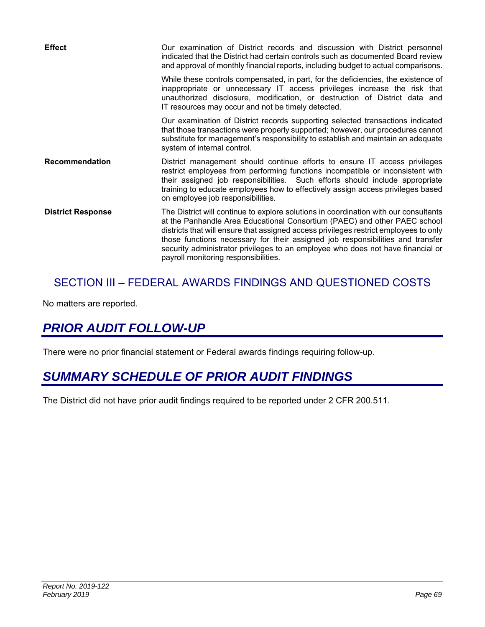| <b>Effect</b>            | Our examination of District records and discussion with District personnel<br>indicated that the District had certain controls such as documented Board review<br>and approval of monthly financial reports, including budget to actual comparisons.                                                                                                                                                                                                                    |
|--------------------------|-------------------------------------------------------------------------------------------------------------------------------------------------------------------------------------------------------------------------------------------------------------------------------------------------------------------------------------------------------------------------------------------------------------------------------------------------------------------------|
|                          | While these controls compensated, in part, for the deficiencies, the existence of<br>inappropriate or unnecessary IT access privileges increase the risk that<br>unauthorized disclosure, modification, or destruction of District data and<br>IT resources may occur and not be timely detected.                                                                                                                                                                       |
|                          | Our examination of District records supporting selected transactions indicated<br>that those transactions were properly supported; however, our procedures cannot<br>substitute for management's responsibility to establish and maintain an adequate<br>system of internal control.                                                                                                                                                                                    |
| Recommendation           | District management should continue efforts to ensure IT access privileges<br>restrict employees from performing functions incompatible or inconsistent with<br>their assigned job responsibilities. Such efforts should include appropriate<br>training to educate employees how to effectively assign access privileges based<br>on employee job responsibilities.                                                                                                    |
| <b>District Response</b> | The District will continue to explore solutions in coordination with our consultants<br>at the Panhandle Area Educational Consortium (PAEC) and other PAEC school<br>districts that will ensure that assigned access privileges restrict employees to only<br>those functions necessary for their assigned job responsibilities and transfer<br>security administrator privileges to an employee who does not have financial or<br>payroll monitoring responsibilities. |

### SECTION III – FEDERAL AWARDS FINDINGS AND QUESTIONED COSTS

No matters are reported.

## *PRIOR AUDIT FOLLOW-UP*

There were no prior financial statement or Federal awards findings requiring follow-up.

## *SUMMARY SCHEDULE OF PRIOR AUDIT FINDINGS*

The District did not have prior audit findings required to be reported under 2 CFR 200.511.